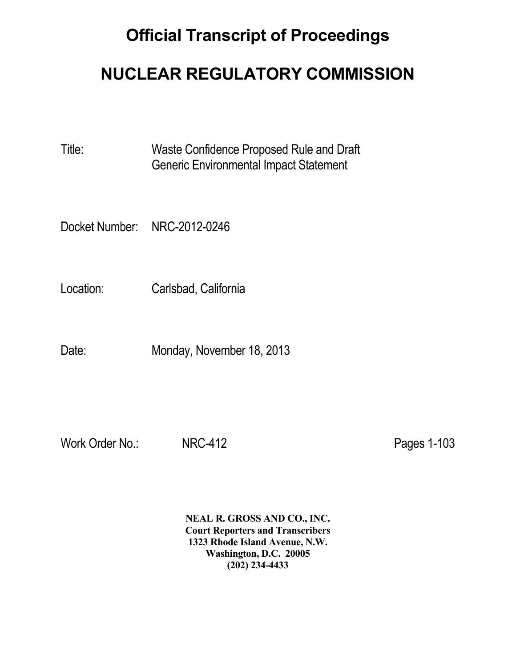# **Official Transcript of Proceedings**

# **NUCLEAR REGULATORY COMMISSION**

Title: Waste Confidence Proposed Rule and Draft Generic Environmental Impact Statement

Docket Number: NRC-2012-0246

Location: Carlsbad, California

Date: Monday, November 18, 2013

Work Order No.: NRC-412 Pages 1-103

 **NEAL R. GROSS AND CO., INC. Court Reporters and Transcribers 1323 Rhode Island Avenue, N.W. Washington, D.C. 20005 (202) 234-4433**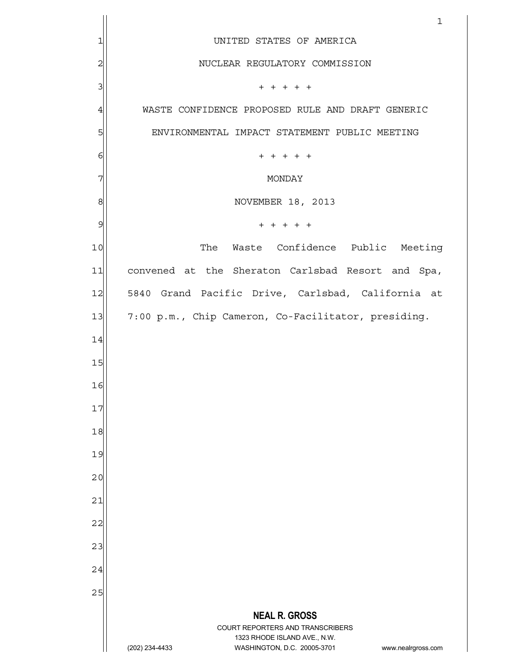|                         | 1                                                                                        |
|-------------------------|------------------------------------------------------------------------------------------|
| $\mathbf{1}$            | UNITED STATES OF AMERICA                                                                 |
| $\overline{\mathbf{c}}$ | NUCLEAR REGULATORY COMMISSION                                                            |
| 3                       | $+ + + + + +$                                                                            |
| $\overline{4}$          | WASTE CONFIDENCE PROPOSED RULE AND DRAFT GENERIC                                         |
| 5                       | ENVIRONMENTAL IMPACT STATEMENT PUBLIC MEETING                                            |
| 6                       | $+ + + + + +$                                                                            |
| 7                       | MONDAY                                                                                   |
| 8                       | NOVEMBER 18, 2013                                                                        |
| $\mathcal{Q}$           | $+ + + + + +$                                                                            |
| 10                      | The Waste Confidence Public Meeting                                                      |
| 11                      | convened at the Sheraton Carlsbad Resort and Spa,                                        |
| 12                      | 5840 Grand Pacific Drive, Carlsbad, California at                                        |
| 13                      | 7:00 p.m., Chip Cameron, Co-Facilitator, presiding.                                      |
| 14                      |                                                                                          |
| 15                      |                                                                                          |
| 16                      |                                                                                          |
| 17                      |                                                                                          |
| 18                      |                                                                                          |
| 19                      |                                                                                          |
| 20                      |                                                                                          |
| 21                      |                                                                                          |
| 22                      |                                                                                          |
| 23                      |                                                                                          |
| 24                      |                                                                                          |
| 25                      |                                                                                          |
|                         | <b>NEAL R. GROSS</b><br>COURT REPORTERS AND TRANSCRIBERS<br>1323 RHODE ISLAND AVE., N.W. |
|                         | (202) 234-4433<br>WASHINGTON, D.C. 20005-3701<br>www.nealrgross.com                      |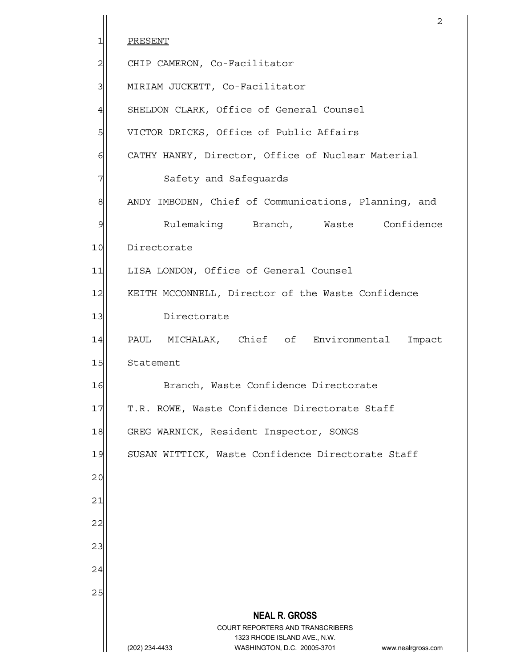|                | 2                                                                       |
|----------------|-------------------------------------------------------------------------|
| 1              | PRESENT                                                                 |
| $\overline{a}$ | CHIP CAMERON, Co-Facilitator                                            |
| 3              | MIRIAM JUCKETT, Co-Facilitator                                          |
| $\overline{4}$ | SHELDON CLARK, Office of General Counsel                                |
| 5              | VICTOR DRICKS, Office of Public Affairs                                 |
| 6              | CATHY HANEY, Director, Office of Nuclear Material                       |
| 7              | Safety and Safeguards                                                   |
| 8              | ANDY IMBODEN, Chief of Communications, Planning, and                    |
| 9              | Rulemaking Branch, Waste Confidence                                     |
| 10             | Directorate                                                             |
| 11             | LISA LONDON, Office of General Counsel                                  |
| 12             | KEITH MCCONNELL, Director of the Waste Confidence                       |
| 13             | Directorate                                                             |
| 14             | PAUL MICHALAK, Chief of Environmental<br>Impact                         |
| 15             | Statement                                                               |
| 16             | Branch, Waste Confidence Directorate                                    |
| 17             | T.R. ROWE, Waste Confidence Directorate Staff                           |
| 18             | GREG WARNICK, Resident Inspector, SONGS                                 |
| 19             | SUSAN WITTICK, Waste Confidence Directorate Staff                       |
| 20             |                                                                         |
| 21             |                                                                         |
| 22             |                                                                         |
| 23             |                                                                         |
| 24             |                                                                         |
| 25             |                                                                         |
|                | <b>NEAL R. GROSS</b>                                                    |
|                | <b>COURT REPORTERS AND TRANSCRIBERS</b><br>1323 RHODE ISLAND AVE., N.W. |
|                | (202) 234-4433<br>WASHINGTON, D.C. 20005-3701<br>www.nealrgross.com     |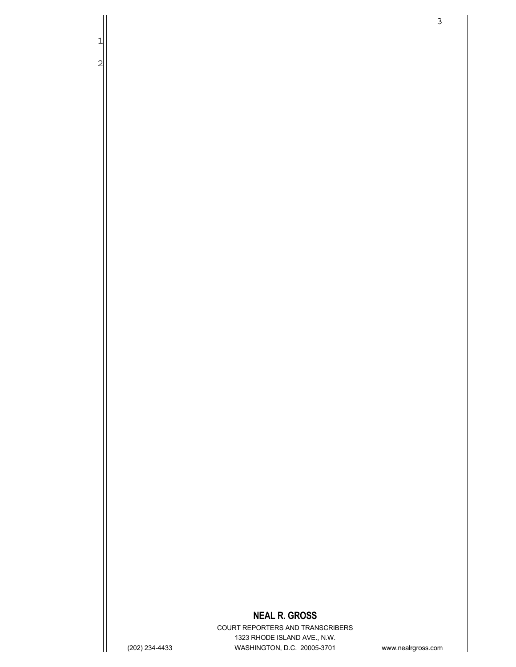## **NEAL R. GROSS**

3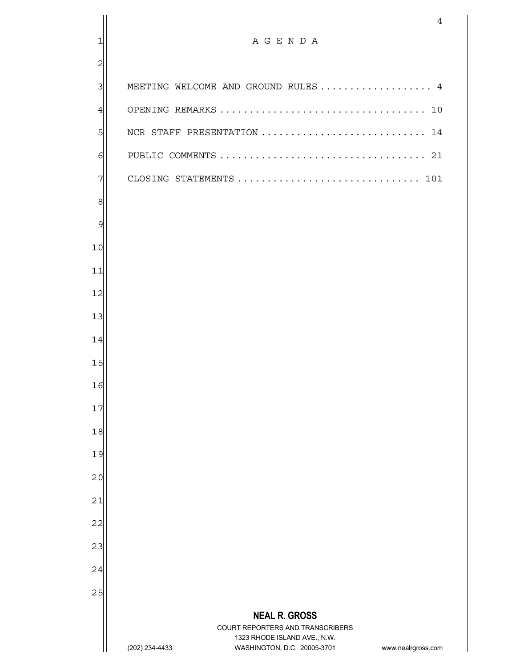|                |                                                                                                     | 4 |
|----------------|-----------------------------------------------------------------------------------------------------|---|
| 1              | A G E N D A                                                                                         |   |
| $\overline{c}$ |                                                                                                     |   |
| 3              | MEETING WELCOME AND GROUND RULES 4                                                                  |   |
| 4              |                                                                                                     |   |
| 5              | NCR STAFF PRESENTATION  14                                                                          |   |
| 6              |                                                                                                     |   |
| 7              | CLOSING STATEMENTS  101                                                                             |   |
| 8              |                                                                                                     |   |
| 9              |                                                                                                     |   |
| 10             |                                                                                                     |   |
| 11             |                                                                                                     |   |
| 12             |                                                                                                     |   |
| 13             |                                                                                                     |   |
| 14             |                                                                                                     |   |
| 15             |                                                                                                     |   |
| 16             |                                                                                                     |   |
| 17             |                                                                                                     |   |
| 18             |                                                                                                     |   |
| 19             |                                                                                                     |   |
| 20             |                                                                                                     |   |
| 21             |                                                                                                     |   |
| 22             |                                                                                                     |   |
| 23             |                                                                                                     |   |
| 24             |                                                                                                     |   |
| 25             |                                                                                                     |   |
|                | <b>NEAL R. GROSS</b><br>COURT REPORTERS AND TRANSCRIBERS                                            |   |
|                | 1323 RHODE ISLAND AVE., N.W.<br>(202) 234-4433<br>WASHINGTON, D.C. 20005-3701<br>www.nealrgross.com |   |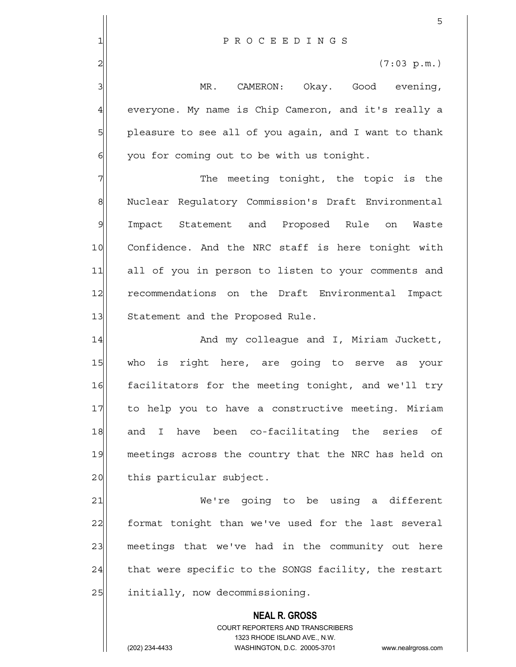1 P R O C E E D I N G S

 $2 \mid$  (7:03 p.m.)

3 | MR. CAMERON: Okay. Good evening, 4 everyone. My name is Chip Cameron, and it's really a 5 pleasure to see all of you again, and I want to thank  $6$  you for coming out to be with us tonight.

7 The meeting tonight, the topic is the 8 Nuclear Regulatory Commission's Draft Environmental 9 Impact Statement and Proposed Rule on Waste 10 Confidence. And the NRC staff is here tonight with 11 all of you in person to listen to your comments and 12 recommendations on the Draft Environmental Impact 13 Statement and the Proposed Rule.

14 and my colleague and I, Miriam Juckett, 15 who is right here, are going to serve as your 16 facilitators for the meeting tonight, and we'll try 17 to help you to have a constructive meeting. Miriam 18 and I have been co-facilitating the series of 19 meetings across the country that the NRC has held on 20 this particular subject.

21 We're going to be using a different 22 format tonight than we've used for the last several 23 meetings that we've had in the community out here  $24$  that were specific to the SONGS facility, the restart  $25$  initially, now decommissioning.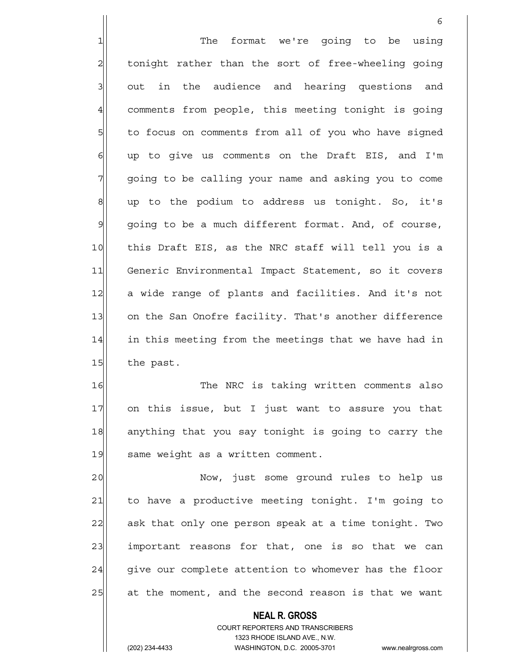1 The format we're going to be using 2 | tonight rather than the sort of free-wheeling going 3 out in the audience and hearing questions and 4| comments from people, this meeting tonight is going 5 to focus on comments from all of you who have signed  $6$  up to give us comments on the Draft EIS, and I'm 7 qoing to be calling your name and asking you to come 8 up to the podium to address us tonight. So, it's 9 going to be a much different format. And, of course, 10 this Draft EIS, as the NRC staff will tell you is a 11 Generic Environmental Impact Statement, so it covers 12 a wide range of plants and facilities. And it's not 13 on the San Onofre facility. That's another difference 14 in this meeting from the meetings that we have had in 15 the past. 16 The NRC is taking written comments also

 $\sim$  6

17 on this issue, but I just want to assure you that 18 anything that you say tonight is going to carry the 19 same weight as a written comment.

20 Now, just some ground rules to help us 21 to have a productive meeting tonight. I'm going to 22 ask that only one person speak at a time tonight. Two 23 important reasons for that, one is so that we can 24 give our complete attention to whomever has the floor 25 at the moment, and the second reason is that we want

> **NEAL R. GROSS** COURT REPORTERS AND TRANSCRIBERS 1323 RHODE ISLAND AVE., N.W.

(202) 234-4433 WASHINGTON, D.C. 20005-3701 www.nealrgross.com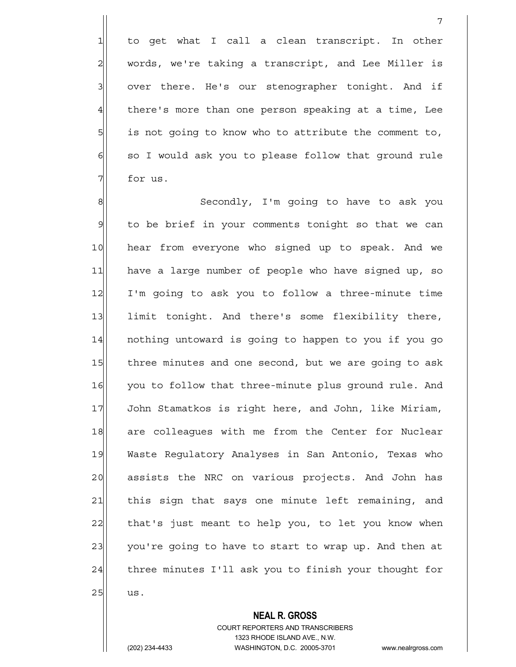$1$  to get what I call a clean transcript. In other  $2$  words, we're taking a transcript, and Lee Miller is 3 over there. He's our stenographer tonight. And if 4 there's more than one person speaking at a time, Lee 5 is not going to know who to attribute the comment to,  $6$  so I would ask you to please follow that ground rule  $7$  for us.

7

8 8 Secondly, I'm going to have to ask you  $9$  to be brief in your comments tonight so that we can 10 hear from everyone who signed up to speak. And we 11 have a large number of people who have signed up, so 12 I'm going to ask you to follow a three-minute time 13 limit tonight. And there's some flexibility there, 14 | nothing untoward is going to happen to you if you go 15 three minutes and one second, but we are going to ask 16 you to follow that three-minute plus ground rule. And 17 John Stamatkos is right here, and John, like Miriam, 18 are colleagues with me from the Center for Nuclear 19 Waste Regulatory Analyses in San Antonio, Texas who 20 assists the NRC on various projects. And John has 21 | this sign that says one minute left remaining, and 22 that's just meant to help you, to let you know when 23 you're going to have to start to wrap up. And then at 24 three minutes I'll ask you to finish your thought for  $25$  us.

## COURT REPORTERS AND TRANSCRIBERS 1323 RHODE ISLAND AVE., N.W. (202) 234-4433 WASHINGTON, D.C. 20005-3701 www.nealrgross.com

 **NEAL R. GROSS**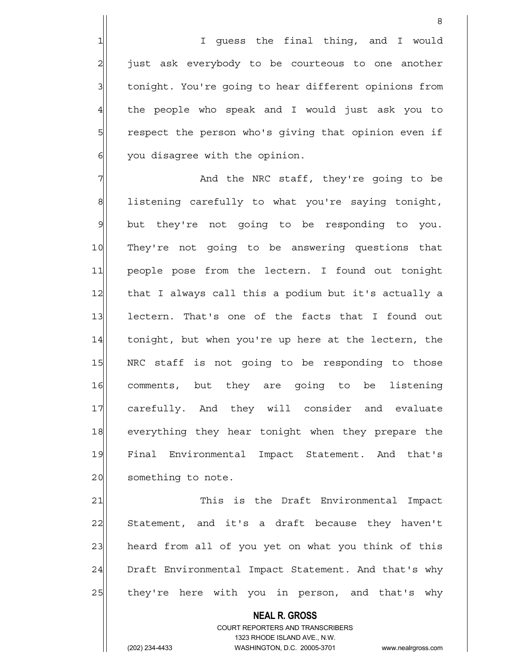1 I guess the final thing, and I would 2 | just ask everybody to be courteous to one another 3| tonight. You're going to hear different opinions from 4 the people who speak and I would just ask you to 5 5 5 5 5 respect the person who's giving that opinion even if  $6$  you disagree with the opinion.

7 and the NRC staff, they're going to be  $8$  listening carefully to what you're saying tonight, 9 but they're not going to be responding to you. 10 They're not going to be answering questions that 11 people pose from the lectern. I found out tonight 12 that I always call this a podium but it's actually a 13 lectern. That's one of the facts that I found out 14 tonight, but when you're up here at the lectern, the 15 NRC staff is not going to be responding to those 16 comments, but they are going to be listening 17 carefully. And they will consider and evaluate 18 everything they hear tonight when they prepare the 19 Final Environmental Impact Statement. And that's 20 something to note.

21 This is the Draft Environmental Impact 22 Statement, and it's a draft because they haven't 23 heard from all of you yet on what you think of this 24 Draft Environmental Impact Statement. And that's why 25 they're here with you in person, and that's why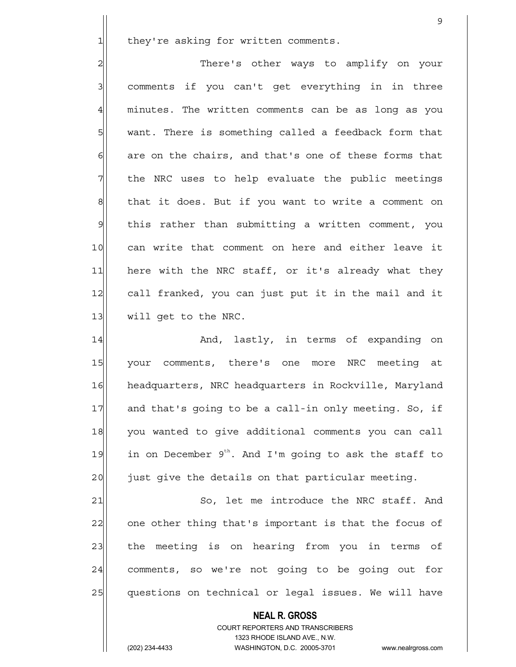$1$  they're asking for written comments.

2 2 There's other ways to amplify on your 3 3 comments if you can't get everything in in three 4 minutes. The written comments can be as long as you 5 | want. There is something called a feedback form that  $6$  are on the chairs, and that's one of these forms that 7 The NRC uses to help evaluate the public meetings 8 that it does. But if you want to write a comment on  $\mathfrak{g}$  this rather than submitting a written comment, you 10 can write that comment on here and either leave it  $11$  here with the NRC staff, or it's already what they 12 call franked, you can just put it in the mail and it 13 will get to the NRC.

14 | And, lastly, in terms of expanding on 15 your comments, there's one more NRC meeting at 16 headquarters, NRC headquarters in Rockville, Maryland 17 and that's going to be a call-in only meeting. So, if 18 you wanted to give additional comments you can call 19 19 11 11 on December 9<sup>th</sup>. And I'm going to ask the staff to 20 just give the details on that particular meeting.

21 So, let me introduce the NRC staff. And 22 one other thing that's important is that the focus of 23 the meeting is on hearing from you in terms of 24 comments, so we're not going to be going out for 25 questions on technical or legal issues. We will have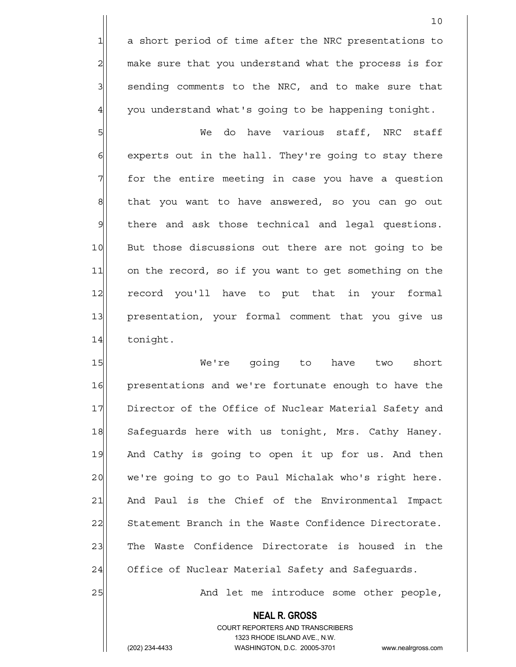1 a short period of time after the NRC presentations to 2 make sure that you understand what the process is for 3 | sending comments to the NRC, and to make sure that  $4$  you understand what's going to be happening tonight.

5 SI We do have various staff, NRC staff 6 6 6 experts out in the hall. They're going to stay there  $7$  for the entire meeting in case you have a question 8 that you want to have answered, so you can go out 9 | there and ask those technical and legal questions. 10 But those discussions out there are not going to be 11 on the record, so if you want to get something on the 12 record you'll have to put that in your formal 13 presentation, your formal comment that you give us 14 tonight.

15 Ne're going to have two short 16 presentations and we're fortunate enough to have the 17 Director of the Office of Nuclear Material Safety and 18 Safeguards here with us tonight, Mrs. Cathy Haney. 19 And Cathy is going to open it up for us. And then 20 we're going to go to Paul Michalak who's right here. 21 And Paul is the Chief of the Environmental Impact 22 | Statement Branch in the Waste Confidence Directorate. 23 The Waste Confidence Directorate is housed in the 24 Office of Nuclear Material Safety and Safequards.

25 | And let me introduce some other people,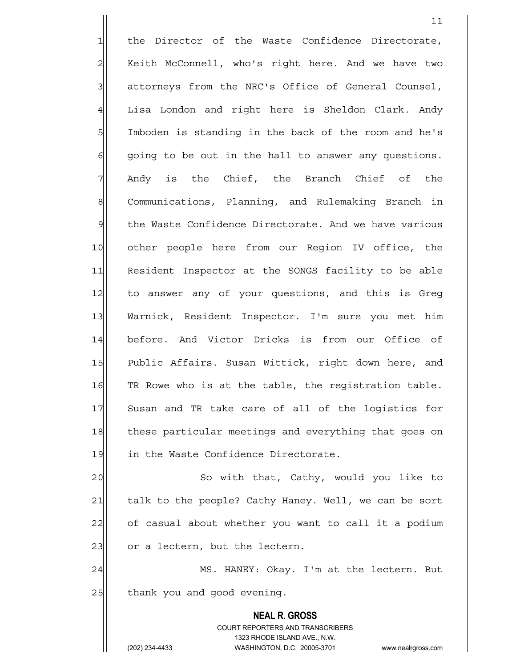1 the Director of the Waste Confidence Directorate, 2 Keith McConnell, who's right here. And we have two 3 3 attorneys from the NRC's Office of General Counsel, 4 Lisa London and right here is Sheldon Clark. Andy 5 | Imboden is standing in the back of the room and he's  $6$  going to be out in the hall to answer any questions. 7 Andy is the Chief, the Branch Chief of the 8 Communications, Planning, and Rulemaking Branch in 9 | the Waste Confidence Directorate. And we have various 10 other people here from our Region IV office, the 11 Resident Inspector at the SONGS facility to be able 12 to answer any of your questions, and this is Greg 13 Warnick, Resident Inspector. I'm sure you met him 14 before. And Victor Dricks is from our Office of 15 Public Affairs. Susan Wittick, right down here, and 16 TR Rowe who is at the table, the registration table. 17 Susan and TR take care of all of the logistics for 18 these particular meetings and everything that goes on 19 in the Waste Confidence Directorate.

20 So with that, Cathy, would you like to 21 talk to the people? Cathy Haney. Well, we can be sort 22 of casual about whether you want to call it a podium  $23$  or a lectern, but the lectern.

24 MS. HANEY: Okay. I'm at the lectern. But 25 thank you and good evening.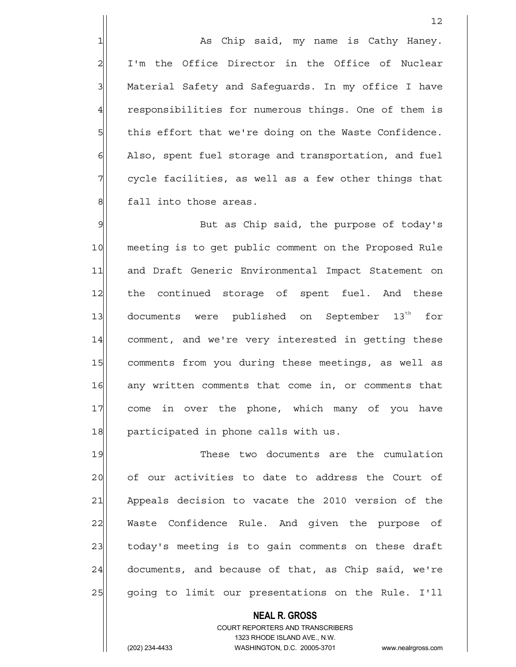1 As Chip said, my name is Cathy Haney. 2 I'm the Office Director in the Office of Nuclear 3 Material Safety and Safeguards. In my office I have 4 responsibilities for numerous things. One of them is 5| this effort that we're doing on the Waste Confidence. 6 Also, spent fuel storage and transportation, and fuel  $7$  cycle facilities, as well as a few other things that 8 | Sall into those areas.

9 But as Chip said, the purpose of today's 10 meeting is to get public comment on the Proposed Rule 11 and Draft Generic Environmental Impact Statement on 12 the continued storage of spent fuel. And these  $13$  documents were published on September  $13<sup>th</sup>$  for 14 comment, and we're very interested in getting these 15 comments from you during these meetings, as well as 16 any written comments that come in, or comments that 17 come in over the phone, which many of you have 18 participated in phone calls with us.

19 These two documents are the cumulation 20 of our activities to date to address the Court of 21 Appeals decision to vacate the 2010 version of the 22 Waste Confidence Rule. And given the purpose of 23 today's meeting is to gain comments on these draft  $24$  documents, and because of that, as Chip said, we're 25 | going to limit our presentations on the Rule. I'll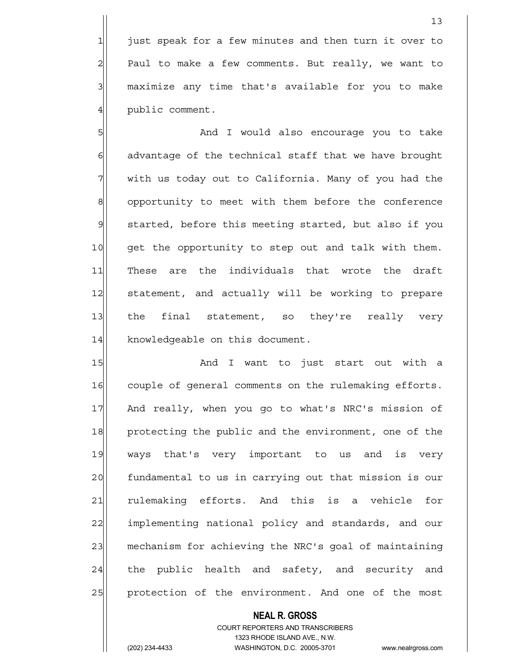1 just speak for a few minutes and then turn it over to  $2$  Paul to make a few comments. But really, we want to 3 | maximize any time that's available for you to make 4 public comment.

5 And I would also encourage you to take  $6$  advantage of the technical staff that we have brought 7 With us today out to California. Many of you had the 8 opportunity to meet with them before the conference 9| started, before this meeting started, but also if you 10 get the opportunity to step out and talk with them. 11 These are the individuals that wrote the draft 12 statement, and actually will be working to prepare 13 the final statement, so they're really very 14 knowledgeable on this document.

15 and I want to just start out with a 16 couple of general comments on the rulemaking efforts. 17 And really, when you go to what's NRC's mission of 18 protecting the public and the environment, one of the 19 ways that's very important to us and is very 20 fundamental to us in carrying out that mission is our 21 rulemaking efforts. And this is a vehicle for 22 implementing national policy and standards, and our 23 mechanism for achieving the NRC's goal of maintaining 24 the public health and safety, and security and 25 protection of the environment. And one of the most

#### **NEAL R. GROSS**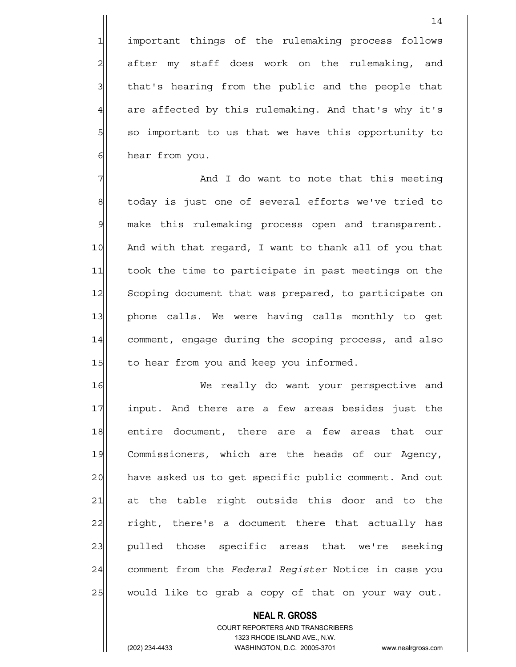1 important things of the rulemaking process follows  $2$  after my staff does work on the rulemaking, and 3 3 a that's hearing from the public and the people that  $4$  are affected by this rulemaking. And that's why it's 5 so important to us that we have this opportunity to  $6$  hear from you.

7 and I do want to note that this meeting 8 today is just one of several efforts we've tried to 9 make this rulemaking process open and transparent. 10 And with that regard, I want to thank all of you that 11 took the time to participate in past meetings on the 12 Scoping document that was prepared, to participate on 13 phone calls. We were having calls monthly to get 14 comment, engage during the scoping process, and also 15 to hear from you and keep you informed.

16 Me really do want your perspective and 17 input. And there are a few areas besides just the 18 entire document, there are a few areas that our 19 Commissioners, which are the heads of our Agency, 20 have asked us to get specific public comment. And out 21 at the table right outside this door and to the 22 right, there's a document there that actually has 23 pulled those specific areas that we're seeking 24 comment from the *Federal Register* Notice in case you 25 would like to grab a copy of that on your way out.

### **NEAL R. GROSS** COURT REPORTERS AND TRANSCRIBERS

 1323 RHODE ISLAND AVE., N.W. (202) 234-4433 WASHINGTON, D.C. 20005-3701 www.nealrgross.com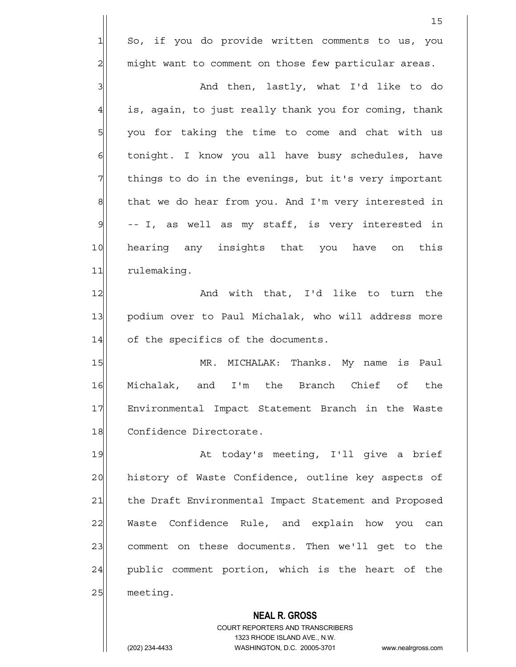15 1 So, if you do provide written comments to us, you 2 might want to comment on those few particular areas. 3 And then, lastly, what I'd like to do  $4$  is, again, to just really thank you for coming, thank 5 | you for taking the time to come and chat with us 6 6 tonight. I know you all have busy schedules, have 7 The things to do in the evenings, but it's very important 8 that we do hear from you. And I'm very interested in  $9$  -- I, as well as my staff, is very interested in 10 hearing any insights that you have on this 11 rulemaking.

12 and with that, I'd like to turn the 13 podium over to Paul Michalak, who will address more 14 of the specifics of the documents.

15 MR. MICHALAK: Thanks. My name is Paul 16 Michalak, and I'm the Branch Chief of the 17 Environmental Impact Statement Branch in the Waste 18 Confidence Directorate.

19 | At today's meeting, I'll give a brief 20 history of Waste Confidence, outline key aspects of 21 | the Draft Environmental Impact Statement and Proposed 22 Waste Confidence Rule, and explain how you can 23 comment on these documents. Then we'll get to the 24 public comment portion, which is the heart of the 25 meeting.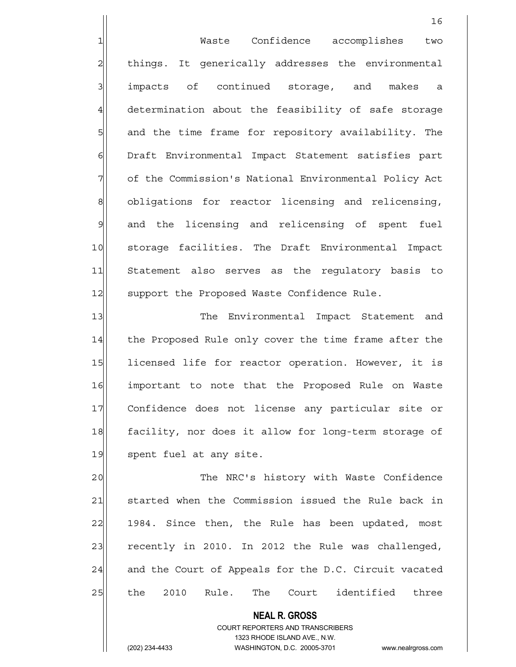1 Waste Confidence accomplishes two 2 | things. It generically addresses the environmental 3 impacts of continued storage, and makes a 4 determination about the feasibility of safe storage 5 5 5 5 5 and the time frame for repository availability. The 6 | Draft Environmental Impact Statement satisfies part 7 | of the Commission's National Environmental Policy Act 8 obligations for reactor licensing and relicensing, 9 and the licensing and relicensing of spent fuel 10 storage facilities. The Draft Environmental Impact 11 Statement also serves as the regulatory basis to 12 | support the Proposed Waste Confidence Rule.

13 The Environmental Impact Statement and 14 the Proposed Rule only cover the time frame after the 15 licensed life for reactor operation. However, it is 16 important to note that the Proposed Rule on Waste 17 Confidence does not license any particular site or 18 facility, nor does it allow for long-term storage of 19 spent fuel at any site.

20 The NRC's history with Waste Confidence 21 Started when the Commission issued the Rule back in 22 1984. Since then, the Rule has been updated, most 23 recently in 2010. In 2012 the Rule was challenged,  $24$  and the Court of Appeals for the D.C. Circuit vacated 25 the 2010 Rule. The Court identified three

> COURT REPORTERS AND TRANSCRIBERS 1323 RHODE ISLAND AVE., N.W. (202) 234-4433 WASHINGTON, D.C. 20005-3701 www.nealrgross.com

 **NEAL R. GROSS**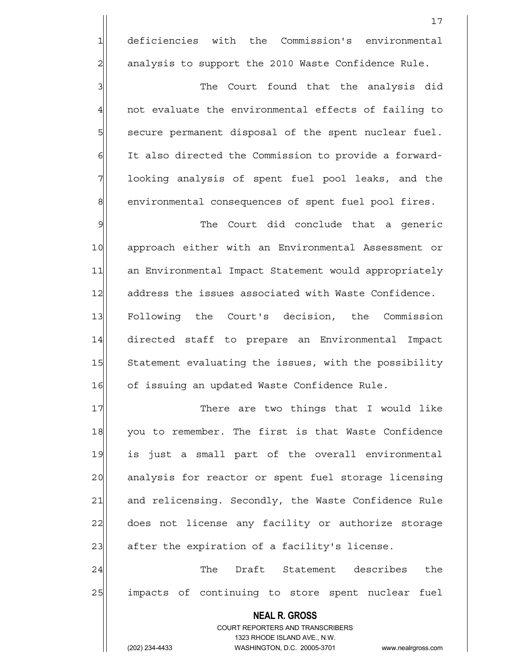1 deficiencies with the Commission's environmental 2 analysis to support the 2010 Waste Confidence Rule.

3 3 3 The Court found that the analysis did 4 and intertative the environmental effects of failing to 5 | secure permanent disposal of the spent nuclear fuel. 6 6 It also directed the Commission to provide a forward-7 The looking analysis of spent fuel pool leaks, and the 8 environmental consequences of spent fuel pool fires.

9 | She Court did conclude that a generic 10 approach either with an Environmental Assessment or 11 an Environmental Impact Statement would appropriately 12 address the issues associated with Waste Confidence. 13 Following the Court's decision, the Commission 14 directed staff to prepare an Environmental Impact 15 Statement evaluating the issues, with the possibility 16 of issuing an updated Waste Confidence Rule.

17 There are two things that I would like 18 you to remember. The first is that Waste Confidence 19 is just a small part of the overall environmental 20 analysis for reactor or spent fuel storage licensing 21 and relicensing. Secondly, the Waste Confidence Rule 22 does not license any facility or authorize storage  $23$  after the expiration of a facility's license.

24 The Draft Statement describes the 25 | impacts of continuing to store spent nuclear fuel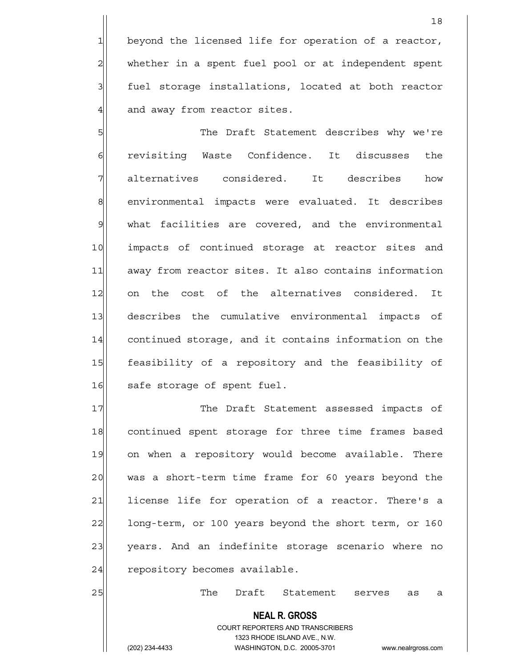$1$  beyond the licensed life for operation of a reactor, 2 whether in a spent fuel pool or at independent spent 3 | fuel storage installations, located at both reactor 4 and away from reactor sites.

5 The Draft Statement describes why we're 6 fill revisiting Waste Confidence. It discusses the 7 alternatives considered. It describes how 8| environmental impacts were evaluated. It describes 9 what facilities are covered, and the environmental 10 | impacts of continued storage at reactor sites and 11 away from reactor sites. It also contains information 12 on the cost of the alternatives considered. It 13 describes the cumulative environmental impacts of 14 continued storage, and it contains information on the 15 feasibility of a repository and the feasibility of 16 safe storage of spent fuel.

17 The Draft Statement assessed impacts of 18 continued spent storage for three time frames based 19 on when a repository would become available. There 20 was a short-term time frame for 60 years beyond the 21 license life for operation of a reactor. There's a 22 long-term, or 100 years beyond the short term, or 160 23 years. And an indefinite storage scenario where no  $24$  repository becomes available.

25 The Draft Statement serves as a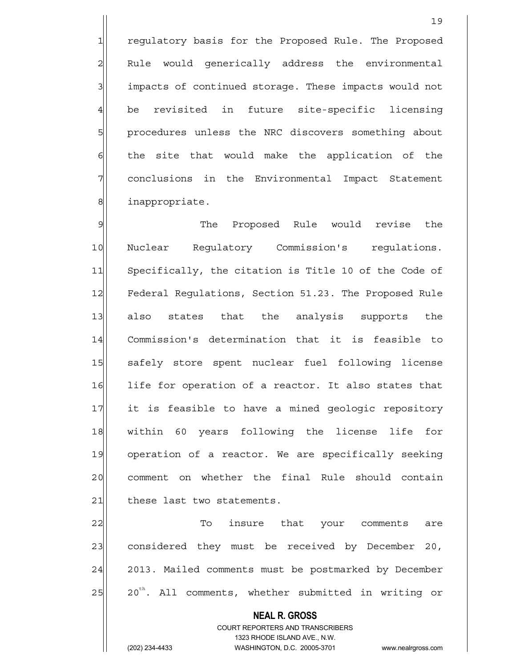1 regulatory basis for the Proposed Rule. The Proposed 2| Rule would generically address the environmental 3 3 impacts of continued storage. These impacts would not 4 be revisited in future site-specific licensing 5 procedures unless the NRC discovers something about  $6$  the site that would make the application of the 7 conclusions in the Environmental Impact Statement 8 | inappropriate.

9 | She Proposed Rule would revise the 10 Nuclear Regulatory Commission's regulations. 11 Specifically, the citation is Title 10 of the Code of 12 Federal Regulations, Section 51.23. The Proposed Rule 13 also states that the analysis supports the 14 Commission's determination that it is feasible to 15 Safely store spent nuclear fuel following license 16 life for operation of a reactor. It also states that 17 it is feasible to have a mined geologic repository 18 within 60 years following the license life for 19 operation of a reactor. We are specifically seeking 20 comment on whether the final Rule should contain 21 these last two statements.

22 To insure that your comments are 23 considered they must be received by December 20, 24 2013. Mailed comments must be postmarked by December  $25$   $20^{th}$ . All comments, whether submitted in writing or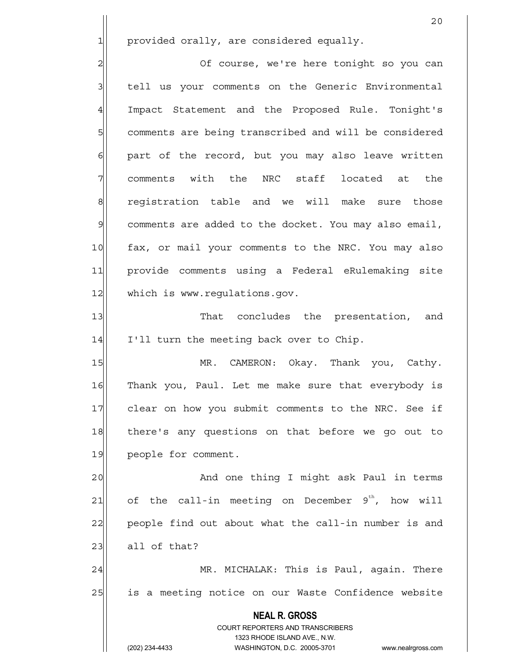$1$  provided orally, are considered equally.

2 2 Of course, we're here tonight so you can 3 | tell us your comments on the Generic Environmental 4 Impact Statement and the Proposed Rule. Tonight's 5 Somments are being transcribed and will be considered  $6$  part of the record, but you may also leave written 7 comments with the NRC staff located at the 8 registration table and we will make sure those  $9$  comments are added to the docket. You may also email, 10 fax, or mail your comments to the NRC. You may also 11 provide comments using a Federal eRulemaking site 12 which is www.regulations.gov. 13 That concludes the presentation, and 14 I'll turn the meeting back over to Chip.

15 MR. CAMERON: Okay. Thank you, Cathy. 16 Thank you, Paul. Let me make sure that everybody is 17 clear on how you submit comments to the NRC. See if 18 there's any questions on that before we go out to 19 people for comment.

20 And one thing I might ask Paul in terms  $21$  of the call-in meeting on December  $9^{th}$ , how will 22 people find out about what the call-in number is and  $23$  all of that?

24 MR. MICHALAK: This is Paul, again. There 25 | is a meeting notice on our Waste Confidence website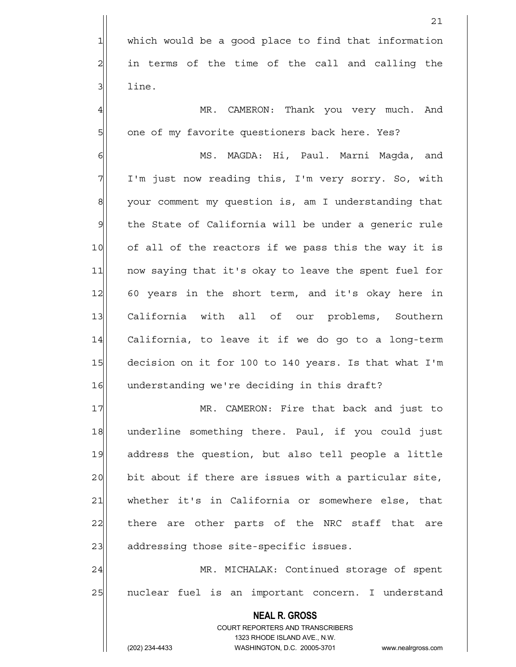$1$  which would be a good place to find that information  $2$  in terms of the time of the call and calling the  $3$  line.

4 MR. CAMERON: Thank you very much. And 5 5 5 one of my favorite questioners back here. Yes?

6 | MS. MAGDA: Hi, Paul. Marni Magda, and 7 I'm just now reading this, I'm very sorry. So, with 8 your comment my question is, am I understanding that 9 the State of California will be under a generic rule 10 of all of the reactors if we pass this the way it is 11 now saying that it's okay to leave the spent fuel for 12 60 years in the short term, and it's okay here in 13 California with all of our problems, Southern  $14$  California, to leave it if we do go to a long-term 15 decision on it for 100 to 140 years. Is that what I'm 16 understanding we're deciding in this draft?

17 MR. CAMERON: Fire that back and just to 18 underline something there. Paul, if you could just 19 address the question, but also tell people a little 20 bit about if there are issues with a particular site, 21 whether it's in California or somewhere else, that 22 there are other parts of the NRC staff that are 23 addressing those site-specific issues.

24 MR. MICHALAK: Continued storage of spent 25 | nuclear fuel is an important concern. I understand

> **NEAL R. GROSS** COURT REPORTERS AND TRANSCRIBERS 1323 RHODE ISLAND AVE., N.W.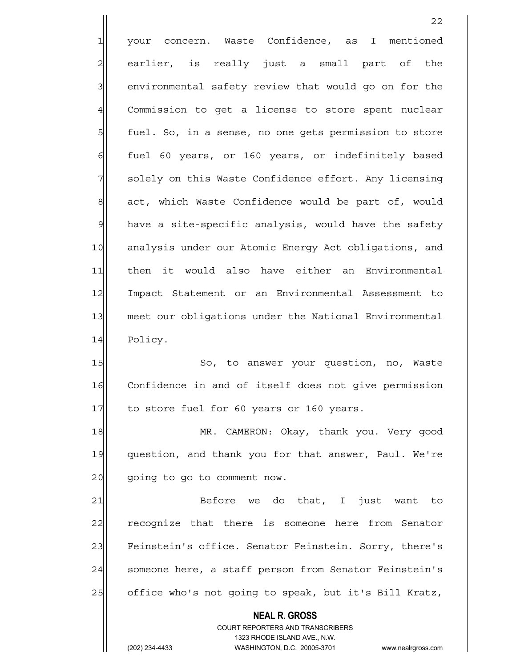<u>22</u> 1 your concern. Waste Confidence, as I mentioned  $2$  earlier, is really just a small part of the 3 3 environmental safety review that would go on for the 4 Commission to get a license to store spent nuclear 5 | fuel. So, in a sense, no one gets permission to store  $6$  fuel 60 years, or 160 years, or indefinitely based 7 Solely on this Waste Confidence effort. Any licensing 8 act, which Waste Confidence would be part of, would 9 have a site-specific analysis, would have the safety 10 analysis under our Atomic Energy Act obligations, and 11 then it would also have either an Environmental 12 Impact Statement or an Environmental Assessment to 13 meet our obligations under the National Environmental 14 Policy. 15 So, to answer your question, no, Waste 16 Confidence in and of itself does not give permission 17 to store fuel for 60 years or 160 years. 18 MR. CAMERON: Okay, thank you. Very good 19 question, and thank you for that answer, Paul. We're 20 going to go to comment now. 21 Before we do that, I just want to 22 recognize that there is someone here from Senator 23 Feinstein's office. Senator Feinstein. Sorry, there's

24 Someone here, a staff person from Senator Feinstein's 25 office who's not going to speak, but it's Bill Kratz,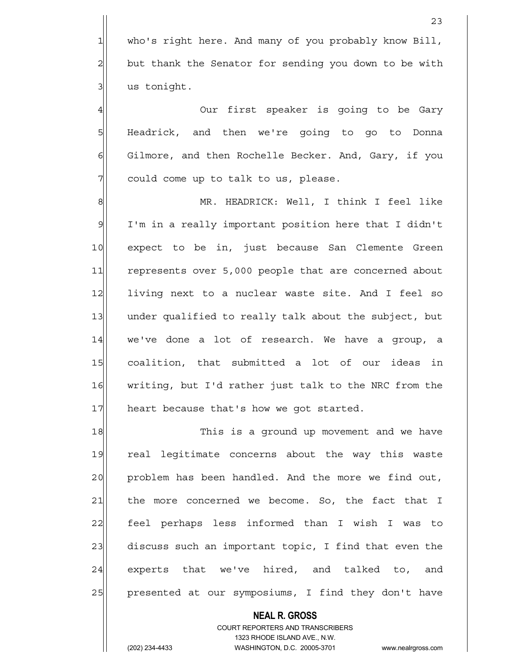4 Aurel Cur first speaker is going to be Gary 5 | Headrick, and then we're going to go to Donna 6 Gilmore, and then Rochelle Becker. And, Gary, if you  $7$  could come up to talk to us, please.

8 MR. HEADRICK: Well, I think I feel like 9 I'm in a really important position here that I didn't 10 expect to be in, just because San Clemente Green 11 represents over 5,000 people that are concerned about 12 living next to a nuclear waste site. And I feel so 13 under qualified to really talk about the subject, but 14 we've done a lot of research. We have a group, a 15 coalition, that submitted a lot of our ideas in 16 writing, but I'd rather just talk to the NRC from the 17| heart because that's how we got started.

18 This is a ground up movement and we have 19 real leqitimate concerns about the way this waste 20 problem has been handled. And the more we find out, 21 the more concerned we become. So, the fact that I 22 feel perhaps less informed than I wish I was to 23 discuss such an important topic, I find that even the 24 experts that we've hired, and talked to, and 25 presented at our symposiums, I find they don't have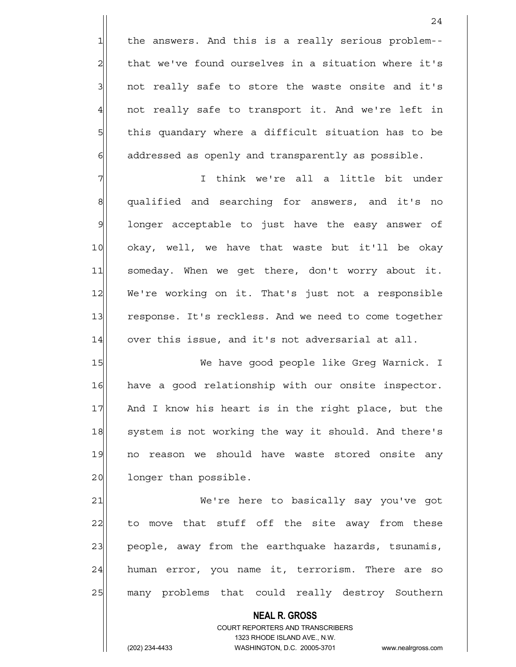1 the answers. And this is a really serious problem-- that we've found ourselves in a situation where it's not really safe to store the waste onsite and it's not really safe to transport it. And we're left in 5| this quandary where a difficult situation has to be addressed as openly and transparently as possible.

7 I think we're all a little bit under 8 qualified and searching for answers, and it's no 9 longer acceptable to just have the easy answer of 10 okay, well, we have that waste but it'll be okay 11 someday. When we get there, don't worry about it. 12 We're working on it. That's just not a responsible 13 response. It's reckless. And we need to come together  $14$  over this issue, and it's not adversarial at all.

15 We have good people like Greg Warnick. I 16 have a good relationship with our onsite inspector. 17 And I know his heart is in the right place, but the 18 system is not working the way it should. And there's 19 no reason we should have waste stored onsite any 20 | longer than possible.

21 We're here to basically say you've got  $22$  to move that stuff off the site away from these 23| people, away from the earthquake hazards, tsunamis,  $24$  human error, you name it, terrorism. There are so 25 | many problems that could really destroy Southern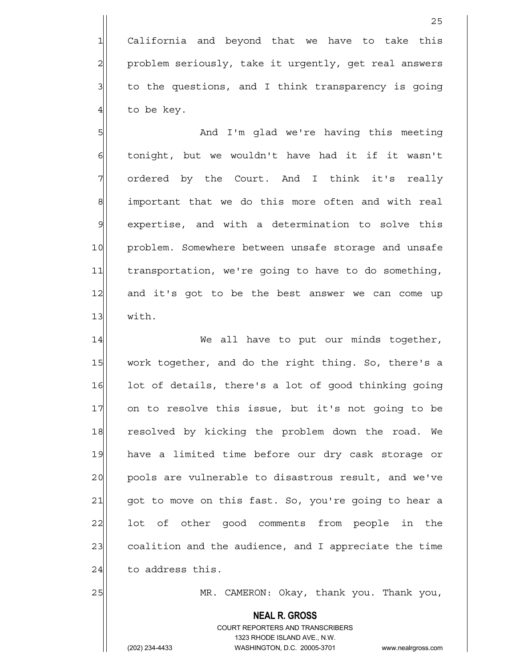1 California and beyond that we have to take this 2 problem seriously, take it urgently, get real answers  $3$  to the questions, and I think transparency is going  $4$  to be key.

5 SM And I'm glad we're having this meeting  $6$  tonight, but we wouldn't have had it if it wasn't  $7$  ordered by the Court. And I think it's really 8 important that we do this more often and with real  $\mathcal{G}$  expertise, and with a determination to solve this 10 problem. Somewhere between unsafe storage and unsafe 11 transportation, we're going to have to do something, 12 and it's got to be the best answer we can come up 13 with.

14 We all have to put our minds together, 15 work together, and do the right thing. So, there's a 16 lot of details, there's a lot of good thinking going 17 on to resolve this issue, but it's not going to be 18 resolved by kicking the problem down the road. We 19 have a limited time before our dry cask storage or 20 pools are vulnerable to disastrous result, and we've 21 got to move on this fast. So, you're going to hear a 22 lot of other good comments from people in the 23 coalition and the audience, and I appreciate the time 24 to address this.

25 MR. CAMERON: Okay, thank you. Thank you,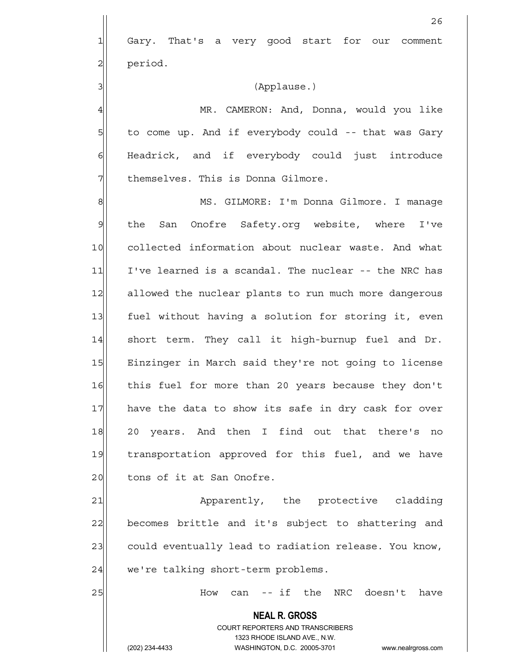<u>26</u> 1 Gary. That's a very good start for our comment 2 period. 3<sup>|</sup> (Applause.) 4 MR. CAMERON: And, Donna, would you like

5 to come up. And if everybody could -- that was Gary 6 Headrick, and if everybody could just introduce 7 Themselves. This is Donna Gilmore.

8 MS. GILMORE: I'm Donna Gilmore. I manage 9 the San Onofre Safety.org website, where I've 10 collected information about nuclear waste. And what 11 I've learned is a scandal. The nuclear -- the NRC has 12 allowed the nuclear plants to run much more dangerous 13 fuel without having a solution for storing it, even 14 short term. They call it high-burnup fuel and Dr. 15 Einzinger in March said they're not going to license 16 this fuel for more than 20 years because they don't 17 have the data to show its safe in dry cask for over 18 20 years. And then I find out that there's no 19 transportation approved for this fuel, and we have 20 tons of it at San Onofre.

21 Apparently, the protective cladding 22 becomes brittle and it's subject to shattering and 23 could eventually lead to radiation release. You know,  $24$  we're talking short-term problems.

25 | Communist How can -- if the NRC doesn't have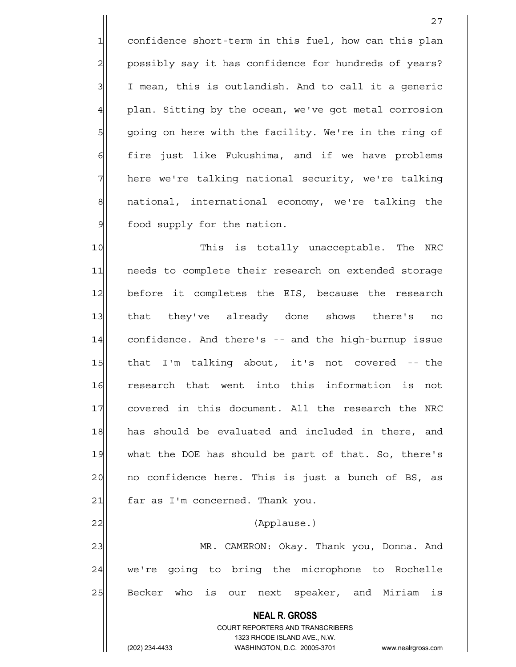1 confidence short-term in this fuel, how can this plan 2 possibly say it has confidence for hundreds of years?  $3$  I mean, this is outlandish. And to call it a generic 4 plan. Sitting by the ocean, we've got metal corrosion 5 sq 5 going on here with the facility. We're in the ring of  $6$  fire just like Fukushima, and if we have problems 7 here we're talking national security, we're talking 8 8 national, international economy, we're talking the  $9$  food supply for the nation.

27

10 This is totally unacceptable. The NRC 11 | needs to complete their research on extended storage 12 before it completes the EIS, because the research 13 that they've already done shows there's no 14 confidence. And there's -- and the high-burnup issue 15 that I'm talking about, it's not covered -- the 16 research that went into this information is not 17 covered in this document. All the research the NRC 18 has should be evaluated and included in there, and 19 what the DOE has should be part of that. So, there's 20 | no confidence here. This is just a bunch of BS, as  $21$  far as I'm concerned. Thank you. 22 | (Applause.) 23 MR. CAMERON: Okay. Thank you, Donna. And

24 we're going to bring the microphone to Rochelle 25 Becker who is our next speaker, and Miriam is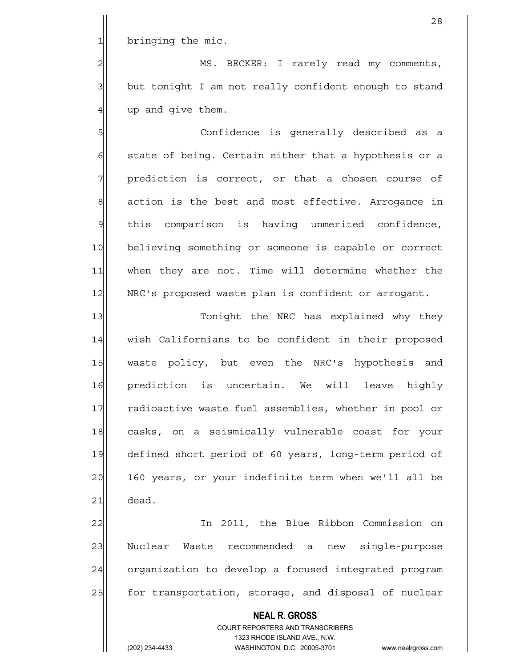1 bringing the mic.

2 MS. BECKER: I rarely read my comments,  $3$  but tonight I am not really confident enough to stand  $4$  up and give them.

5 Confidence is generally described as a  $6$  state of being. Certain either that a hypothesis or a 7 | prediction is correct, or that a chosen course of 8 action is the best and most effective. Arrogance in 9 this comparison is having unmerited confidence, 10 believing something or someone is capable or correct 11 when they are not. Time will determine whether the 12 NRC's proposed waste plan is confident or arrogant.

13 Tonight the NRC has explained why they 14 wish Californians to be confident in their proposed 15 waste policy, but even the NRC's hypothesis and 16 prediction is uncertain. We will leave highly 17 radioactive waste fuel assemblies, whether in pool or 18 casks, on a seismically vulnerable coast for your 19 defined short period of 60 years, long-term period of 20 160 years, or your indefinite term when we'll all be  $21$  dead.

22 | In 2011, the Blue Ribbon Commission on 23 | Nuclear Waste recommended a new single-purpose 24 organization to develop a focused integrated program 25 for transportation, storage, and disposal of nuclear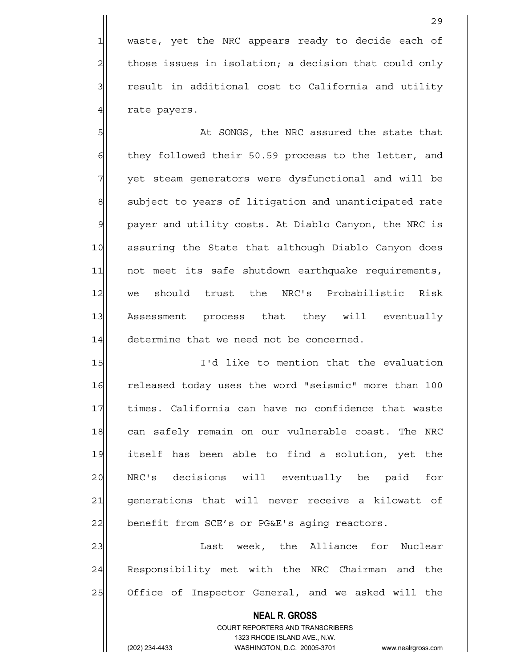1 waste, yet the NRC appears ready to decide each of  $2$  those issues in isolation; a decision that could only 3 3 result in additional cost to California and utility 4 rate payers.

5 5 At SONGS, the NRC assured the state that  $6$  they followed their 50.59 process to the letter, and 7 | yet steam generators were dysfunctional and will be 8 8 subject to years of litigation and unanticipated rate 9 payer and utility costs. At Diablo Canyon, the NRC is 10 assuring the State that although Diablo Canyon does 11 not meet its safe shutdown earthquake requirements, 12 we should trust the NRC's Probabilistic Risk 13 Assessment process that they will eventually 14 determine that we need not be concerned.

15 I'd like to mention that the evaluation 16 released today uses the word "seismic" more than 100 17 times. California can have no confidence that waste 18 can safely remain on our vulnerable coast. The NRC 19 itself has been able to find a solution, yet the 20 | NRC's decisions will eventually be paid for 21 generations that will never receive a kilowatt of 22 benefit from SCE's or PG&E's aging reactors.

23 | Cast week, the Alliance for Nuclear 24 Responsibility met with the NRC Chairman and the 25 Office of Inspector General, and we asked will the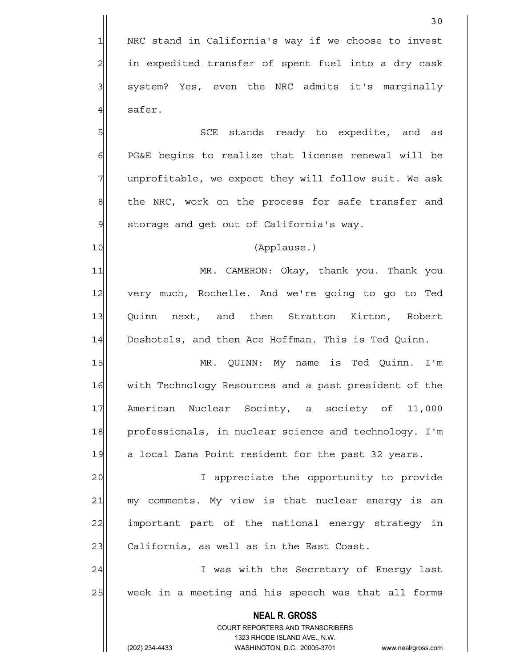5 SCE stands ready to expedite, and as 6 PG&E begins to realize that license renewal will be 7 | unprofitable, we expect they will follow suit. We ask 8 the NRC, work on the process for safe transfer and  $9$  storage and get out of California's way.

### 10 (Applause.)

11 MR. CAMERON: Okay, thank you. Thank you 12 very much, Rochelle. And we're going to go to Ted 13 Quinn next, and then Stratton Kirton, Robert 14 Deshotels, and then Ace Hoffman. This is Ted Ouinn.

15 | MR. QUINN: My name is Ted Quinn. I'm 16 with Technology Resources and a past president of the 17 American Nuclear Society, a society of 11,000 18 professionals, in nuclear science and technology. I'm 19 a local Dana Point resident for the past 32 years.

20 I appreciate the opportunity to provide 21 my comments. My view is that nuclear energy is an 22 important part of the national energy strategy in 23 California, as well as in the East Coast.

24 | I was with the Secretary of Energy last 25 week in a meeting and his speech was that all forms

 **NEAL R. GROSS**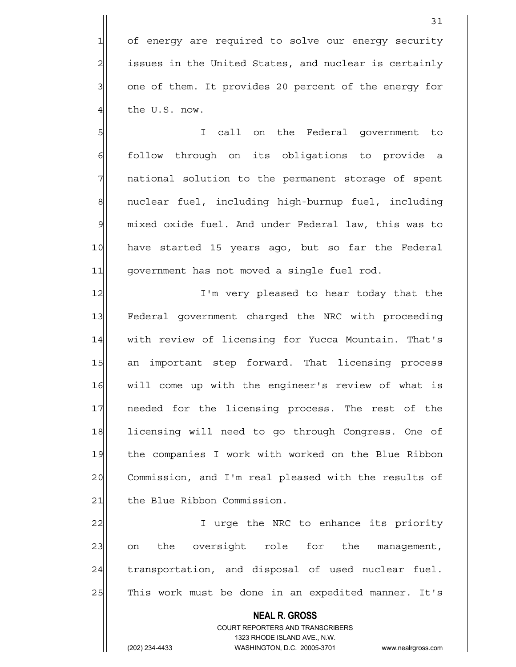1 of energy are required to solve our energy security  $2\vert$  issues in the United States, and nuclear is certainly 3 one of them. It provides 20 percent of the energy for  $4$  the U.S. now.

5 I call on the Federal government to 6 follow through on its obligations to provide a 7 | national solution to the permanent storage of spent 8 | nuclear fuel, including high-burnup fuel, including 9 mixed oxide fuel. And under Federal law, this was to 10 have started 15 years ago, but so far the Federal 11 government has not moved a single fuel rod.

12 I'm very pleased to hear today that the 13 Federal government charged the NRC with proceeding 14 with review of licensing for Yucca Mountain. That's 15 an important step forward. That licensing process 16 will come up with the engineer's review of what is 17 needed for the licensing process. The rest of the 18 licensing will need to go through Congress. One of 19 the companies I work with worked on the Blue Ribbon 20 Commission, and I'm real pleased with the results of 21 | the Blue Ribbon Commission.

22 I urge the NRC to enhance its priority 23 on the oversight role for the management, 24 transportation, and disposal of used nuclear fuel. 25 This work must be done in an expedited manner. It's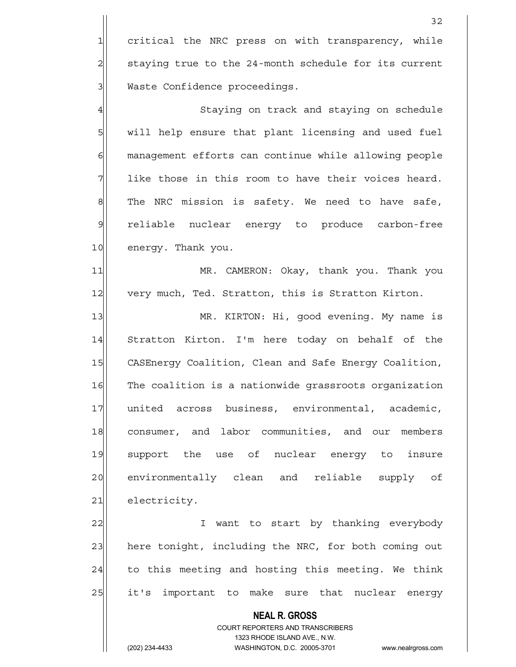1 critical the NRC press on with transparency, while  $2$  staying true to the 24-month schedule for its current 3 | Waste Confidence proceedings.

4 Staying on track and staying on schedule 5 | will help ensure that plant licensing and used fuel 6| management efforts can continue while allowing people  $7$  like those in this room to have their voices heard.  $8$  The NRC mission is safety. We need to have safe, 9 reliable nuclear energy to produce carbon-free 10 energy. Thank you.

11 MR. CAMERON: Okay, thank you. Thank you 12 very much, Ted. Stratton, this is Stratton Kirton.

13 MR. KIRTON: Hi, good evening. My name is 14 Stratton Kirton. I'm here today on behalf of the 15 | CASEnergy Coalition, Clean and Safe Energy Coalition, 16 The coalition is a nationwide grassroots organization 17 united across business, environmental, academic, 18 consumer, and labor communities, and our members 19 support the use of nuclear energy to insure 20 environmentally clean and reliable supply of 21 electricity.

22 I want to start by thanking everybody 23 here tonight, including the NRC, for both coming out  $24$  to this meeting and hosting this meeting. We think 25 it's important to make sure that nuclear energy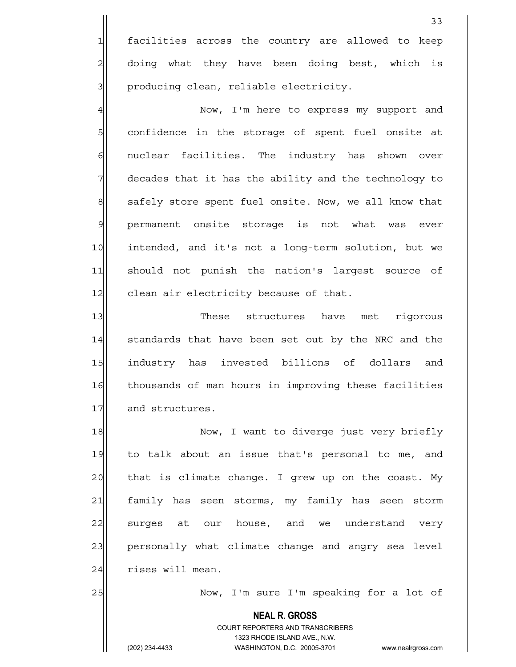1 facilities across the country are allowed to keep 2 doing what they have been doing best, which is 3 | producing clean, reliable electricity.

4 Now, I'm here to express my support and 5 5 5 5 sonfidence in the storage of spent fuel onsite at 6 6 6 nuclear facilities. The industry has shown over  $7$  decades that it has the ability and the technology to 8 safely store spent fuel onsite. Now, we all know that 9 permanent onsite storage is not what was ever 10 intended, and it's not a long-term solution, but we 11 should not punish the nation's largest source of 12 clean air electricity because of that.

13 These structures have met rigorous 14 standards that have been set out by the NRC and the 15 industry has invested billions of dollars and 16 thousands of man hours in improving these facilities 17 and structures.

18 Now, I want to diverge just very briefly 19 to talk about an issue that's personal to me, and 20 that is climate change. I grew up on the coast. My 21 | family has seen storms, my family has seen storm 22 surges at our house, and we understand very 23| personally what climate change and angry sea level 24 rises will mean.

25 | Now, I'm sure I'm speaking for a lot of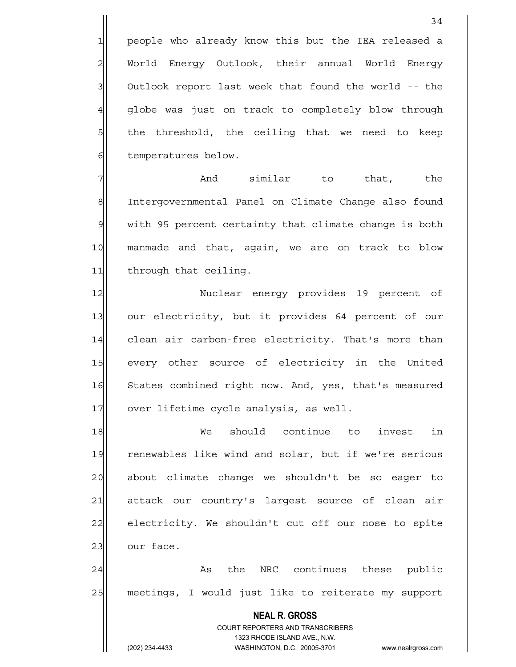1 people who already know this but the IEA released a 2 World Energy Outlook, their annual World Energy 3 Outlook report last week that found the world -- the 4 globe was just on track to completely blow through 5 5 5 5 the threshold, the ceiling that we need to keep 6 6 temperatures below.

 $7$   $\vert$  and similar to that, the 8 Intergovernmental Panel on Climate Change also found 9 with 95 percent certainty that climate change is both 10 manmade and that, again, we are on track to blow 11 through that ceiling.

12 Nuclear energy provides 19 percent of 13 our electricity, but it provides 64 percent of our 14 clean air carbon-free electricity. That's more than 15 every other source of electricity in the United 16 States combined right now. And, yes, that's measured 17 over lifetime cycle analysis, as well.

18 and 18 We should continue to invest in 19 renewables like wind and solar, but if we're serious 20 about climate change we shouldn't be so eager to 21 attack our country's largest source of clean air 22 electricity. We shouldn't cut off our nose to spite 23 our face.

24 as the NRC continues these public 25 | meetings, I would just like to reiterate my support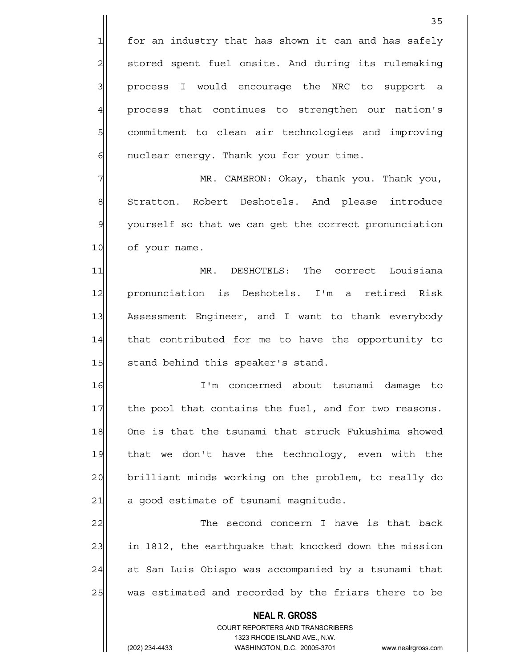$1$  for an industry that has shown it can and has safely 2 Stored spent fuel onsite. And during its rulemaking 3 | process I would encourage the NRC to support a 4 process that continues to strengthen our nation's 5 5 5 sommitment to clean air technologies and improving  $6$  nuclear energy. Thank you for your time.

7 MR. CAMERON: Okay, thank you. Thank you, 8 Stratton. Robert Deshotels. And please introduce 9 yourself so that we can get the correct pronunciation 10 of your name.

11 MR. DESHOTELS: The correct Louisiana 12 pronunciation is Deshotels. I'm a retired Risk 13 Assessment Engineer, and I want to thank everybody 14 that contributed for me to have the opportunity to 15 stand behind this speaker's stand.

16 I'm concerned about tsunami damage to 17 the pool that contains the fuel, and for two reasons. 18 One is that the tsunami that struck Fukushima showed 19 that we don't have the technology, even with the 20 brilliant minds working on the problem, to really do  $21$  a good estimate of tsunami magnitude.

22 The second concern I have is that back 23 in 1812, the earthquake that knocked down the mission 24 at San Luis Obispo was accompanied by a tsunami that 25 was estimated and recorded by the friars there to be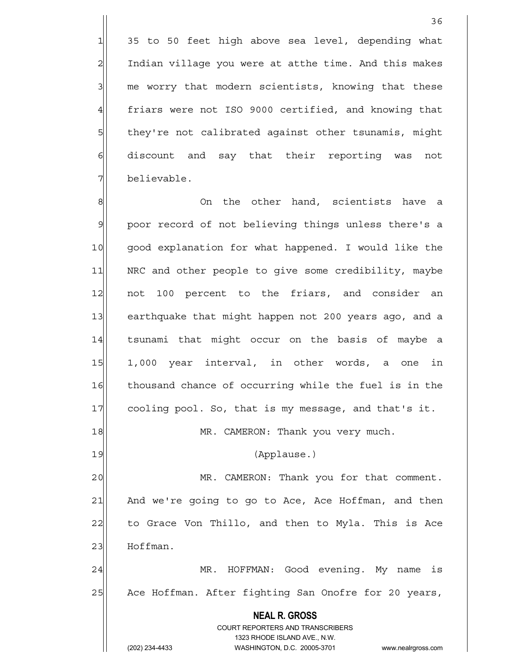$1$  35 to 50 feet high above sea level, depending what 2| Indian village you were at atthe time. And this makes 3 me worry that modern scientists, knowing that these 4 friars were not ISO 9000 certified, and knowing that 5 5 5 5 they're not calibrated against other tsunamis, might 6 6 6 discount and say that their reporting was not 7 believable.

 $36$ 

 **NEAL R. GROSS** COURT REPORTERS AND TRANSCRIBERS 8 8 8 On the other hand, scientists have a 9 poor record of not believing things unless there's a 10 good explanation for what happened. I would like the 11 NRC and other people to give some credibility, maybe 12 not 100 percent to the friars, and consider an 13 earthquake that might happen not 200 years ago, and a 14 tsunami that might occur on the basis of maybe a 15 1,000 year interval, in other words, a one in 16 thousand chance of occurring while the fuel is in the 17 cooling pool. So, that is my message, and that's it. 18 MR. CAMERON: Thank you very much. 19 (Applause.) 20 MR. CAMERON: Thank you for that comment. 21 And we're going to go to Ace, Ace Hoffman, and then  $22$  to Grace Von Thillo, and then to Myla. This is Ace 23 Hoffman. 24 MR. HOFFMAN: Good evening. My name is 25 Ace Hoffman. After fighting San Onofre for 20 years,

1323 RHODE ISLAND AVE., N.W.

(202) 234-4433 WASHINGTON, D.C. 20005-3701 www.nealrgross.com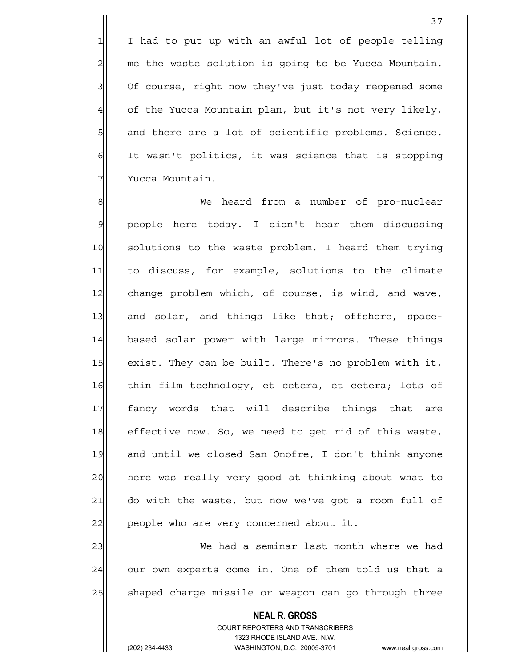$1$  I had to put up with an awful lot of people telling  $2$  me the waste solution is going to be Yucca Mountain. 3 Of course, right now they've just today reopened some  $4$  of the Yucca Mountain plan, but it's not very likely,  $5$  and there are a lot of scientific problems. Science.  $\left| \cdot \right|$  It wasn't politics, it was science that is stopping 7 Yucca Mountain.

8 8 Me heard from a number of pro-nuclear  $9$  people here today. I didn't hear them discussing 10 solutions to the waste problem. I heard them trying 11 to discuss, for example, solutions to the climate 12 change problem which, of course, is wind, and wave, 13 and solar, and things like that; offshore, space-14 based solar power with large mirrors. These things 15 exist. They can be built. There's no problem with it, 16 thin film technology, et cetera, et cetera; lots of 17 fancy words that will describe things that are 18 effective now. So, we need to get rid of this waste, 19 and until we closed San Onofre, I don't think anyone 20 here was really very good at thinking about what to 21 do with the waste, but now we've got a room full of 22| people who are very concerned about it.

23 We had a seminar last month where we had  $24$  our own experts come in. One of them told us that a 25 Shaped charge missile or weapon can go through three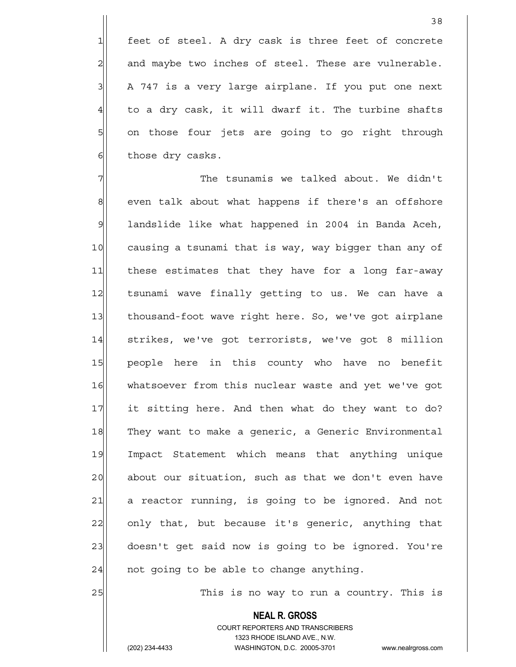feet of steel. A dry cask is three feet of concrete and maybe two inches of steel. These are vulnerable. A 747 is a very large airplane. If you put one next to a dry cask, it will dwarf it. The turbine shafts 5 5 5 on those four jets are going to go right through those dry casks.

7 The tsunamis we talked about. We didn't 8| even talk about what happens if there's an offshore 9 landslide like what happened in 2004 in Banda Aceh, 10 causing a tsunami that is way, way bigger than any of 11 these estimates that they have for a long far-away 12 tsunami wave finally getting to us. We can have a 13 thousand-foot wave right here. So, we've got airplane 14 strikes, we've got terrorists, we've got 8 million 15 people here in this county who have no benefit 16 whatsoever from this nuclear waste and yet we've got 17 it sitting here. And then what do they want to do? 18 They want to make a generic, a Generic Environmental 19 Impact Statement which means that anything unique 20 | about our situation, such as that we don't even have 21 a reactor running, is going to be ignored. And not 22 only that, but because it's generic, anything that 23 doesn't get said now is going to be ignored. You're  $24$  not going to be able to change anything.

25 a 25 This is no way to run a country. This is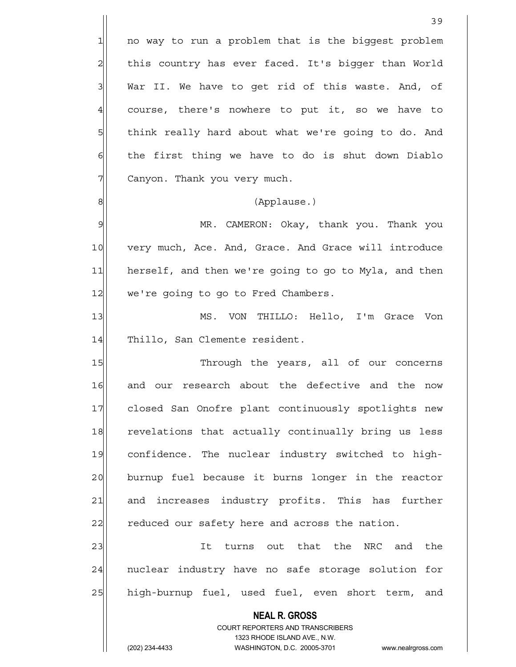$1$  no way to run a problem that is the biggest problem 2 | this country has ever faced. It's bigger than World  $3$  War II. We have to get rid of this waste. And, of 4 course, there's nowhere to put it, so we have to 5 5 5 5 think really hard about what we're going to do. And  $6$  the first thing we have to do is shut down Diablo 7 | Canyon. Thank you very much. 8 (Applause.)

9 MR. CAMERON: Okay, thank you. Thank you 10 very much, Ace. And, Grace. And Grace will introduce 11 herself, and then we're going to go to Myla, and then 12 we're going to go to Fred Chambers.

13 MS. VON THILLO: Hello, I'm Grace Von 14 Thillo, San Clemente resident.

15 Through the years, all of our concerns 16 and our research about the defective and the now 17 closed San Onofre plant continuously spotlights new 18 revelations that actually continually bring us less 19 confidence. The nuclear industry switched to high-20 burnup fuel because it burns longer in the reactor 21 and increases industry profits. This has further 22 reduced our safety here and across the nation.

23 and the NRC and the NRC and the 123 and the 123 and the 123 and the 123 and the 24 | nuclear industry have no safe storage solution for 25 high-burnup fuel, used fuel, even short term, and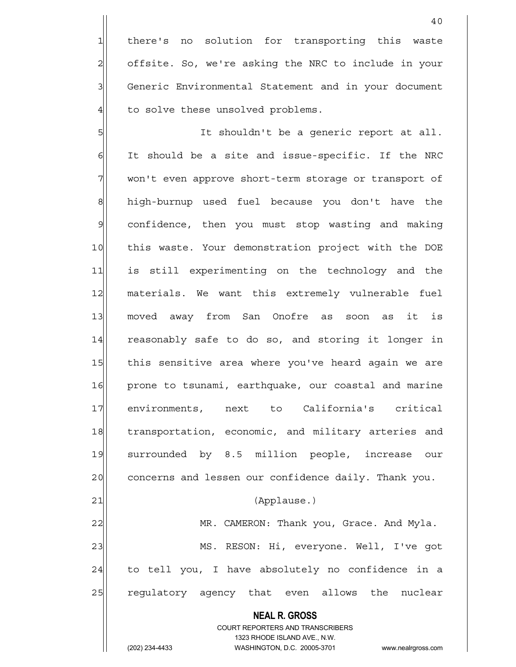1 there's no solution for transporting this waste 2 offsite. So, we're asking the NRC to include in your 3 Generic Environmental Statement and in your document  $4$  to solve these unsolved problems.

5 It shouldn't be a generic report at all.  $6$  It should be a site and issue-specific. If the NRC 7 | won't even approve short-term storage or transport of 8 high-burnup used fuel because you don't have the 9 confidence, then you must stop wasting and making 10 this waste. Your demonstration project with the DOE 11 is still experimenting on the technology and the 12 materials. We want this extremely vulnerable fuel 13 moved away from San Onofre as soon as it is 14 reasonably safe to do so, and storing it longer in 15 this sensitive area where you've heard again we are 16 prone to tsunami, earthquake, our coastal and marine 17 environments, next to California's critical 18 transportation, economic, and military arteries and 19 surrounded by 8.5 million people, increase our 20 concerns and lessen our confidence daily. Thank you. 21 (Applause.)

22 MR. CAMERON: Thank you, Grace. And Myla. 23 MS. RESON: Hi, everyone. Well, I've got  $24$  to tell you, I have absolutely no confidence in a 25 regulatory agency that even allows the nuclear

> **NEAL R. GROSS** COURT REPORTERS AND TRANSCRIBERS 1323 RHODE ISLAND AVE., N.W. (202) 234-4433 WASHINGTON, D.C. 20005-3701 www.nealrgross.com

40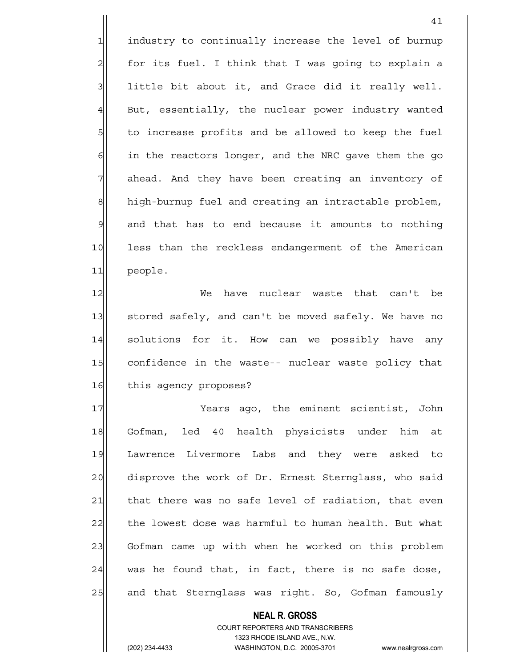1 industry to continually increase the level of burnup  $2$  for its fuel. I think that I was going to explain a  $3$  little bit about it, and Grace did it really well. 4 But, essentially, the nuclear power industry wanted  $5$  to increase profits and be allowed to keep the fuel  $6$  in the reactors longer, and the NRC gave them the go 7 ahead. And they have been creating an inventory of 8 high-burnup fuel and creating an intractable problem, 9 and that has to end because it amounts to nothing 10 less than the reckless endangerment of the American 11 people.

41

12 We have nuclear waste that can't be 13 stored safely, and can't be moved safely. We have no 14 solutions for it. How can we possibly have any 15 confidence in the waste-- nuclear waste policy that 16 this agency proposes?

17 Years ago, the eminent scientist, John 18 Gofman, led 40 health physicists under him at 19 Lawrence Livermore Labs and they were asked to 20 disprove the work of Dr. Ernest Sternglass, who said 21 | that there was no safe level of radiation, that even 22 the lowest dose was harmful to human health. But what 23 Gofman came up with when he worked on this problem  $24$  was he found that, in fact, there is no safe dose, 25 and that Sternglass was right. So, Gofman famously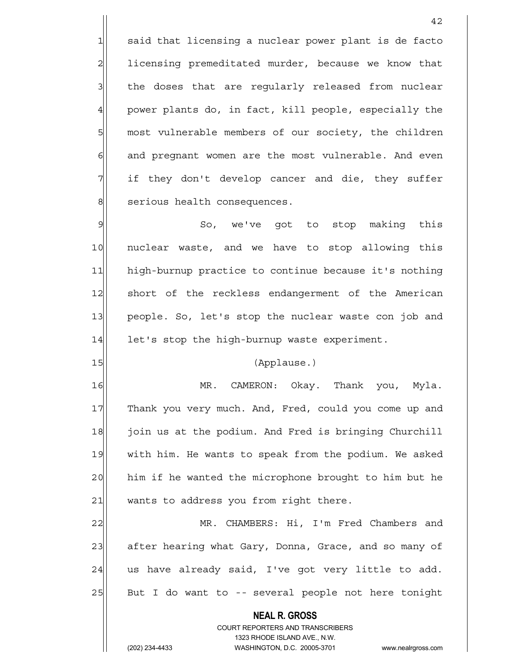$1$  said that licensing a nuclear power plant is de facto 2| licensing premeditated murder, because we know that 3 3 a the doses that are regularly released from nuclear 4 power plants do, in fact, kill people, especially the 5| most vulnerable members of our society, the children 6 6 6 6 and pregnant women are the most vulnerable. And even  $7$  if they don't develop cancer and die, they suffer 8 | serious health consequences.

9 So, we've got to stop making this 10 | nuclear waste, and we have to stop allowing this 11 high-burnup practice to continue because it's nothing 12 short of the reckless endangerment of the American 13 people. So, let's stop the nuclear waste con job and  $14$  let's stop the high-burnup waste experiment.

#### 15 (Applause.)

16 MR. CAMERON: Okay. Thank you, Myla. 17 | Thank you very much. And, Fred, could you come up and 18 join us at the podium. And Fred is bringing Churchill 19 with him. He wants to speak from the podium. We asked 20 him if he wanted the microphone brought to him but he  $21$  wants to address you from right there.

22 MR. CHAMBERS: Hi, I'm Fred Chambers and 23 after hearing what Gary, Donna, Grace, and so many of  $24$  us have already said, I've got very little to add. 25 But I do want to -- several people not here tonight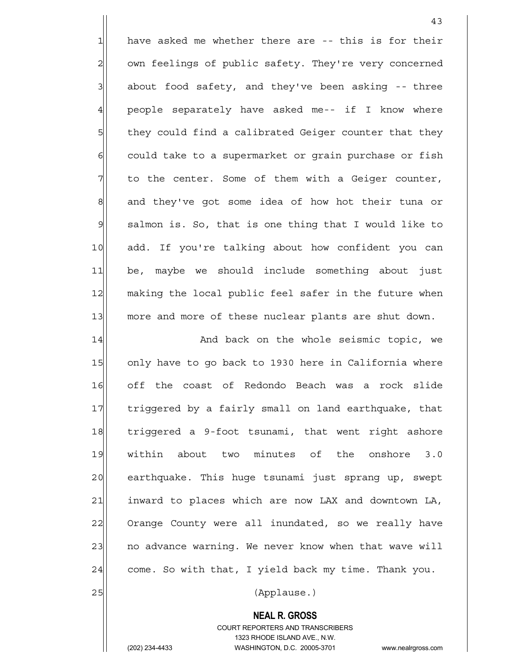$1$  have asked me whether there are -- this is for their 2 own feelings of public safety. They're very concerned  $3$  about food safety, and they've been asking  $-$  three 4 people separately have asked me-- if I know where  $5$  they could find a calibrated Geiger counter that they 6 6 6 could take to a supermarket or grain purchase or fish  $7$  to the center. Some of them with a Geiger counter, 8 and they've got some idea of how hot their tuna or 9 salmon is. So, that is one thing that I would like to 10 add. If you're talking about how confident you can 11 be, maybe we should include something about just 12 making the local public feel safer in the future when 13 more and more of these nuclear plants are shut down.

14 and back on the whole seismic topic, we 15 only have to go back to 1930 here in California where 16 off the coast of Redondo Beach was a rock slide 17 17 triggered by a fairly small on land earthquake, that 18 triggered a 9-foot tsunami, that went right ashore 19 within about two minutes of the onshore 3.0 20 earthquake. This huge tsunami just sprang up, swept 21 inward to places which are now LAX and downtown LA, 22 Orange County were all inundated, so we really have 23 | no advance warning. We never know when that wave will  $24$  come. So with that, I yield back my time. Thank you.

25 | (Applause.)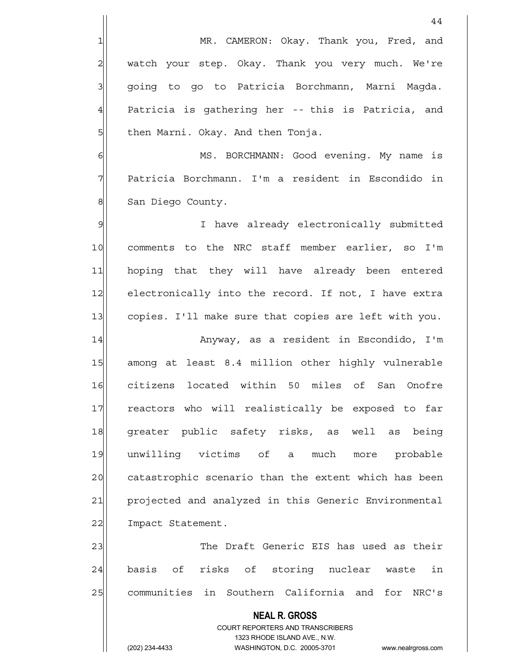1 MR. CAMERON: Okay. Thank you, Fred, and 2 watch your step. Okay. Thank you very much. We're 3 || going to go to Patricia Borchmann, Marni Maqda. 4 Patricia is gathering her -- this is Patricia, and 5 | then Marni. Okay. And then Tonja.

6 MS. BORCHMANN: Good evening. My name is 7 Patricia Borchmann. I'm a resident in Escondido in 8 | San Diego County.

9 I have already electronically submitted 10 comments to the NRC staff member earlier, so I'm 11 hoping that they will have already been entered 12 electronically into the record. If not, I have extra 13 copies. I'll make sure that copies are left with you.

14 | Anyway, as a resident in Escondido, I'm 15 among at least 8.4 million other highly vulnerable 16 citizens located within 50 miles of San Onofre 17 reactors who will realistically be exposed to far 18 greater public safety risks, as well as being 19 unwilling victims of a much more probable 20 catastrophic scenario than the extent which has been 21 projected and analyzed in this Generic Environmental 22 Impact Statement.

23 The Draft Generic EIS has used as their 24 basis of risks of storing nuclear waste in 25 communities in Southern California and for NRC's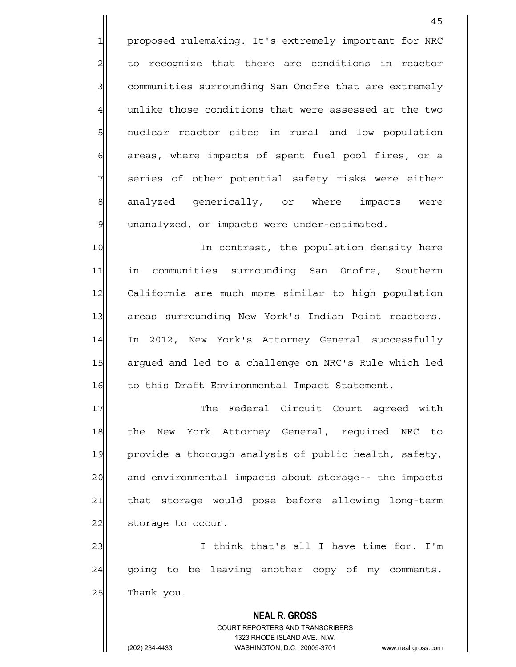1 proposed rulemaking. It's extremely important for NRC 2 to recognize that there are conditions in reactor 3 3 communities surrounding San Onofre that are extremely  $4$  unlike those conditions that were assessed at the two 5 | nuclear reactor sites in rural and low population 6 6 6 6 areas, where impacts of spent fuel pool fires, or a 7 Series of other potential safety risks were either 8| analyzed generically, or where impacts were 9 | unanalyzed, or impacts were under-estimated.

10 In contrast, the population density here 11 in communities surrounding San Onofre, Southern 12 California are much more similar to high population 13 areas surrounding New York's Indian Point reactors. 14 In 2012, New York's Attorney General successfully 15 argued and led to a challenge on NRC's Rule which led 16 to this Draft Environmental Impact Statement.

17 The Federal Circuit Court agreed with 18 the New York Attorney General, required NRC to 19 provide a thorough analysis of public health, safety, 20 and environmental impacts about storage-- the impacts 21 | that storage would pose before allowing long-term  $22$  storage to occur.

23 and I think that's all I have time for. I'm 24 going to be leaving another copy of my comments.  $25$  Thank you.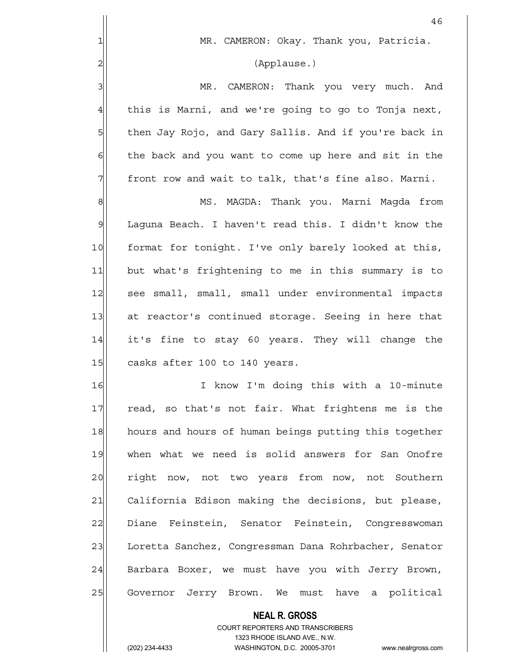|                | 46                                                       |
|----------------|----------------------------------------------------------|
| 1              | MR. CAMERON: Okay. Thank you, Patricia.                  |
| $\overline{2}$ | (Applause.)                                              |
| 3              | MR. CAMERON: Thank you very much. And                    |
| $\overline{4}$ | this is Marni, and we're going to go to Tonja next,      |
| 5              | then Jay Rojo, and Gary Sallis. And if you're back in    |
| 6              | the back and you want to come up here and sit in the     |
| 7              | front row and wait to talk, that's fine also. Marni.     |
| 8              | MS. MAGDA: Thank you. Marni Maqda from                   |
| $\mathcal{G}$  | Laguna Beach. I haven't read this. I didn't know the     |
| 10             | format for tonight. I've only barely looked at this,     |
| 11             | but what's frightening to me in this summary is to       |
| 12             | see small, small, small under environmental impacts      |
| 13             | at reactor's continued storage. Seeing in here that      |
| 14             | it's fine to stay 60 years. They will change the         |
| 15             | casks after 100 to 140 years.                            |
| 16             | know I'm doing this with a 10-minute<br>I.               |
| 17             | read, so that's not fair. What frightens me is the       |
| 18             | hours and hours of human beings putting this together    |
| 19             | when what we need is solid answers for San Onofre        |
| 20             | right now, not two years from now, not Southern          |
| 21             | California Edison making the decisions, but please,      |
| 22             | Diane Feinstein, Senator Feinstein, Congresswoman        |
| 23             | Loretta Sanchez, Congressman Dana Rohrbacher, Senator    |
| 24             | Barbara Boxer, we must have you with Jerry Brown,        |
| 25             | Governor Jerry Brown. We must have a political           |
|                | <b>NEAL R. GROSS</b><br>COURT REPORTERS AND TRANSCRIBERS |

1323 RHODE ISLAND AVE., N.W.

 $\prod$ 

(202) 234-4433 WASHINGTON, D.C. 20005-3701 www.nealrgross.com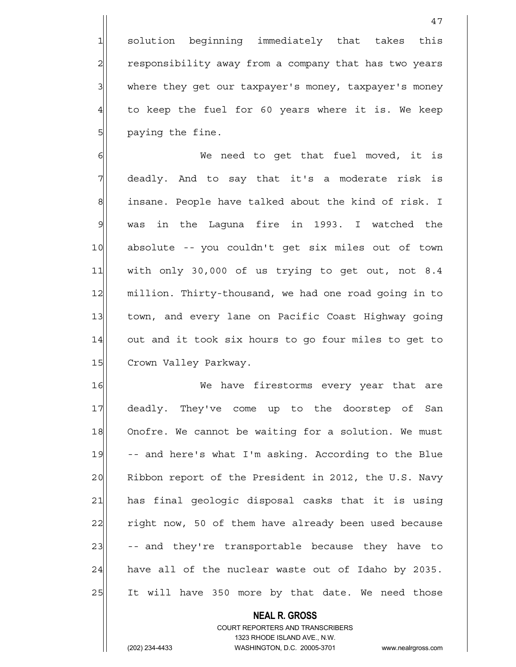1 solution beginning immediately that takes this 2 responsibility away from a company that has two years 3 where they get our taxpayer's money, taxpayer's money 4 to keep the fuel for 60 years where it is. We keep 5| paying the fine.

6 Me need to get that fuel moved, it is  $7$  deadly. And to say that it's a moderate risk is 8| insane. People have talked about the kind of risk. I 9 was in the Laguna fire in 1993. I watched the 10 absolute -- you couldn't get six miles out of town 11 with only 30,000 of us trying to get out, not 8.4 12 million. Thirty-thousand, we had one road going in to 13 town, and every lane on Pacific Coast Highway going 14 out and it took six hours to go four miles to get to 15 Crown Valley Parkway.

16 We have firestorms every year that are 17 deadly. They've come up to the doorstep of San 18 Onofre. We cannot be waiting for a solution. We must 19 -- and here's what I'm asking. According to the Blue 20 Ribbon report of the President in 2012, the U.S. Navy 21 has final geologic disposal casks that it is using 22 right now, 50 of them have already been used because 23 -- and they're transportable because they have to  $24$  have all of the nuclear waste out of Idaho by 2035. 25 It will have 350 more by that date. We need those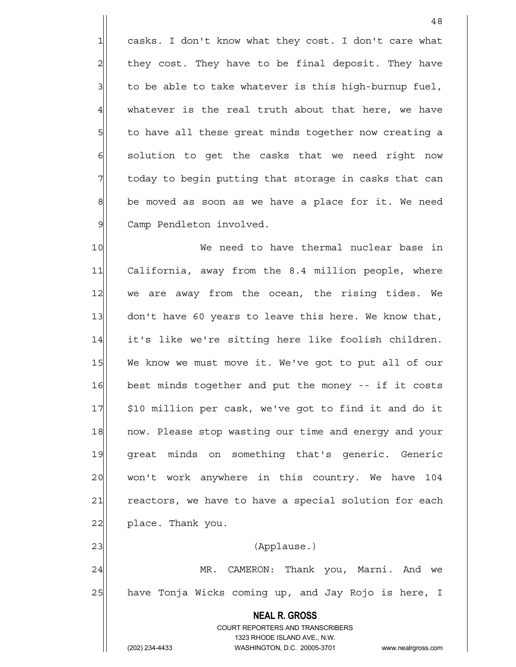1 casks. I don't know what they cost. I don't care what they cost. They have to be final deposit. They have to be able to take whatever is this high-burnup fuel, whatever is the real truth about that here, we have 5 5 5 5 to have all these great minds together now creating a solution to get the casks that we need right now today to begin putting that storage in casks that can be moved as soon as we have a place for it. We need 9 Camp Pendleton involved.

48

10 We need to have thermal nuclear base in 11 California, away from the 8.4 million people, where 12 we are away from the ocean, the rising tides. We 13 don't have 60 years to leave this here. We know that, 14 it's like we're sitting here like foolish children. 15 We know we must move it. We've got to put all of our 16 best minds together and put the money -- if it costs 17 | \$10 million per cask, we've got to find it and do it 18 now. Please stop wasting our time and energy and your 19 great minds on something that's generic. Generic 20 won't work anywhere in this country. We have 104 21 reactors, we have to have a special solution for each 22 place. Thank you. 23 | (Applause.)

24 MR. CAMERON: Thank you, Marni. And we 25 have Tonja Wicks coming up, and Jay Rojo is here, I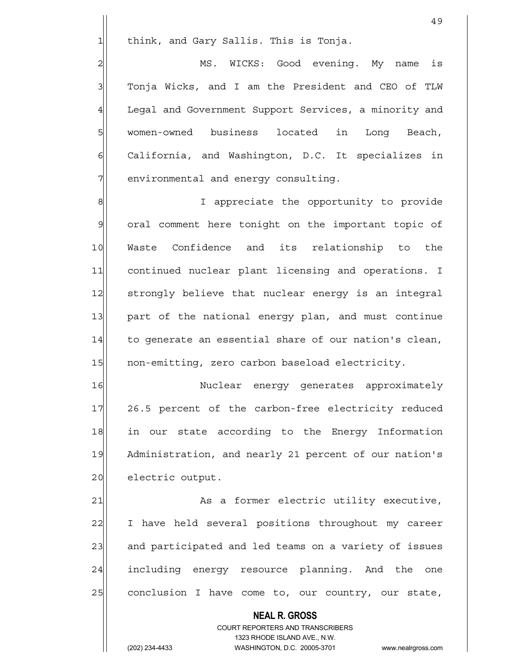1 think, and Gary Sallis. This is Tonja.

2 MS. WICKS: Good evening. My name is 3 Tonja Wicks, and I am the President and CEO of TLW 4 Legal and Government Support Services, a minority and 5 women-owned business located in Long Beach, 6 California, and Washington, D.C. It specializes in 7 | environmental and energy consulting.

8 8 I appreciate the opportunity to provide 9 oral comment here tonight on the important topic of 10 Waste Confidence and its relationship to the 11 continued nuclear plant licensing and operations. I 12 strongly believe that nuclear energy is an integral 13 part of the national energy plan, and must continue 14 to generate an essential share of our nation's clean, 15 | non-emitting, zero carbon baseload electricity.

16 | Nuclear energy generates approximately 17 26.5 percent of the carbon-free electricity reduced 18 in our state according to the Energy Information 19 Administration, and nearly 21 percent of our nation's 20 electric output.

21 As a former electric utility executive, 22 I have held several positions throughout my career 23 and participated and led teams on a variety of issues 24 including energy resource planning. And the one 25 conclusion I have come to, our country, our state,

> **NEAL R. GROSS** COURT REPORTERS AND TRANSCRIBERS 1323 RHODE ISLAND AVE., N.W. (202) 234-4433 WASHINGTON, D.C. 20005-3701 www.nealrgross.com

49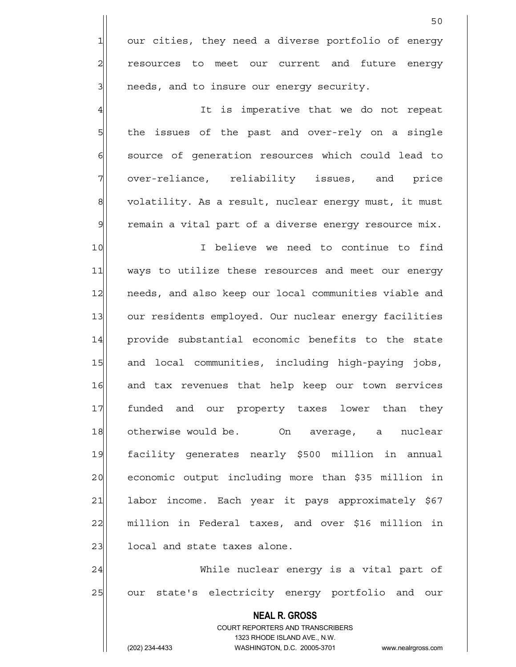1 our cities, they need a diverse portfolio of energy 2 resources to meet our current and future energy 3 all ineeds, and to insure our energy security.

4 all 11 It is imperative that we do not repeat 5 5 5 5 the issues of the past and over-rely on a single  $6$  source of generation resources which could lead to 7 || over-reliance, reliability issues, and price 8 volatility. As a result, nuclear energy must, it must 9 remain a vital part of a diverse energy resource mix.

10 I believe we need to continue to find 11 ways to utilize these resources and meet our energy 12 needs, and also keep our local communities viable and 13 our residents employed. Our nuclear energy facilities 14 provide substantial economic benefits to the state 15 and local communities, including high-paying jobs, 16 and tax revenues that help keep our town services 17 funded and our property taxes lower than they 18 otherwise would be. On average, a nuclear 19 facility generates nearly \$500 million in annual 20 economic output including more than \$35 million in 21 labor income. Each year it pays approximately \$67 22 million in Federal taxes, and over \$16 million in 23 | local and state taxes alone.

24 | While nuclear energy is a vital part of 25 our state's electricity energy portfolio and our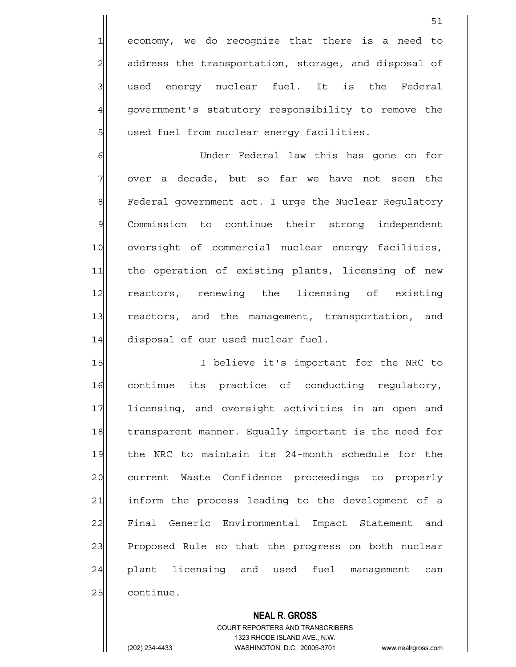1 economy, we do recognize that there is a need to 2 address the transportation, storage, and disposal of 3 | used energy nuclear fuel. It is the Federal 4 government's statutory responsibility to remove the 5 | used fuel from nuclear energy facilities.

6 6 Under Federal law this has gone on for  $7$  over a decade, but so far we have not seen the 8 Federal government act. I urge the Nuclear Regulatory 9 Commission to continue their strong independent 10 oversight of commercial nuclear energy facilities, 11 the operation of existing plants, licensing of new 12 reactors, renewing the licensing of existing 13 reactors, and the management, transportation, and 14 disposal of our used nuclear fuel.

15 I believe it's important for the NRC to 16 continue its practice of conducting regulatory, 17 licensing, and oversight activities in an open and 18 transparent manner. Equally important is the need for 19 the NRC to maintain its 24-month schedule for the 20 current Waste Confidence proceedings to properly 21 inform the process leading to the development of a 22 Final Generic Environmental Impact Statement and 23 Proposed Rule so that the progress on both nuclear 24 plant licensing and used fuel management can 25 continue.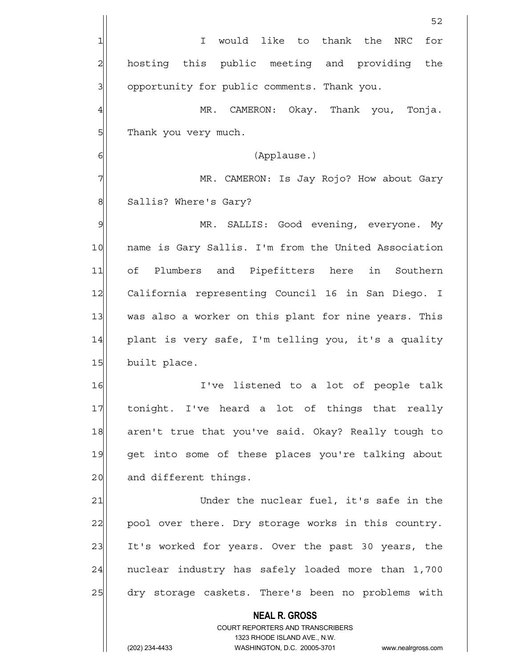**NEAL R. GROSS** COURT REPORTERS AND TRANSCRIBERS 1323 RHODE ISLAND AVE., N.W. (202) 234-4433 WASHINGTON, D.C. 20005-3701 www.nealrgross.com  $52$ 1 I would like to thank the NRC for 2 al hosting this public meeting and providing the 3 opportunity for public comments. Thank you. 4 MR. CAMERON: Okay. Thank you, Tonja. 5| Thank you very much. 6 (Applause.) 7 MR. CAMERON: Is Jay Rojo? How about Gary 8 | Sallis? Where's Gary? 9 MR. SALLIS: Good evening, everyone. My 10 | name is Gary Sallis. I'm from the United Association 11 of Plumbers and Pipefitters here in Southern 12 California representing Council 16 in San Diego. I 13 was also a worker on this plant for nine years. This 14 plant is very safe, I'm telling you, it's a quality 15 built place. 16 || I've listened to a lot of people talk 17 | tonight. I've heard a lot of things that really 18 aren't true that you've said. Okay? Really tough to 19 get into some of these places you're talking about 20 and different things. 21 Under the nuclear fuel, it's safe in the 22 pool over there. Dry storage works in this country. 23 It's worked for years. Over the past 30 years, the 24 | nuclear industry has safely loaded more than 1,700 25 dry storage caskets. There's been no problems with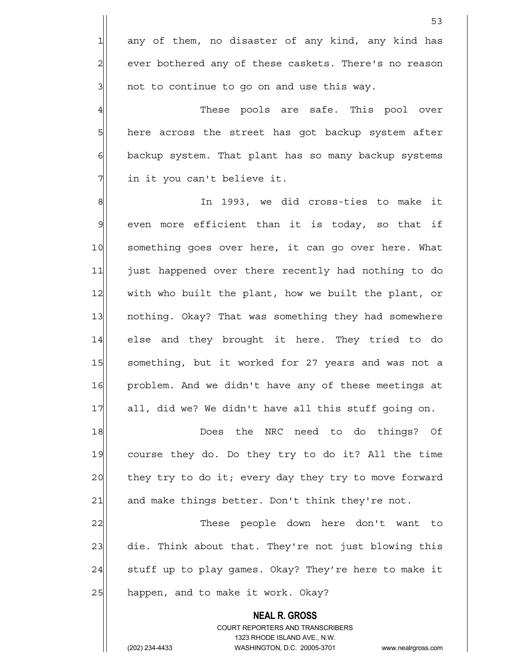1 any of them, no disaster of any kind, any kind has 2 ever bothered any of these caskets. There's no reason  $3$  not to continue to go on and use this way.

4 These pools are safe. This pool over 5 here across the street has got backup system after 6 backup system. That plant has so many backup systems 7 | in it you can't believe it.

8 8 In 1993, we did cross-ties to make it  $9$  even more efficient than it is today, so that if 10 something goes over here, it can go over here. What 11 just happened over there recently had nothing to do 12 with who built the plant, how we built the plant, or 13 13 nothing. Okay? That was something they had somewhere 14 else and they brought it here. They tried to do 15 | something, but it worked for 27 years and was not a 16 problem. And we didn't have any of these meetings at 17 all, did we? We didn't have all this stuff going on.

18 18 Does the NRC need to do things? Of 19 course they do. Do they try to do it? All the time 20 they try to do it; every day they try to move forward  $21$  and make things better. Don't think they're not.

22 These people down here don't want to 23 die. Think about that. They're not just blowing this 24 stuff up to play games. Okay? They're here to make it 25 happen, and to make it work. Okay?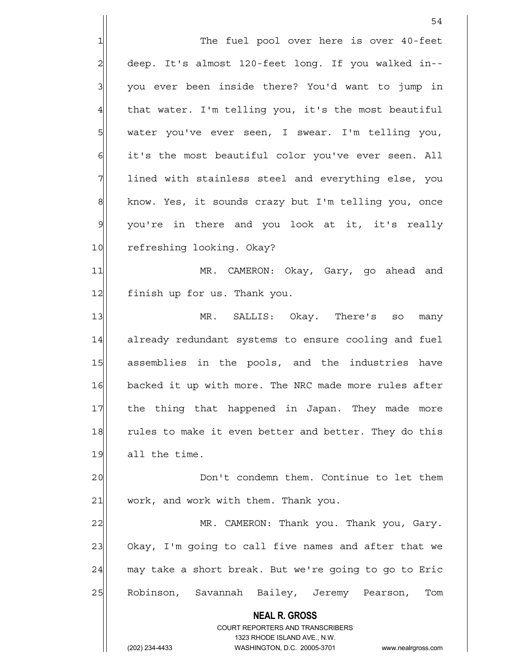**NEAL R. GROSS** COURT REPORTERS AND TRANSCRIBERS 1323 RHODE ISLAND AVE., N.W. 54 1 The fuel pool over here is over 40-feet 2 deep. It's almost 120-feet long. If you walked in--3 you ever been inside there? You'd want to jump in  $4$  that water. I'm telling you, it's the most beautiful 5 water you've ever seen, I swear. I'm telling you, 6 it's the most beautiful color you've ever seen. All 7 The lined with stainless steel and everything else, you 8 know. Yes, it sounds crazy but I'm telling you, once 9 you're in there and you look at it, it's really 10 refreshing looking. Okay? 11 MR. CAMERON: Okay, Gary, go ahead and 12 finish up for us. Thank you. 13 MR. SALLIS: Okay. There's so many 14 already redundant systems to ensure cooling and fuel 15 assemblies in the pools, and the industries have 16 backed it up with more. The NRC made more rules after 17 the thing that happened in Japan. They made more 18 rules to make it even better and better. They do this 19 all the time. 20 | Don't condemn them. Continue to let them 21 | work, and work with them. Thank you. 22 MR. CAMERON: Thank you. Thank you, Gary. 23 Okay, I'm going to call five names and after that we 24 may take a short break. But we're going to go to Eric 25 Robinson, Savannah Bailey, Jeremy Pearson, Tom

(202) 234-4433 WASHINGTON, D.C. 20005-3701 www.nealrgross.com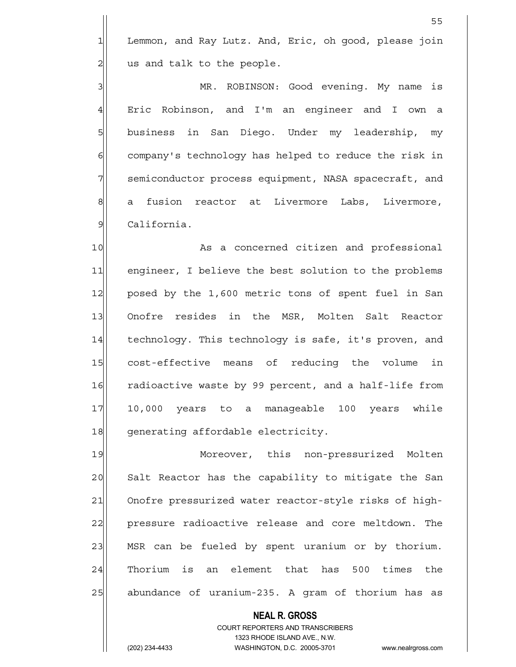1 Lemmon, and Ray Lutz. And, Eric, oh good, please join  $2$  us and talk to the people.

3 MR. ROBINSON: Good evening. My name is 4 Eric Robinson, and I'm an engineer and I own a 5 business in San Diego. Under my leadership, my 6 6 6 company's technology has helped to reduce the risk in 7 | semiconductor process equipment, NASA spacecraft, and 8 a fusion reactor at Livermore Labs, Livermore, 9 California.

10 As a concerned citizen and professional 11 engineer, I believe the best solution to the problems 12 posed by the 1,600 metric tons of spent fuel in San 13 Onofre resides in the MSR, Molten Salt Reactor 14 technology. This technology is safe, it's proven, and 15 cost-effective means of reducing the volume in 16 radioactive waste by 99 percent, and a half-life from 17 10,000 years to a manageable 100 years while 18 generating affordable electricity.

19 Moreover, this non-pressurized Molten 20 Salt Reactor has the capability to mitigate the San 21 Onofre pressurized water reactor-style risks of high-22 pressure radioactive release and core meltdown. The 23 MSR can be fueled by spent uranium or by thorium. 24 Thorium is an element that has 500 times the 25 abundance of uranium-235. A gram of thorium has as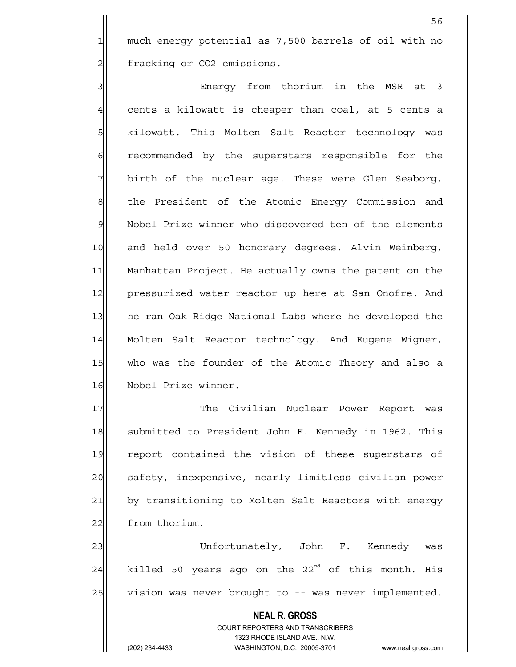1 much energy potential as 7,500 barrels of oil with no 2| fracking or CO2 emissions.

3 | Sherqy from thorium in the MSR at 3  $4$  cents a kilowatt is cheaper than coal, at 5 cents a 5 | kilowatt. This Molten Salt Reactor technology was 6 6 6 6 recommended by the superstars responsible for the 7 birth of the nuclear age. These were Glen Seaborg, 8 8 the President of the Atomic Energy Commission and 9 Nobel Prize winner who discovered ten of the elements 10 and held over 50 honorary degrees. Alvin Weinberg, 11 Manhattan Project. He actually owns the patent on the 12 pressurized water reactor up here at San Onofre. And 13 he ran Oak Ridge National Labs where he developed the 14 Molten Salt Reactor technology. And Eugene Wigner, 15 who was the founder of the Atomic Theory and also a 16 Nobel Prize winner.

17 The Civilian Nuclear Power Report was 18 Submitted to President John F. Kennedy in 1962. This 19 report contained the vision of these superstars of 20 safety, inexpensive, nearly limitless civilian power 21 by transitioning to Molten Salt Reactors with energy 22 from thorium.

23 Unfortunately, John F. Kennedy was  $24$  killed 50 years ago on the 22<sup>nd</sup> of this month. His 25 vision was never brought to -- was never implemented.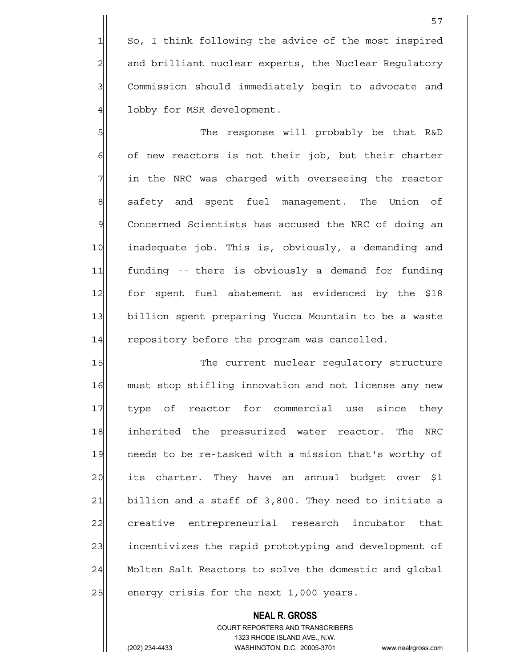1 So, I think following the advice of the most inspired 2 and brilliant nuclear experts, the Nuclear Regulatory 3 Commission should immediately begin to advocate and 4 1 lobby for MSR development.

5 The response will probably be that R&D  $6$  of new reactors is not their job, but their charter  $7$  in the NRC was charged with overseeing the reactor 8 8 safety and spent fuel management. The Union of 9| Concerned Scientists has accused the NRC of doing an 10 | inadequate job. This is, obviously, a demanding and 11 funding -- there is obviously a demand for funding 12 for spent fuel abatement as evidenced by the \$18 13 billion spent preparing Yucca Mountain to be a waste 14 repository before the program was cancelled.

15 The current nuclear regulatory structure 16 must stop stifling innovation and not license any new 17 type of reactor for commercial use since they 18 inherited the pressurized water reactor. The NRC 19 needs to be re-tasked with a mission that's worthy of 20 its charter. They have an annual budget over \$1 21 billion and a staff of 3,800. They need to initiate a 22 creative entrepreneurial research incubator that 23 incentivizes the rapid prototyping and development of 24 Molten Salt Reactors to solve the domestic and global  $25$  energy crisis for the next 1,000 years.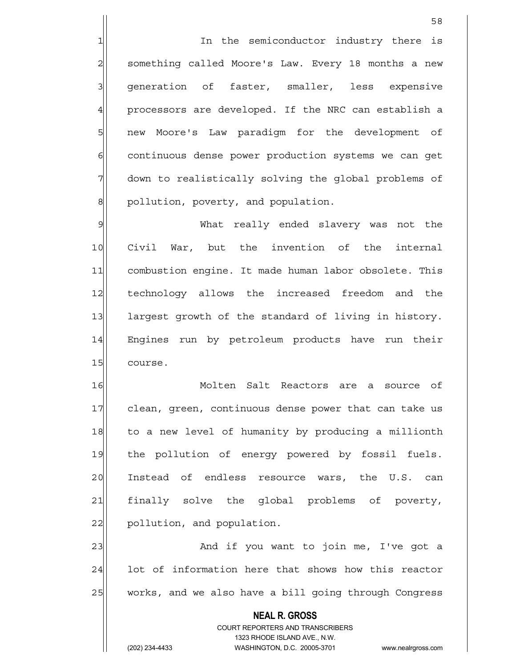1 In the semiconductor industry there is 2 Something called Moore's Law. Every 18 months a new 3 generation of faster, smaller, less expensive 4 processors are developed. If the NRC can establish a 5 | new Moore's Law paradigm for the development of 6 6 6 continuous dense power production systems we can get 7 down to realistically solving the global problems of 8 | pollution, poverty, and population.

58

9 What really ended slavery was not the 10 Civil War, but the invention of the internal 11 combustion engine. It made human labor obsolete. This 12 technology allows the increased freedom and the 13 largest growth of the standard of living in history. 14 Engines run by petroleum products have run their 15 course.

16 Molten Salt Reactors are a source of 17 clean, green, continuous dense power that can take us 18 to a new level of humanity by producing a millionth 19 the pollution of energy powered by fossil fuels. 20 Instead of endless resource wars, the U.S. can 21 finally solve the global problems of poverty, 22 pollution, and population.

23 and if you want to join me, I've got a 24 lot of information here that shows how this reactor 25 works, and we also have a bill going through Congress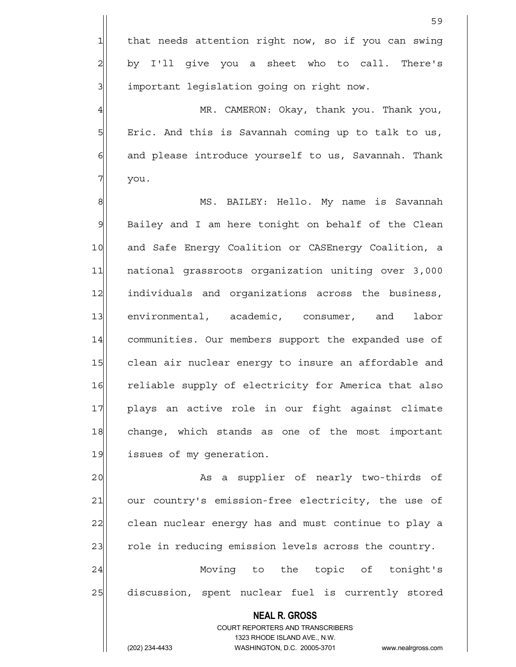59

4 MR. CAMERON: Okay, thank you. Thank you,  $5$  Eric. And this is Savannah coming up to talk to us,  $6$  and please introduce yourself to us, Savannah. Thank 7 you.

8 MS. BAILEY: Hello. My name is Savannah  $9$  Bailey and I am here tonight on behalf of the Clean 10 and Safe Energy Coalition or CASEnergy Coalition, a 11 | national grassroots organization uniting over 3,000 12 individuals and organizations across the business, 13 environmental, academic, consumer, and labor 14 communities. Our members support the expanded use of 15 clean air nuclear energy to insure an affordable and 16 reliable supply of electricity for America that also 17 plays an active role in our fight against climate 18 change, which stands as one of the most important 19 issues of my generation.

20 As a supplier of nearly two-thirds of 21 our country's emission-free electricity, the use of 22 clean nuclear energy has and must continue to play a 23 role in reducing emission levels across the country. 24 Moving to the topic of tonight's 25 discussion, spent nuclear fuel is currently stored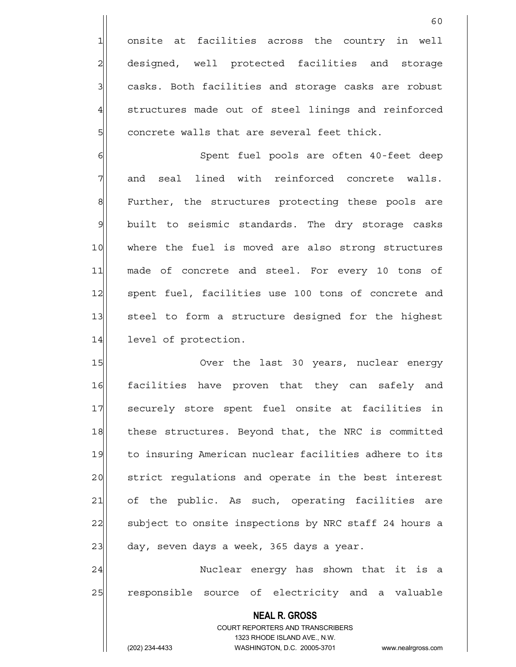1 onsite at facilities across the country in well 2 designed, well protected facilities and storage 3 3 casks. Both facilities and storage casks are robust 4 structures made out of steel linings and reinforced  $5$  concrete walls that are several feet thick.

6| Spent fuel pools are often 40-feet deep 7 and seal lined with reinforced concrete walls. 8 Further, the structures protecting these pools are  $9$  built to seismic standards. The dry storage casks 10 where the fuel is moved are also strong structures 11 made of concrete and steel. For every 10 tons of 12 spent fuel, facilities use 100 tons of concrete and 13 steel to form a structure designed for the highest 14 level of protection.

15 Over the last 30 years, nuclear energy 16 facilities have proven that they can safely and 17 securely store spent fuel onsite at facilities in 18 | these structures. Beyond that, the NRC is committed 19 to insuring American nuclear facilities adhere to its 20 strict regulations and operate in the best interest 21 of the public. As such, operating facilities are 22 subject to onsite inspections by NRC staff 24 hours a  $23$  day, seven days a week, 365 days a year.

24 | Nuclear energy has shown that it is a 25 responsible source of electricity and a valuable

 **NEAL R. GROSS**

 COURT REPORTERS AND TRANSCRIBERS 1323 RHODE ISLAND AVE., N.W.

(202) 234-4433 WASHINGTON, D.C. 20005-3701 www.nealrgross.com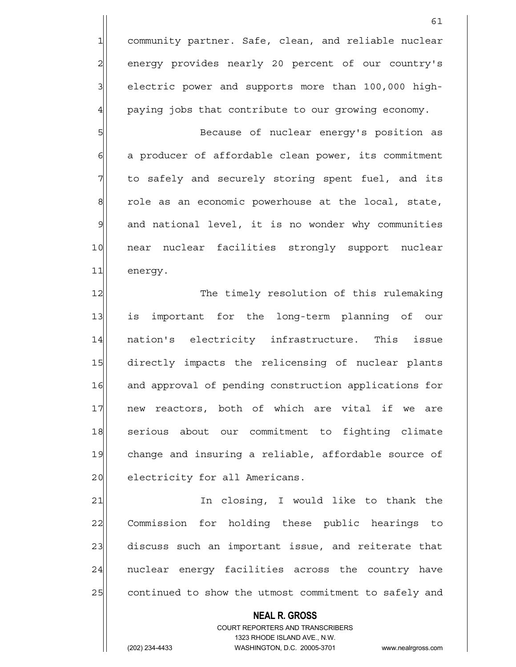1 community partner. Safe, clean, and reliable nuclear 2 energy provides nearly 20 percent of our country's  $3$  electric power and supports more than 100,000 high-4 paying jobs that contribute to our growing economy.

5 Because of nuclear energy's position as 6 a producer of affordable clean power, its commitment  $7$  to safely and securely storing spent fuel, and its  $8$  role as an economic powerhouse at the local, state, 9 and national level, it is no wonder why communities 10 near nuclear facilities strongly support nuclear 11 energy.

12 The timely resolution of this rulemaking 13 is important for the long-term planning of our 14 nation's electricity infrastructure. This issue 15 directly impacts the relicensing of nuclear plants 16 and approval of pending construction applications for 17 new reactors, both of which are vital if we are 18 serious about our commitment to fighting climate 19 change and insuring a reliable, affordable source of 20 electricity for all Americans.

21 In closing, I would like to thank the 22 Commission for holding these public hearings to 23 discuss such an important issue, and reiterate that 24 | nuclear energy facilities across the country have 25 continued to show the utmost commitment to safely and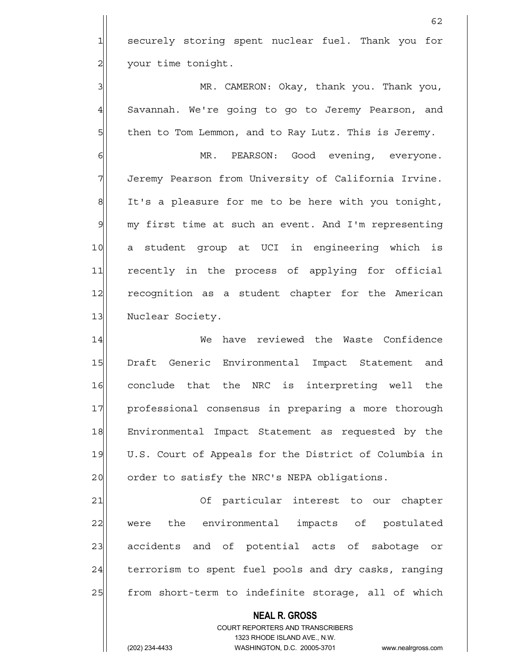1 securely storing spent nuclear fuel. Thank you for 2 | your time tonight.

62

3 MR. CAMERON: Okay, thank you. Thank you, 4 Savannah. We're going to go to Jeremy Pearson, and  $5$  then to Tom Lemmon, and to Ray Lutz. This is Jeremy.

6 MR. PEARSON: Good evening, everyone. 7 Jeremy Pearson from University of California Irvine.  $8$  It's a pleasure for me to be here with you tonight, 9 my first time at such an event. And I'm representing 10 a student group at UCI in engineering which is 11 recently in the process of applying for official 12 recognition as a student chapter for the American 13 Nuclear Society.

14 We have reviewed the Waste Confidence 15 Draft Generic Environmental Impact Statement and 16 conclude that the NRC is interpreting well the 17 | professional consensus in preparing a more thorough 18 Environmental Impact Statement as requested by the 19 U.S. Court of Appeals for the District of Columbia in 20 | order to satisfy the NRC's NEPA obligations.

21 Of particular interest to our chapter 22 were the environmental impacts of postulated 23 accidents and of potential acts of sabotage or 24 terrorism to spent fuel pools and dry casks, ranging 25 from short-term to indefinite storage, all of which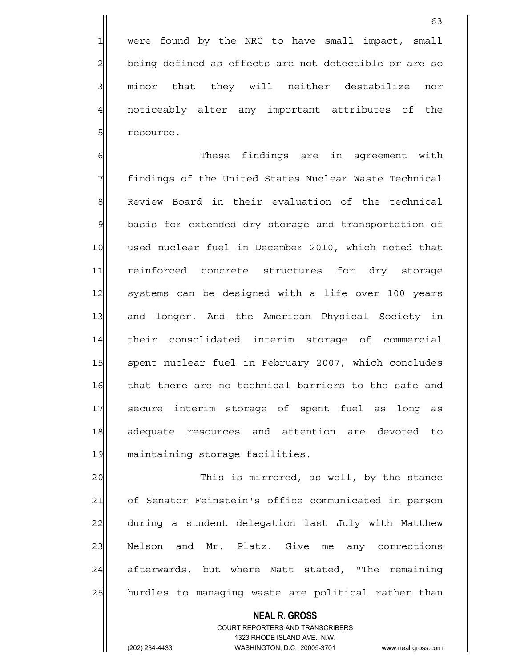1 were found by the NRC to have small impact, small  $2$  being defined as effects are not detectible or are so 3| minor that they will neither destabilize nor 4| noticeably alter any important attributes of the 5 **5** resource.

6 | Gillega These findings are in agreement with 7 Tindings of the United States Nuclear Waste Technical 8 Review Board in their evaluation of the technical 9 basis for extended dry storage and transportation of 10 used nuclear fuel in December 2010, which noted that 11 reinforced concrete structures for dry storage 12 systems can be designed with a life over 100 years 13 and longer. And the American Physical Society in 14 their consolidated interim storage of commercial 15 Spent nuclear fuel in February 2007, which concludes 16 that there are no technical barriers to the safe and 17 secure interim storage of spent fuel as long as 18 adequate resources and attention are devoted to 19 maintaining storage facilities.

20 This is mirrored, as well, by the stance 21 of Senator Feinstein's office communicated in person 22 during a student delegation last July with Matthew 23 | Nelson and Mr. Platz. Give me any corrections 24 afterwards, but where Matt stated, "The remaining 25 hurdles to managing waste are political rather than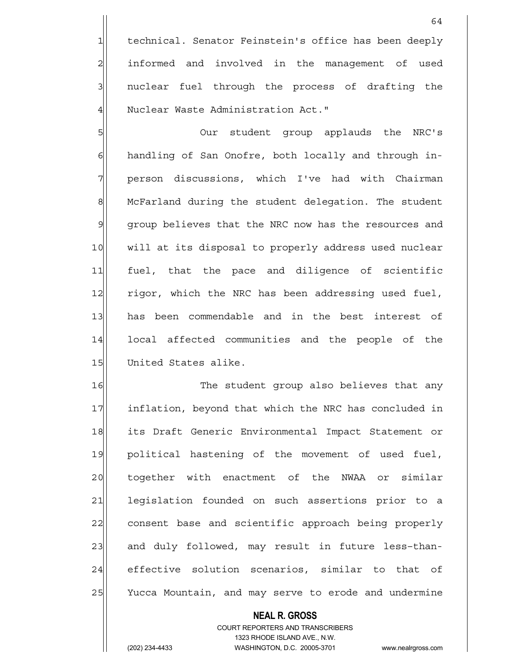1 technical. Senator Feinstein's office has been deeply 2 al informed and involved in the management of used 3 3 3 and 1 nuclear fuel through the process of drafting the 4 | Nuclear Waste Administration Act."

5 Our student group applauds the NRC's  $6$  handling of San Onofre, both locally and through in-7 | person discussions, which I've had with Chairman 8 McFarland during the student delegation. The student 9 9 group believes that the NRC now has the resources and 10 | will at its disposal to properly address used nuclear 11 fuel, that the pace and diligence of scientific 12 rigor, which the NRC has been addressing used fuel, 13 has been commendable and in the best interest of 14 local affected communities and the people of the 15 United States alike.

16 The student group also believes that any 17 inflation, beyond that which the NRC has concluded in 18 its Draft Generic Environmental Impact Statement or 19 political hastening of the movement of used fuel, 20 together with enactment of the NWAA or similar 21 legislation founded on such assertions prior to a 22 consent base and scientific approach being properly 23 and duly followed, may result in future less-than-24 effective solution scenarios, similar to that of 25 Yucca Mountain, and may serve to erode and undermine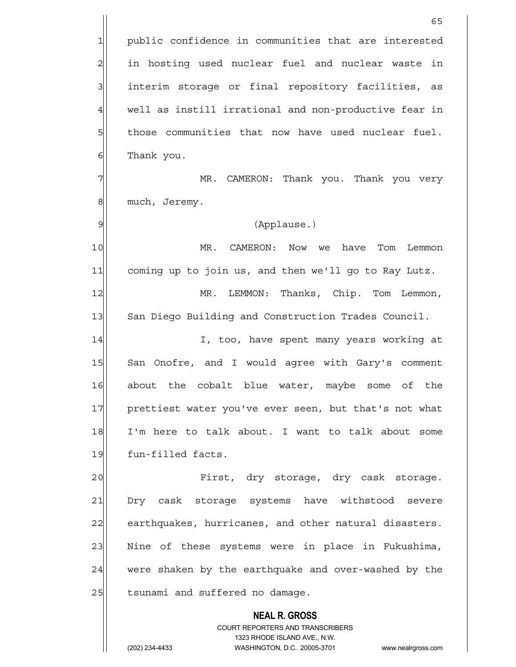**NEAL R. GROSS** COURT REPORTERS AND TRANSCRIBERS 1323 RHODE ISLAND AVE., N.W.  $65$ 1 public confidence in communities that are interested 2| in hosting used nuclear fuel and nuclear waste in 3 | interim storage or final repository facilities, as 4 well as instill irrational and non-productive fear in  $5$  those communities that now have used nuclear fuel. 6 Thank you. 7 MR. CAMERON: Thank you. Thank you very 8 much, Jeremy. 9 (Applause.) 10 MR. CAMERON: Now we have Tom Lemmon 11 coming up to join us, and then we'll go to Ray Lutz. 12 MR. LEMMON: Thanks, Chip. Tom Lemmon, 13 San Diego Building and Construction Trades Council. 14 I, too, have spent many years working at 15 San Onofre, and I would agree with Gary's comment 16 about the cobalt blue water, maybe some of the 17 | prettiest water you've ever seen, but that's not what 18 I'm here to talk about. I want to talk about some 19 fun-filled facts. 20 First, dry storage, dry cask storage. 21 Dry cask storage systems have withstood severe 22 earthquakes, hurricanes, and other natural disasters. 23 | Nine of these systems were in place in Fukushima,  $24$  were shaken by the earthquake and over-washed by the 25 tsunami and suffered no damage.

(202) 234-4433 WASHINGTON, D.C. 20005-3701 www.nealrgross.com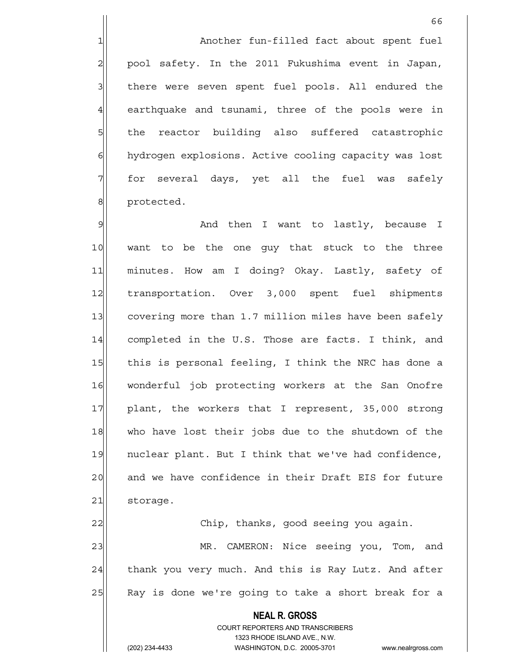2 | pool safety. In the 2011 Fukushima event in Japan, 3 3 | there were seven spent fuel pools. All endured the  $4$  earthquake and tsunami, three of the pools were in 5 5 5 5 supersupped the reactor building also suffered catastrophic 6 hydrogen explosions. Active cooling capacity was lost 7 for several days, yet all the fuel was safely 8 | protected.

 $66$ 

9 9 Merceden Land then I want to lastly, because I 10 want to be the one guy that stuck to the three 11 minutes. How am I doing? Okay. Lastly, safety of 12 transportation. Over 3,000 spent fuel shipments 13 covering more than 1.7 million miles have been safely 14 completed in the U.S. Those are facts. I think, and 15 this is personal feeling, I think the NRC has done a 16 wonderful job protecting workers at the San Onofre 17 plant, the workers that I represent, 35,000 strong 18 who have lost their jobs due to the shutdown of the 19 | nuclear plant. But I think that we've had confidence, 20 and we have confidence in their Draft EIS for future 21 storage. 22 Chip, thanks, good seeing you again. 23 MR. CAMERON: Nice seeing you, Tom, and 24 thank you very much. And this is Ray Lutz. And after

25 Ray is done we're going to take a short break for a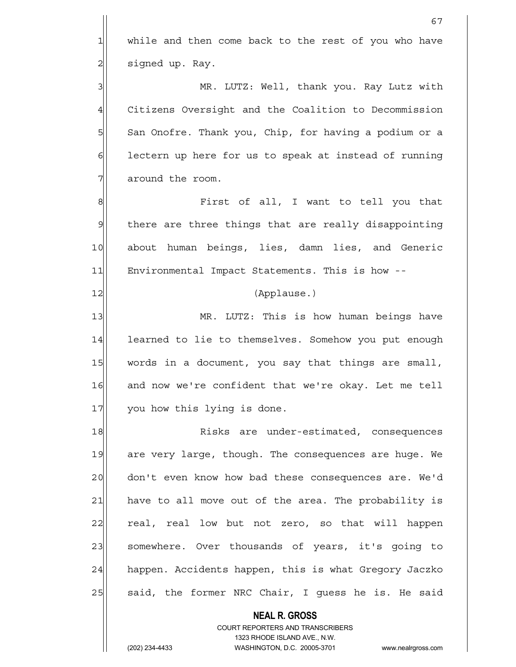$1$  while and then come back to the rest of you who have 2 | signed up. Ray.

3 MR. LUTZ: Well, thank you. Ray Lutz with 4 Citizens Oversight and the Coalition to Decommission 5 San Onofre. Thank you, Chip, for having a podium or a  $6$  lectern up here for us to speak at instead of running 7 around the room.

8 8 Rirst of all, I want to tell you that  $9$  there are three things that are really disappointing 10 about human beings, lies, damn lies, and Generic 11| Environmental Impact Statements. This is how --

#### 12 (Applause.)

13 MR. LUTZ: This is how human beings have 14 learned to lie to themselves. Somehow you put enough 15 words in a document, you say that things are small, 16 and now we're confident that we're okay. Let me tell 17 you how this lying is done.

18 Risks are under-estimated, consequences 19 are very large, though. The consequences are huge. We 20 don't even know how bad these consequences are. We'd 21 have to all move out of the area. The probability is 22 real, real low but not zero, so that will happen 23 Somewhere. Over thousands of years, it's going to 24 happen. Accidents happen, this is what Gregory Jaczko  $25$  said, the former NRC Chair, I guess he is. He said

 **NEAL R. GROSS**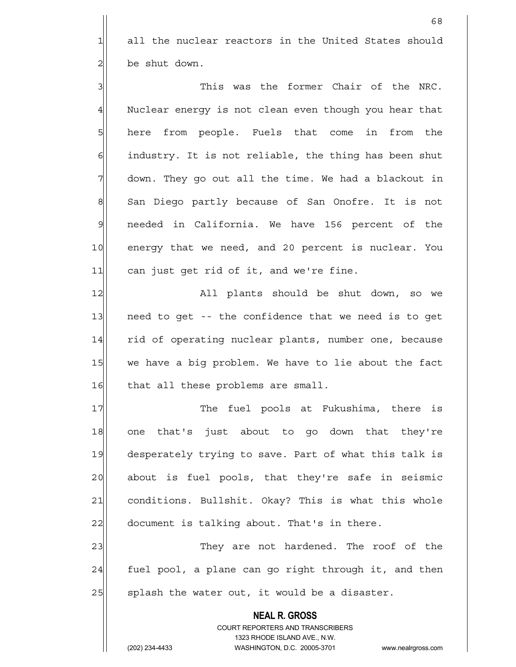1 all the nuclear reactors in the United States should  $2$  be shut down.

3 3 This was the former Chair of the NRC. 4 Nuclear energy is not clean even though you hear that 5| here from people. Fuels that come in from the 6 6 industry. It is not reliable, the thing has been shut  $7$  down. They go out all the time. We had a blackout in 8 San Diego partly because of San Onofre. It is not 9| needed in California. We have 156 percent of the 10 energy that we need, and 20 percent is nuclear. You 11 can just get rid of it, and we're fine.

12 All plants should be shut down, so we 13 need to get -- the confidence that we need is to get 14 rid of operating nuclear plants, number one, because 15 we have a big problem. We have to lie about the fact 16 that all these problems are small.

17 The fuel pools at Fukushima, there is 18 one that's just about to go down that they're 19 desperately trying to save. Part of what this talk is 20 about is fuel pools, that they're safe in seismic 21 conditions. Bullshit. Okay? This is what this whole  $22$  document is talking about. That's in there.

23 and 1 They are not hardened. The roof of the  $24$  fuel pool, a plane can go right through it, and then  $25$  splash the water out, it would be a disaster.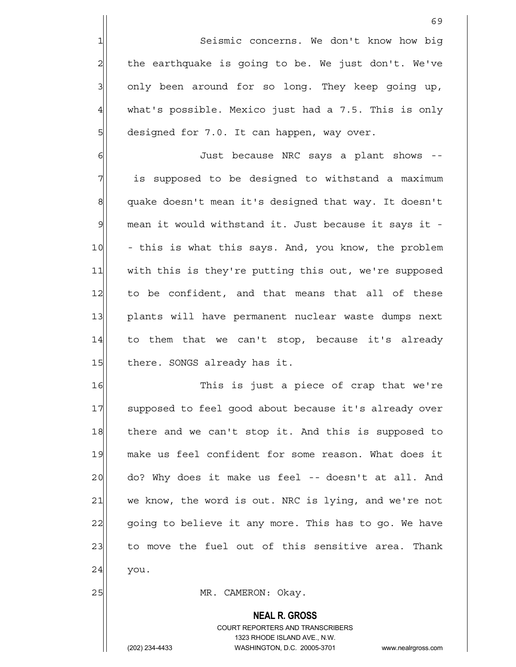1 Seismic concerns. We don't know how big  $2$  the earthquake is going to be. We just don't. We've 3 3 only been around for so long. They keep going up,  $4$  what's possible. Mexico just had a 7.5. This is only 5 | designed for 7.0. It can happen, way over.

6 | Just because NRC says a plant shows --7 The is supposed to be designed to withstand a maximum 8 quake doesn't mean it's designed that way. It doesn't 9 mean it would withstand it. Just because it says it -10 - this is what this says. And, you know, the problem 11 with this is they're putting this out, we're supposed 12 to be confident, and that means that all of these 13 plants will have permanent nuclear waste dumps next  $14$  to them that we can't stop, because it's already 15 there. SONGS already has it.

16 This is just a piece of crap that we're 17 Supposed to feel good about because it's already over 18 there and we can't stop it. And this is supposed to 19 make us feel confident for some reason. What does it 20 do? Why does it make us feel -- doesn't at all. And 21 we know, the word is out. NRC is lying, and we're not 22 going to believe it any more. This has to go. We have 23 to move the fuel out of this sensitive area. Thank  $24$  you.

25 | MR. CAMERON: Okay.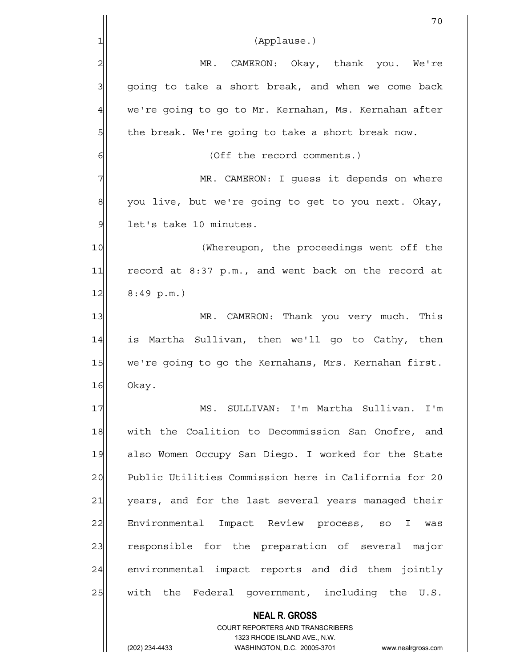|                | 70                                                                                                  |
|----------------|-----------------------------------------------------------------------------------------------------|
| 1              | (Applause.)                                                                                         |
| $\overline{c}$ | MR. CAMERON: Okay, thank you. We're                                                                 |
| 3              | going to take a short break, and when we come back                                                  |
| $\overline{4}$ | we're going to go to Mr. Kernahan, Ms. Kernahan after                                               |
| 5              | the break. We're going to take a short break now.                                                   |
| 6              | (Off the record comments.)                                                                          |
| 7              | MR. CAMERON: I guess it depends on where                                                            |
| 8              | you live, but we're going to get to you next. Okay,                                                 |
| $\mathcal{Q}$  | let's take 10 minutes.                                                                              |
| 10             | (Whereupon, the proceedings went off the                                                            |
| 11             | record at 8:37 p.m., and went back on the record at                                                 |
| 12             | 8:49 p.m.                                                                                           |
| 13             | MR. CAMERON: Thank you very much. This                                                              |
| 14             | is Martha Sullivan, then we'll go to Cathy, then                                                    |
| 15             | we're going to go the Kernahans, Mrs. Kernahan first.                                               |
| 16             | Okay.                                                                                               |
| 17             | MS. SULLIVAN: I'm Martha Sullivan. I'm                                                              |
| 18             | with the Coalition to Decommission San Onofre, and                                                  |
| 19             | also Women Occupy San Diego. I worked for the State                                                 |
| 20             | Public Utilities Commission here in California for 20                                               |
| 21             | years, and for the last several years managed their                                                 |
| 22             | Environmental Impact Review process, so I<br>was                                                    |
| 23             | responsible for the preparation of several major                                                    |
| 24             | environmental impact reports and did them jointly                                                   |
| 25             | with the Federal government, including the U.S.                                                     |
|                | <b>NEAL R. GROSS</b>                                                                                |
|                | <b>COURT REPORTERS AND TRANSCRIBERS</b>                                                             |
|                | 1323 RHODE ISLAND AVE., N.W.<br>(202) 234-4433<br>WASHINGTON, D.C. 20005-3701<br>www.nealrgross.com |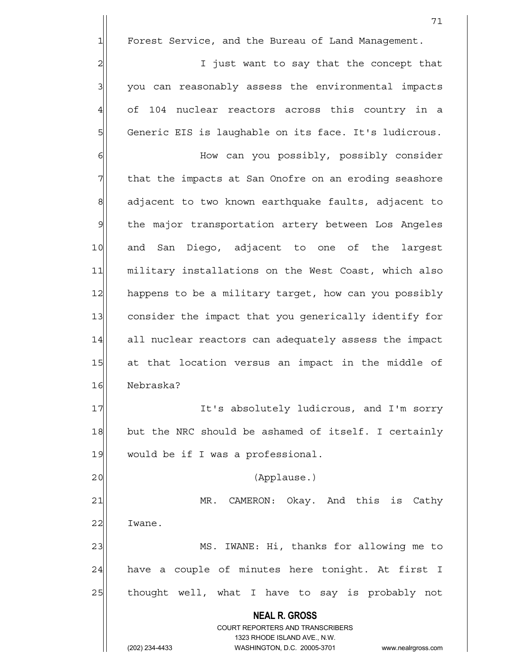1 Forest Service, and the Bureau of Land Management.

2 all interest to say that the concept that 3 | you can reasonably assess the environmental impacts 4 of 104 nuclear reactors across this country in a 5 | Generic EIS is laughable on its face. It's ludicrous.

6 How can you possibly, possibly consider 7 The that the impacts at San Onofre on an eroding seashore 8 adjacent to two known earthquake faults, adjacent to 9 | the major transportation artery between Los Angeles 10 and San Diego, adjacent to one of the largest 11 military installations on the West Coast, which also 12 happens to be a military target, how can you possibly 13 consider the impact that you generically identify for 14 all nuclear reactors can adequately assess the impact 15 at that location versus an impact in the middle of 16 Nebraska?

17 It's absolutely ludicrous, and I'm sorry 18 but the NRC should be ashamed of itself. I certainly  $19$  would be if I was a professional.

20 | (Applause.)

21 MR. CAMERON: Okay. And this is Cathy 22 Iwane. 23 | MS. IWANE: Hi, thanks for allowing me to  $24$  have a couple of minutes here tonight. At first I

25 | thought well, what I have to say is probably not

 **NEAL R. GROSS**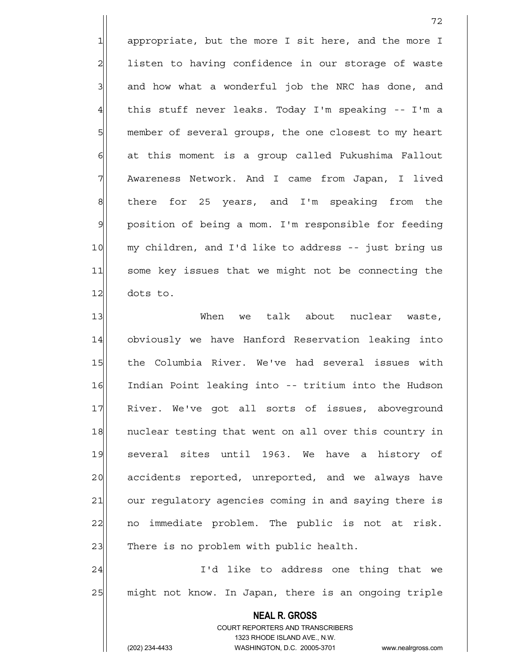1 appropriate, but the more I sit here, and the more I 2 listen to having confidence in our storage of waste 3 and how what a wonderful job the NRC has done, and 4 this stuff never leaks. Today I'm speaking -- I'm a 5 member of several groups, the one closest to my heart  $6$  at this moment is a group called Fukushima Fallout 7 | Awareness Network. And I came from Japan, I lived 8 8 there for 25 years, and I'm speaking from the 9 position of being a mom. I'm responsible for feeding 10 my children, and I'd like to address -- just bring us 11| some key issues that we might not be connecting the  $12$  dots to.

13 | When we talk about nuclear waste, 14 obviously we have Hanford Reservation leaking into 15 | the Columbia River. We've had several issues with 16 Indian Point leaking into -- tritium into the Hudson 17 River. We've got all sorts of issues, aboveground 18 | nuclear testing that went on all over this country in 19 several sites until 1963. We have a history of 20 accidents reported, unreported, and we always have 21 our regulatory agencies coming in and saying there is 22 | no immediate problem. The public is not at risk. 23 There is no problem with public health.

24 | I'd like to address one thing that we 25 might not know. In Japan, there is an ongoing triple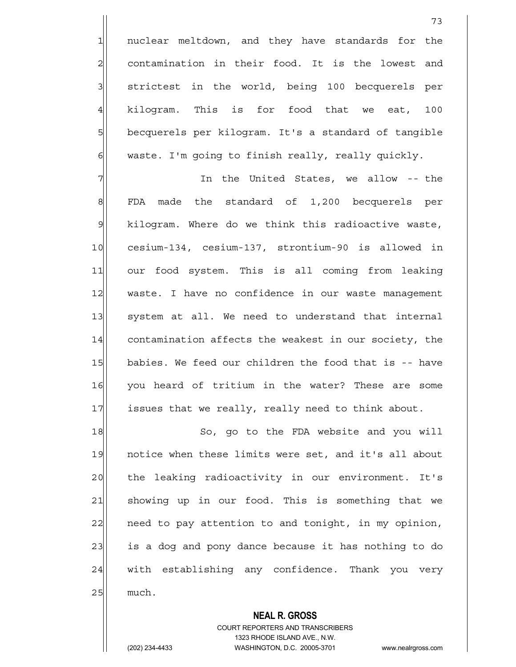1 nuclear meltdown, and they have standards for the 2 contamination in their food. It is the lowest and 3 | strictest in the world, being 100 becquerels per  $4$  kilogram. This is for food that we eat, 100 5 becquerels per kilogram. It's a standard of tangible  $6$  waste. I'm going to finish really, really quickly.

7 7 In the United States, we allow -- the 8 FDA made the standard of 1,200 becquerels per 9 kilogram. Where do we think this radioactive waste, 10 cesium-134, cesium-137, strontium-90 is allowed in 11 our food system. This is all coming from leaking 12 waste. I have no confidence in our waste management 13 system at all. We need to understand that internal 14 contamination affects the weakest in our society, the 15 babies. We feed our children the food that is -- have 16 you heard of tritium in the water? These are some 17 issues that we really, really need to think about.

18 So, go to the FDA website and you will 19 notice when these limits were set, and it's all about 20 the leaking radioactivity in our environment. It's 21 showing up in our food. This is something that we 22 need to pay attention to and tonight, in my opinion, 23 is a dog and pony dance because it has nothing to do 24 with establishing any confidence. Thank you very  $25$  much.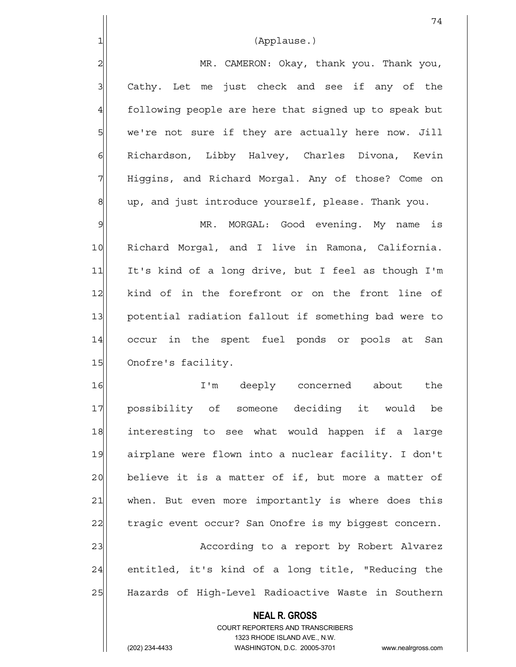|                | 74                                                    |
|----------------|-------------------------------------------------------|
| $\overline{1}$ | (Applause.)                                           |
| $\overline{c}$ | MR. CAMERON: Okay, thank you. Thank you,              |
| $\overline{3}$ | Cathy. Let me just check and see if any of the        |
| $\overline{4}$ | following people are here that signed up to speak but |
| 5              | we're not sure if they are actually here now. Jill    |
| 6              | Richardson, Libby Halvey, Charles Divona, Kevin       |
| 7              | Higgins, and Richard Morgal. Any of those? Come on    |
| 8              | up, and just introduce yourself, please. Thank you.   |
| 9              | MR. MORGAL: Good evening. My name is                  |
| 0              | Richard Morgal, and I live in Ramona, California.     |
| 긔              | It's kind of a long drive, but I feel as though I'm   |
| $\overline{a}$ | kind of in the forefront or on the front line of      |

10 Richard Morgal, and I live in Ramona, California. 11 It's kind of a long drive, but I feel as though I'm 12 kind of in the forefront or on the front line of 13 | potential radiation fallout if something bad were to 14 occur in the spent fuel ponds or pools at San 15 Onofre's facility.

16 I'm deeply concerned about the 17 possibility of someone deciding it would be 18 interesting to see what would happen if a large 19 airplane were flown into a nuclear facility. I don't 20 believe it is a matter of if, but more a matter of 21 when. But even more importantly is where does this 22 tragic event occur? San Onofre is my biggest concern. 23 | According to a report by Robert Alvarez  $24$  entitled, it's kind of a long title, "Reducing the 25 | Hazards of High-Level Radioactive Waste in Southern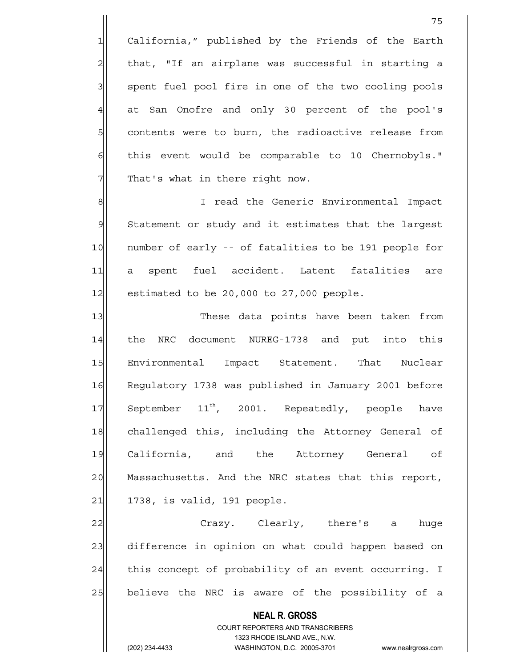1 California," published by the Friends of the Earth  $2\vert$  that, "If an airplane was successful in starting a 3 | spent fuel pool fire in one of the two cooling pools 4 at San Onofre and only 30 percent of the pool's 5 Sol contents were to burn, the radioactive release from 6 6 6 this event would be comparable to 10 Chernobyls."  $7$  That's what in there right now.

8 8 I read the Generic Environmental Impact 9 Statement or study and it estimates that the largest 10 | number of early -- of fatalities to be 191 people for 11 a spent fuel accident. Latent fatalities are  $12$  estimated to be 20,000 to 27,000 people.

13 These data points have been taken from 14 the NRC document NUREG-1738 and put into this 15 Environmental Impact Statement. That Nuclear 16 Regulatory 1738 was published in January 2001 before 17 September  $11^{th}$ , 2001. Repeatedly, people have 18 challenged this, including the Attorney General of 19 California, and the Attorney General of 20 Massachusetts. And the NRC states that this report,  $21$  1738, is valid, 191 people.

22 Crazy. Clearly, there's a huge 23 difference in opinion on what could happen based on 24 this concept of probability of an event occurring. I 25 believe the NRC is aware of the possibility of a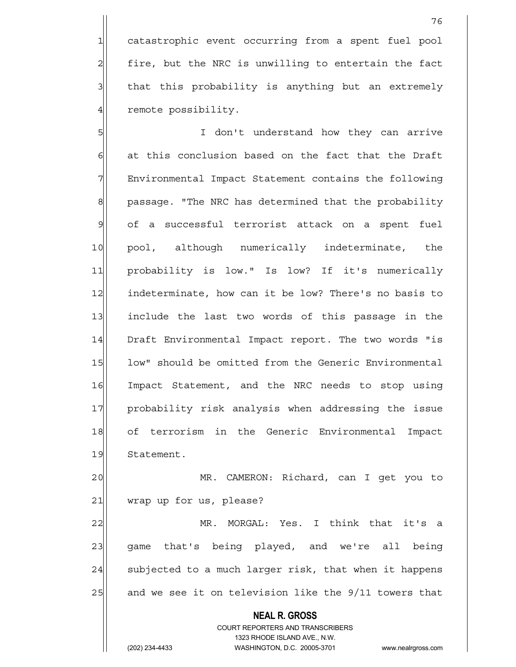1 catastrophic event occurring from a spent fuel pool  $2$  fire, but the NRC is unwilling to entertain the fact  $3$  that this probability is anything but an extremely 4 remote possibility.

5| I don't understand how they can arrive  $6$  at this conclusion based on the fact that the Draft 7 Environmental Impact Statement contains the following 8 passage. "The NRC has determined that the probability 9 of a successful terrorist attack on a spent fuel 10 pool, although numerically indeterminate, the 11 probability is low." Is low? If it's numerically 12 indeterminate, how can it be low? There's no basis to 13 include the last two words of this passage in the 14 Draft Environmental Impact report. The two words "is 15 low" should be omitted from the Generic Environmental 16 Impact Statement, and the NRC needs to stop using 17 probability risk analysis when addressing the issue 18 of terrorism in the Generic Environmental Impact 19 Statement.

20 MR. CAMERON: Richard, can I get you to 21 wrap up for us, please?

22 MR. MORGAL: Yes. I think that it's a 23 game that's being played, and we're all being 24 subjected to a much larger risk, that when it happens  $25$  and we see it on television like the  $9/11$  towers that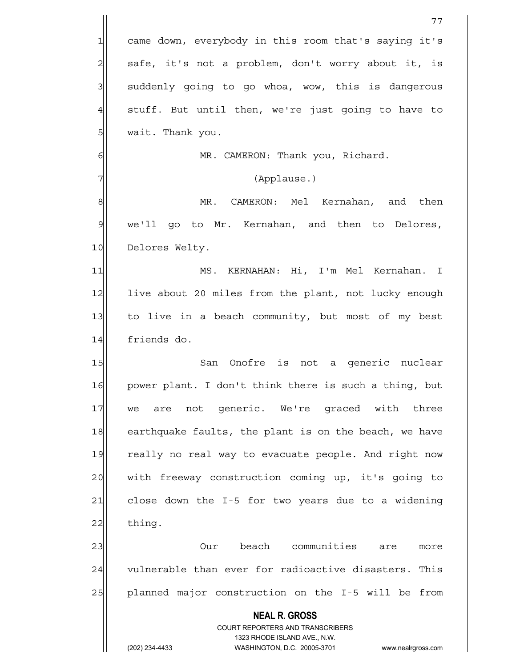|                | 77                                                                                                  |
|----------------|-----------------------------------------------------------------------------------------------------|
| 1              | came down, everybody in this room that's saying it's                                                |
| $\overline{c}$ | safe, it's not a problem, don't worry about it, is                                                  |
| 3              | suddenly going to go whoa, wow, this is dangerous                                                   |
| 4              | stuff. But until then, we're just going to have to                                                  |
| 5              | wait. Thank you.                                                                                    |
| 6              | MR. CAMERON: Thank you, Richard.                                                                    |
| 7              | (Applause.)                                                                                         |
| 8              | MR. CAMERON: Mel Kernahan, and then                                                                 |
| $\mathcal{G}$  | we'll go to Mr. Kernahan, and then to Delores,                                                      |
| 10             | Delores Welty.                                                                                      |
| 11             | MS. KERNAHAN: Hi, I'm Mel Kernahan. I                                                               |
| 12             | live about 20 miles from the plant, not lucky enough                                                |
| 13             | to live in a beach community, but most of my best                                                   |
| 14             | friends do.                                                                                         |
| 15             | San Onofre is not a generic nuclear                                                                 |
| 16             | power plant. I don't think there is such a thing, but                                               |
| 17             | are not generic. We're graced with three<br>we                                                      |
| 18             | earthquake faults, the plant is on the beach, we have                                               |
| 19             | really no real way to evacuate people. And right now                                                |
| 20             | with freeway construction coming up, it's going to                                                  |
| 21             | close down the I-5 for two years due to a widening                                                  |
| 22             | thing.                                                                                              |
| 23             | beach communities<br>Our<br>are<br>more                                                             |
| 24             | vulnerable than ever for radioactive disasters. This                                                |
| 25             | planned major construction on the I-5 will be from                                                  |
|                | <b>NEAL R. GROSS</b>                                                                                |
|                | <b>COURT REPORTERS AND TRANSCRIBERS</b>                                                             |
|                | 1323 RHODE ISLAND AVE., N.W.<br>(202) 234-4433<br>WASHINGTON, D.C. 20005-3701<br>www.nealrgross.com |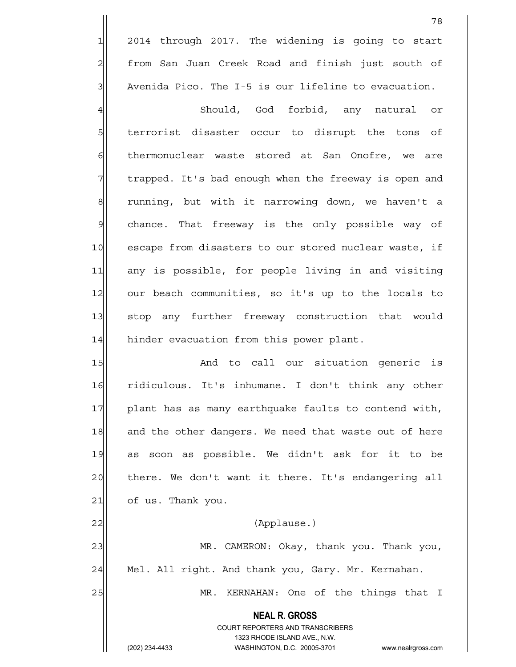$1$  2014 through 2017. The widening is going to start 2 from San Juan Creek Road and finish just south of  $3$  Avenida Pico. The I-5 is our lifeline to evacuation.

4 | Should, God forbid, any natural or 5 5 5 5 terrorist disaster occur to disrupt the tons of 6 6 fermonuclear waste stored at San Onofre, we are 7 The trapped. It's bad enough when the freeway is open and 8 8 running, but with it narrowing down, we haven't a 9 chance. That freeway is the only possible way of 10 escape from disasters to our stored nuclear waste, if 11 any is possible, for people living in and visiting 12 our beach communities, so it's up to the locals to 13 stop any further freeway construction that would 14 hinder evacuation from this power plant.

15 and to call our situation generic is 16 ridiculous. It's inhumane. I don't think any other 17 plant has as many earthquake faults to contend with, 18 and the other dangers. We need that waste out of here 19 as soon as possible. We didn't ask for it to be 20 there. We don't want it there. It's endangering all  $21$  of us. Thank you.

23 MR. CAMERON: Okay, thank you. Thank you, 24 Mel. All right. And thank you, Gary. Mr. Kernahan.

22 | (Applause.)

25 MR. KERNAHAN: One of the things that I

# **NEAL R. GROSS** COURT REPORTERS AND TRANSCRIBERS 1323 RHODE ISLAND AVE., N.W. (202) 234-4433 WASHINGTON, D.C. 20005-3701 www.nealrgross.com

78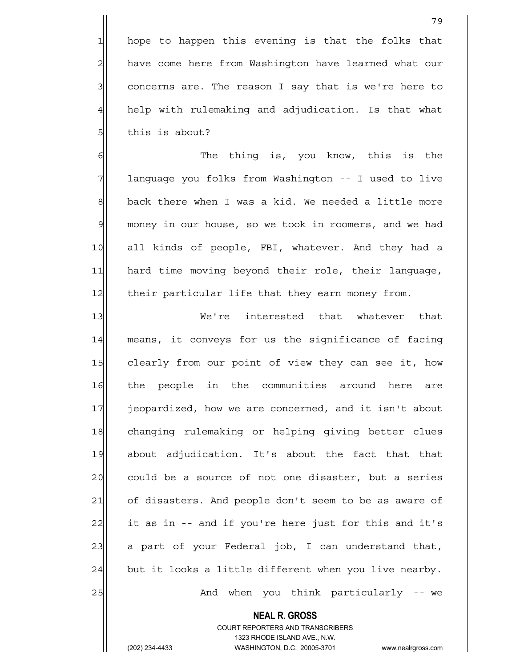$1$  hope to happen this evening is that the folks that 2 have come here from Washington have learned what our  $3$  concerns are. The reason I say that is we're here to 4 help with rulemaking and adjudication. Is that what  $5$  this is about?

6 | Gillem The thing is, you know, this is the 7 | language you folks from Washington -- I used to live  $8$  back there when I was a kid. We needed a little more 9 money in our house, so we took in roomers, and we had 10 all kinds of people, FBI, whatever. And they had a 11 hard time moving beyond their role, their language, 12 their particular life that they earn money from.

13 We're interested that whatever that 14 means, it conveys for us the significance of facing 15 clearly from our point of view they can see it, how 16 the people in the communities around here are 17 | jeopardized, how we are concerned, and it isn't about 18 changing rulemaking or helping giving better clues 19 about adjudication. It's about the fact that that 20 could be a source of not one disaster, but a series 21 of disasters. And people don't seem to be as aware of  $22$  it as in -- and if you're here just for this and it's 23 a part of your Federal job, I can understand that,  $24$  but it looks a little different when you live nearby. 25 | And when you think particularly -- we

### **NEAL R. GROSS**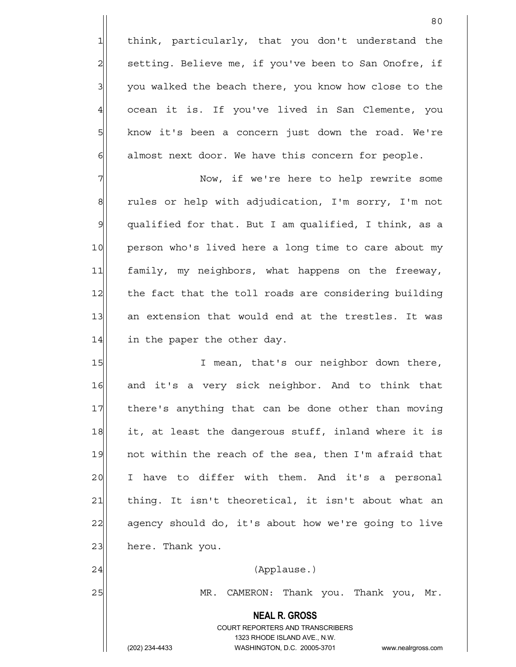1 think, particularly, that you don't understand the 2 setting. Believe me, if you've been to San Onofre, if 3 you walked the beach there, you know how close to the 4 ocean it is. If you've lived in San Clemente, you 5 | know it's been a concern just down the road. We're  $6$  almost next door. We have this concern for people.

7 Now, if we're here to help rewrite some 8 rules or help with adjudication, I'm sorry, I'm not 9 9 qualified for that. But I am qualified, I think, as a 10 person who's lived here a long time to care about my 11 family, my neighbors, what happens on the freeway, 12 the fact that the toll roads are considering building 13 an extension that would end at the trestles. It was  $14$  in the paper the other day.

15 I mean, that's our neighbor down there, 16 and it's a very sick neighbor. And to think that 17 there's anything that can be done other than moving 18 it, at least the dangerous stuff, inland where it is 19 not within the reach of the sea, then I'm afraid that 20 I have to differ with them. And it's a personal 21 | thing. It isn't theoretical, it isn't about what an 22 agency should do, it's about how we're going to live  $23$  here. Thank you.

24 (Applause.)

25 | MR. CAMERON: Thank you. Thank you, Mr.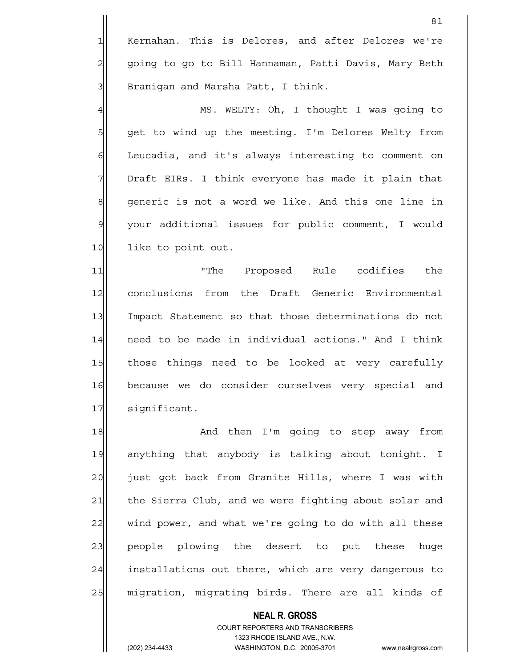1 Kernahan. This is Delores, and after Delores we're 2 | going to go to Bill Hannaman, Patti Davis, Mary Beth 3 | Branigan and Marsha Patt, I think.

4 MS. WELTY: Oh, I thought I was going to 5 get to wind up the meeting. I'm Delores Welty from 6 Leucadia, and it's always interesting to comment on 7 Draft EIRs. I think everyone has made it plain that 8 generic is not a word we like. And this one line in 9 your additional issues for public comment, I would 10 like to point out.

11 "The Proposed Rule codifies the 12 conclusions from the Draft Generic Environmental 13 Impact Statement so that those determinations do not 14 need to be made in individual actions." And I think 15 those things need to be looked at very carefully 16 because we do consider ourselves very special and 17 significant.

18 and then I'm going to step away from 19 anything that anybody is talking about tonight. I 20 just got back from Granite Hills, where I was with 21 | the Sierra Club, and we were fighting about solar and 22 wind power, and what we're going to do with all these 23 people plowing the desert to put these huge 24 installations out there, which are very dangerous to 25 migration, migrating birds. There are all kinds of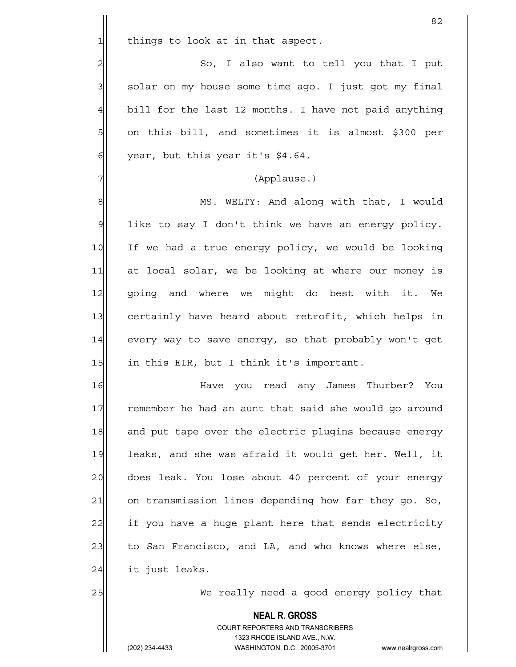$1$  things to look at in that aspect.

2 So, I also want to tell you that I put  $3$  solar on my house some time ago. I just got my final  $4$  bill for the last 12 months. I have not paid anything 5 on this bill, and sometimes it is almost \$300 per  $6$  year, but this year it's \$4.64.

## 7| (Applause.)

8| MS. WELTY: And along with that, I would  $9$  like to say I don't think we have an energy policy. 10 If we had a true energy policy, we would be looking 11 at local solar, we be looking at where our money is 12 qoing and where we might do best with it. We 13 certainly have heard about retrofit, which helps in 14 every way to save energy, so that probably won't get 15 15 in this EIR, but I think it's important.

16 Have you read any James Thurber? You 17 remember he had an aunt that said she would go around 18 and put tape over the electric plugins because energy 19 leaks, and she was afraid it would get her. Well, it 20 does leak. You lose about 40 percent of your energy 21 on transmission lines depending how far they go. So, 22 if you have a huge plant here that sends electricity 23 to San Francisco, and LA, and who knows where else,  $24$  it just leaks.

25 We really need a good energy policy that

 **NEAL R. GROSS** COURT REPORTERS AND TRANSCRIBERS 1323 RHODE ISLAND AVE., N.W. (202) 234-4433 WASHINGTON, D.C. 20005-3701 www.nealrgross.com

<u>82</u>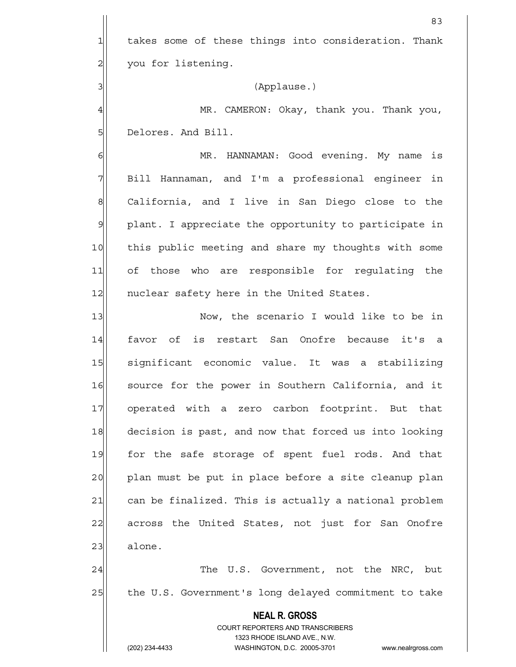**NEAL R. GROSS** COURT REPORTERS AND TRANSCRIBERS 1323 RHODE ISLAND AVE., N.W. (202) 234-4433 WASHINGTON, D.C. 20005-3701 www.nealrgross.com <u>83</u> 1 takes some of these things into consideration. Thank 2 | you for listening. 3| (Applause.) 4 MR. CAMERON: Okay, thank you. Thank you, 5 | Delores. And Bill. 6 MR. HANNAMAN: Good evening. My name is 7 Bill Hannaman, and I'm a professional engineer in 8 | California, and I live in San Diego close to the 9 plant. I appreciate the opportunity to participate in 10 this public meeting and share my thoughts with some 11 of those who are responsible for regulating the 12 nuclear safety here in the United States. 13 Now, the scenario I would like to be in 14 favor of is restart San Onofre because it's a 15 significant economic value. It was a stabilizing 16 source for the power in Southern California, and it 17 operated with a zero carbon footprint. But that 18 decision is past, and now that forced us into looking 19 for the safe storage of spent fuel rods. And that 20 plan must be put in place before a site cleanup plan 21 can be finalized. This is actually a national problem 22 across the United States, not just for San Onofre  $23$  alone. 24 The U.S. Government, not the NRC, but 25 | the U.S. Government's long delayed commitment to take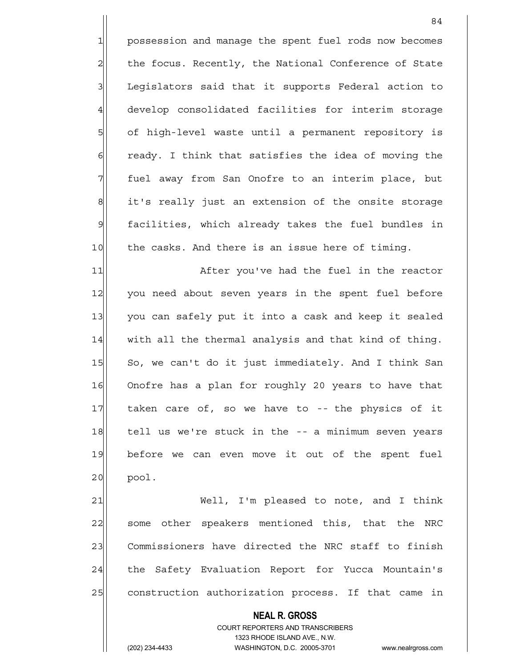1 possession and manage the spent fuel rods now becomes  $2$  the focus. Recently, the National Conference of State 3 | Legislators said that it supports Federal action to 4 develop consolidated facilities for interim storage 5| of high-level waste until a permanent repository is  $6$  ready. I think that satisfies the idea of moving the 7 Tuel away from San Onofre to an interim place, but 8 it's really just an extension of the onsite storage  $\mathfrak{g}$  facilities, which already takes the fuel bundles in 10 the casks. And there is an issue here of timing.

11 after you've had the fuel in the reactor 12 you need about seven years in the spent fuel before 13 you can safely put it into a cask and keep it sealed 14 with all the thermal analysis and that kind of thing. 15 So, we can't do it just immediately. And I think San 16 Onofre has a plan for roughly 20 years to have that 17 taken care of, so we have to -- the physics of it 18 tell us we're stuck in the -- a minimum seven years 19 before we can even move it out of the spent fuel  $20$  pool.

21 Well, I'm pleased to note, and I think 22 some other speakers mentioned this, that the NRC 23 Commissioners have directed the NRC staff to finish 24 | the Safety Evaluation Report for Yucca Mountain's 25 construction authorization process. If that came in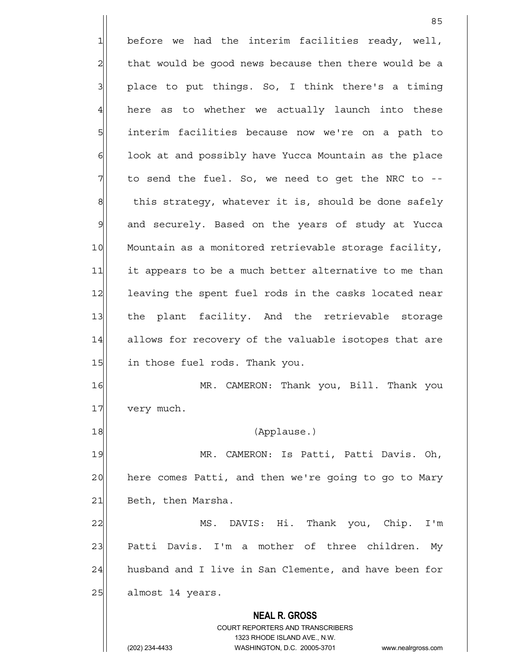**NEAL R. GROSS** COURT REPORTERS AND TRANSCRIBERS 1323 RHODE ISLAND AVE., N.W. <u>85 and 2001 and 2001 and 2001 and 2001 and 2001 and 2001 and 2001 and 2001 and 2001 and 2001 and 2001 and 200</u>  $1$  before we had the interim facilities ready, well,  $2$  that would be good news because then there would be a  $3$  place to put things. So, I think there's a timing 4 here as to whether we actually launch into these 5 | interim facilities because now we're on a path to 6 6 6 look at and possibly have Yucca Mountain as the place  $7$  to send the fuel. So, we need to get the NRC to  $-$ 8 this strategy, whatever it is, should be done safely 9 and securely. Based on the years of study at Yucca 10 Mountain as a monitored retrievable storage facility, 11 it appears to be a much better alternative to me than 12 leaving the spent fuel rods in the casks located near 13 the plant facility. And the retrievable storage 14 allows for recovery of the valuable isotopes that are 15 in those fuel rods. Thank you. 16 | MR. CAMERON: Thank you, Bill. Thank you 17 very much. 18 (Applause.) 19 MR. CAMERON: Is Patti, Patti Davis. Oh, 20 here comes Patti, and then we're going to go to Mary 21 Beth, then Marsha. 22 MS. DAVIS: Hi. Thank you, Chip. I'm 23 Patti Davis. I'm a mother of three children. My 24 husband and I live in San Clemente, and have been for 25 almost 14 years.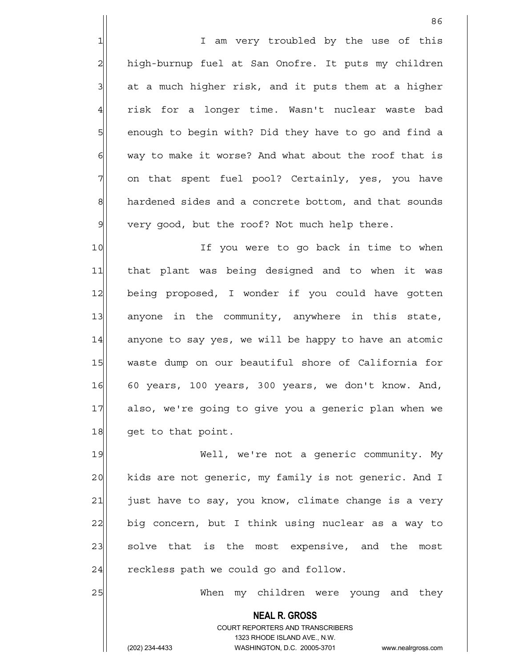1 I am very troubled by the use of this 2 high-burnup fuel at San Onofre. It puts my children  $3$  at a much higher risk, and it puts them at a higher 4 risk for a longer time. Wasn't nuclear waste bad 5 s 5 show to begin with? Did they have to go and find a  $6$  way to make it worse? And what about the roof that is 7 on that spent fuel pool? Certainly, yes, you have 8 hardened sides and a concrete bottom, and that sounds 9 very good, but the roof? Not much help there.

10 If you were to go back in time to when 11 that plant was being designed and to when it was 12 being proposed, I wonder if you could have gotten 13 anyone in the community, anywhere in this state, 14 anyone to say yes, we will be happy to have an atomic 15 waste dump on our beautiful shore of California for 16 60 years, 100 years, 300 years, we don't know. And, 17 also, we're going to give you a generic plan when we 18 get to that point.

19 Well, we're not a generic community. My 20 kids are not generic, my family is not generic. And I  $21$  just have to say, you know, climate change is a very 22 big concern, but I think using nuclear as a way to 23 solve that is the most expensive, and the most  $24$  reckless path we could go and follow.

 **NEAL R. GROSS**

25 When my children were young and they

 COURT REPORTERS AND TRANSCRIBERS 1323 RHODE ISLAND AVE., N.W.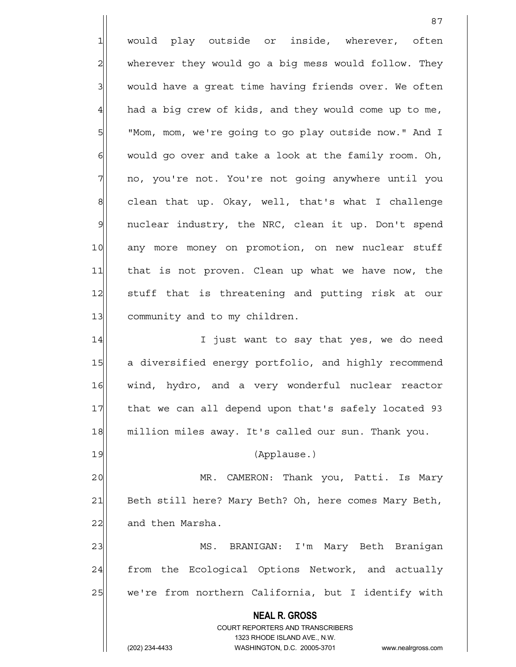**NEAL R. GROSS** COURT REPORTERS AND TRANSCRIBERS 1323 RHODE ISLAND AVE., N.W. 87 1 would play outside or inside, wherever, often 2 wherever they would go a big mess would follow. They 3| would have a great time having friends over. We often  $4$  had a big crew of kids, and they would come up to me, 5 MJ = "Mom, mom, we're going to go play outside now." And I  $6$  would go over and take a look at the family room. Oh, 7 | no, you're not. You're not going anywhere until you 8 clean that up. Okay, well, that's what I challenge 9 | nuclear industry, the NRC, clean it up. Don't spend 10 any more money on promotion, on new nuclear stuff 11 that is not proven. Clean up what we have now, the 12 stuff that is threatening and putting risk at our 13 community and to my children. 14 I I just want to say that yes, we do need 15 a diversified energy portfolio, and highly recommend 16 wind, hydro, and a very wonderful nuclear reactor 17 that we can all depend upon that's safely located 93 18 million miles away. It's called our sun. Thank you. 19 (Applause.) 20 MR. CAMERON: Thank you, Patti. Is Mary 21 Beth still here? Mary Beth? Oh, here comes Mary Beth, 22 and then Marsha. 23 MS. BRANIGAN: I'm Mary Beth Branigan 24 from the Ecological Options Network, and actually 25 | we're from northern California, but I identify with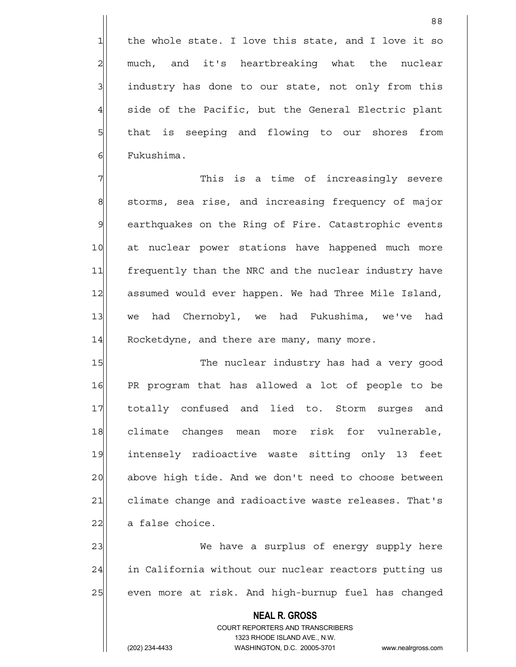$1$  the whole state. I love this state, and I love it so 2 much, and it's heartbreaking what the nuclear  $3$  industry has done to our state, not only from this 4 side of the Pacific, but the General Electric plant 5 5 5 5 that is seeping and flowing to our shores from 6 Fukushima.

7 This is a time of increasingly severe 8 storms, sea rise, and increasing frequency of major 9 earthquakes on the Ring of Fire. Catastrophic events 10 at nuclear power stations have happened much more 11 frequently than the NRC and the nuclear industry have 12 assumed would ever happen. We had Three Mile Island, 13 we had Chernobyl, we had Fukushima, we've had 14 Rocketdyne, and there are many, many more.

15 The nuclear industry has had a very good 16 PR program that has allowed a lot of people to be 17 totally confused and lied to. Storm surges and 18 climate changes mean more risk for vulnerable, 19 intensely radioactive waste sitting only 13 feet 20 above high tide. And we don't need to choose between 21 climate change and radioactive waste releases. That's  $22$  a false choice.

23 We have a surplus of energy supply here 24 in California without our nuclear reactors putting us 25 even more at risk. And high-burnup fuel has changed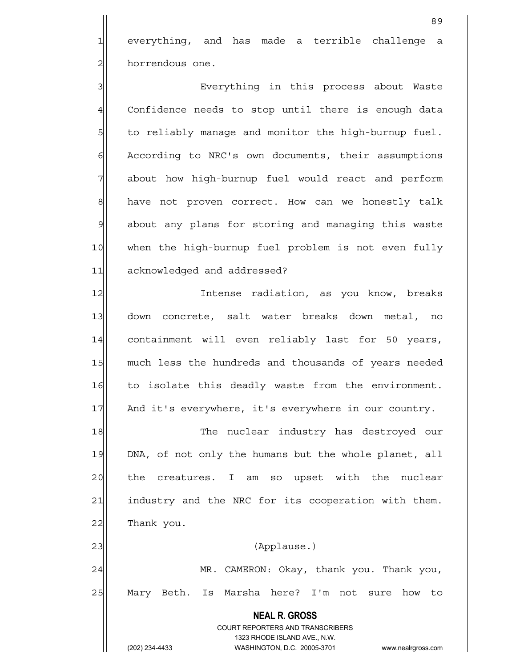1 everything, and has made a terrible challenge a 2 horrendous one.

3 By Serything in this process about Waste 4 Confidence needs to stop until there is enough data 5 5 5 5 to reliably manage and monitor the high-burnup fuel.  $6$  According to NRC's own documents, their assumptions 7 about how high-burnup fuel would react and perform 8 have not proven correct. How can we honestly talk 9 about any plans for storing and managing this waste 10 when the high-burnup fuel problem is not even fully 11| acknowledged and addressed?

12 Intense radiation, as you know, breaks 13 down concrete, salt water breaks down metal, no 14 containment will even reliably last for 50 years, 15 much less the hundreds and thousands of years needed 16 to isolate this deadly waste from the environment. 17 And it's everywhere, it's everywhere in our country.

18 The nuclear industry has destroyed our 19 DNA, of not only the humans but the whole planet, all 20 the creatures. I am so upset with the nuclear 21 industry and the NRC for its cooperation with them.  $22$  Thank you.

24 MR. CAMERON: Okay, thank you. Thank you, 25 Mary Beth. Is Marsha here? I'm not sure how to

23 | (Applause.)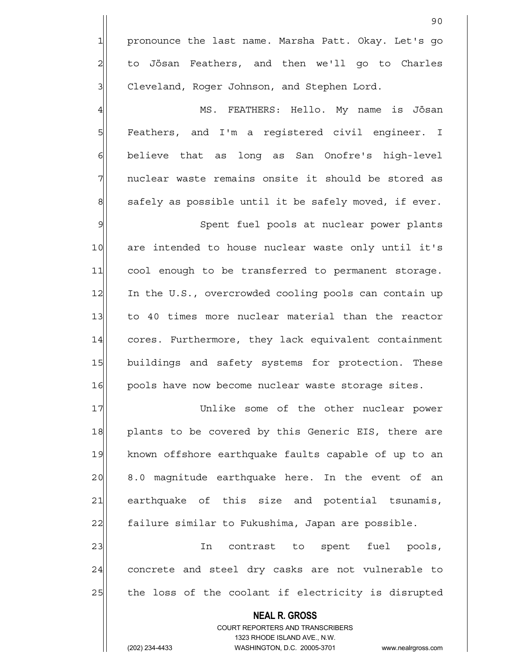90 1 pronounce the last name. Marsha Patt. Okay. Let's go  $2$  to Jösan Feathers, and then we'll go to Charles 3 | Cleveland, Roger Johnson, and Stephen Lord. 4 MS. FEATHERS: Hello. My name is Jösan

5 | Feathers, and I'm a registered civil engineer. I 6 6 believe that as long as San Onofre's high-level 7 | nuclear waste remains onsite it should be stored as  $8$  safely as possible until it be safely moved, if ever.

9 Spent fuel pools at nuclear power plants 10 are intended to house nuclear waste only until it's 11 cool enough to be transferred to permanent storage. 12 In the U.S., overcrowded cooling pools can contain up 13 to 40 times more nuclear material than the reactor 14 cores. Furthermore, they lack equivalent containment 15 buildings and safety systems for protection. These 16 pools have now become nuclear waste storage sites.

17 | Unlike some of the other nuclear power 18 plants to be covered by this Generic EIS, there are 19 known offshore earthquake faults capable of up to an 20 8.0 magnitude earthquake here. In the event of an 21 earthquake of this size and potential tsunamis, 22 failure similar to Fukushima, Japan are possible.

23 and the contrast to spent fuel pools, 24 concrete and steel dry casks are not vulnerable to  $25$  the loss of the coolant if electricity is disrupted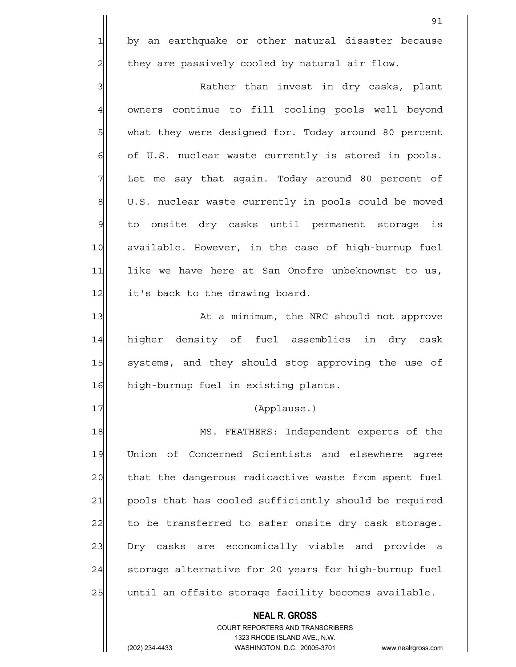1 by an earthquake or other natural disaster because  $2$  they are passively cooled by natural air flow.

3 | Rather than invest in dry casks, plant 4 owners continue to fill cooling pools well beyond 5 what they were designed for. Today around 80 percent  $6$  of U.S. nuclear waste currently is stored in pools. 7 Let me say that again. Today around 80 percent of 8 U.S. nuclear waste currently in pools could be moved 9 to onsite dry casks until permanent storage is 10 available. However, in the case of high-burnup fuel 11 like we have here at San Onofre unbeknownst to us, 12 it's back to the drawing board.

13 At a minimum, the NRC should not approve 14 higher density of fuel assemblies in dry cask 15 systems, and they should stop approving the use of 16 high-burnup fuel in existing plants.

#### 17 (Applause.)

18 MS. FEATHERS: Independent experts of the 19 Union of Concerned Scientists and elsewhere agree 20 that the dangerous radioactive waste from spent fuel 21 pools that has cooled sufficiently should be required  $22$  to be transferred to safer onsite dry cask storage. 23| Dry casks are economically viable and provide a 24 storage alternative for 20 years for high-burnup fuel  $25$  until an offsite storage facility becomes available.

### **NEAL R. GROSS**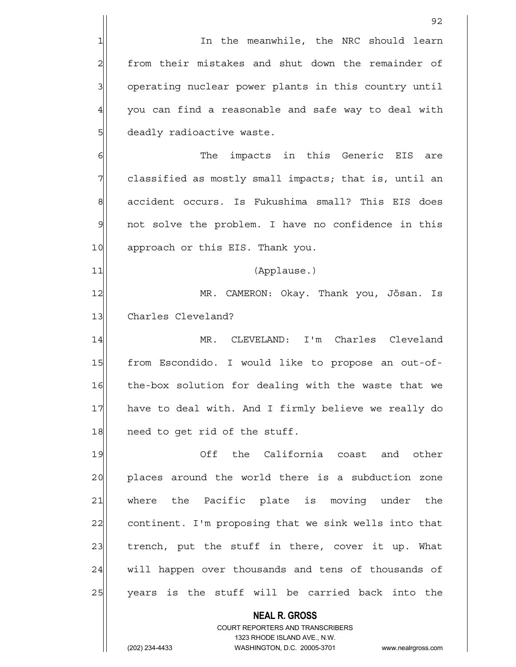1 In the meanwhile, the NRC should learn 2 from their mistakes and shut down the remainder of 3 3 operating nuclear power plants in this country until  $4$  you can find a reasonable and safe way to deal with 5 deadly radioactive waste.

6 6 The impacts in this Generic EIS are  $7$  classified as mostly small impacts; that is, until an 8 8 8 accident occurs. Is Fukushima small? This EIS does  $9$  not solve the problem. I have no confidence in this 10 approach or this EIS. Thank you.

11 (Applause.)

12 MR. CAMERON: Okay. Thank you, Jösan. Is 13 Charles Cleveland?

14 MR. CLEVELAND: I'm Charles Cleveland 15 | from Escondido. I would like to propose an out-of-16 the-box solution for dealing with the waste that we 17 have to deal with. And I firmly believe we really do 18 need to get rid of the stuff.

19 Off the California coast and other 20 places around the world there is a subduction zone 21 where the Pacific plate is moving under the 22 continent. I'm proposing that we sink wells into that 23 trench, put the stuff in there, cover it up. What 24 will happen over thousands and tens of thousands of 25 years is the stuff will be carried back into the

> **NEAL R. GROSS** COURT REPORTERS AND TRANSCRIBERS 1323 RHODE ISLAND AVE., N.W.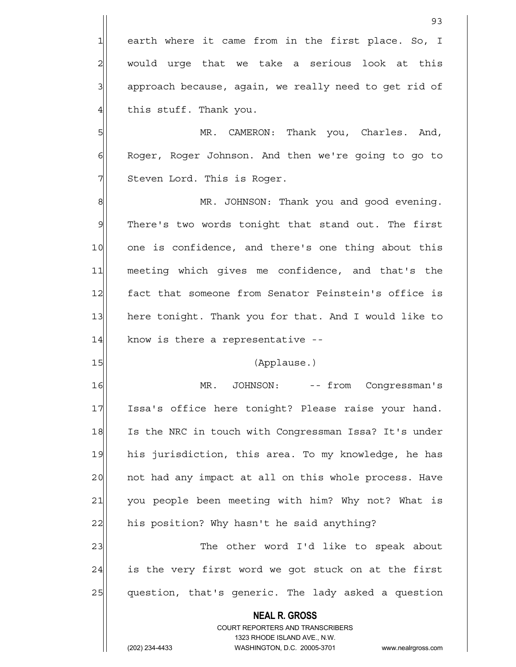**NEAL R. GROSS** COURT REPORTERS AND TRANSCRIBERS <u>93 and 200 minutes and 200 minutes and 200 minutes and 200 minutes and 200 minutes and 200 minutes and 200 minutes and 200 minutes and 200 minutes and 200 minutes and 200 minutes and 200 minutes and 200 minutes and 200 mi</u> 1 earth where it came from in the first place. So, I 2 | would urge that we take a serious look at this 3 approach because, again, we really need to get rid of  $4$  this stuff. Thank you. 5 | MR. CAMERON: Thank you, Charles. And, 6 Roger, Roger Johnson. And then we're going to go to 7 | Steven Lord. This is Roger. 8 MR. JOHNSON: Thank you and good evening. 9 There's two words tonight that stand out. The first 10 one is confidence, and there's one thing about this 11 meeting which gives me confidence, and that's the 12 fact that someone from Senator Feinstein's office is 13 here tonight. Thank you for that. And I would like to  $14$  know is there a representative --15 (Applause.) 16 MR. JOHNSON: -- from Congressman's 17 Issa's office here tonight? Please raise your hand. 18 Is the NRC in touch with Congressman Issa? It's under 19 his jurisdiction, this area. To my knowledge, he has 20 | not had any impact at all on this whole process. Have 21 you people been meeting with him? Why not? What is 22 his position? Why hasn't he said anything? 23 and 23 The other word I'd like to speak about  $24$  is the very first word we got stuck on at the first 25 | question, that's generic. The lady asked a question

1323 RHODE ISLAND AVE., N.W.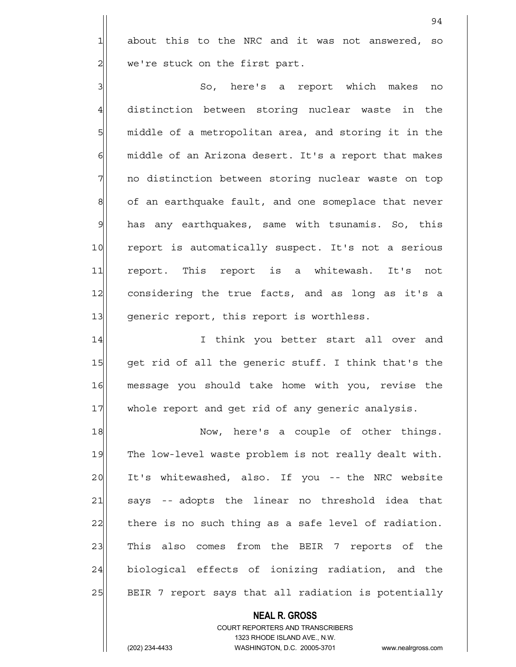$1$  about this to the NRC and it was not answered, so 2| we're stuck on the first part.

3|| So, here's a report which makes no 4 distinction between storing nuclear waste in the 5 middle of a metropolitan area, and storing it in the 6 6 middle of an Arizona desert. It's a report that makes 7 The objection between storing nuclear waste on top 8 of an earthquake fault, and one someplace that never 9 has any earthquakes, same with tsunamis. So, this 10 report is automatically suspect. It's not a serious 11 report. This report is a whitewash. It's not 12 considering the true facts, and as long as it's a 13 generic report, this report is worthless.

14 I I think you better start all over and 15 get rid of all the generic stuff. I think that's the 16 message you should take home with you, revise the 17 whole report and get rid of any generic analysis.

18 Now, here's a couple of other things. 19 The low-level waste problem is not really dealt with. 20 It's whitewashed, also. If you -- the NRC website 21 says -- adopts the linear no threshold idea that  $22$  there is no such thing as a safe level of radiation. 23 This also comes from the BEIR 7 reports of the 24 biological effects of ionizing radiation, and the  $25$  BEIR 7 report says that all radiation is potentially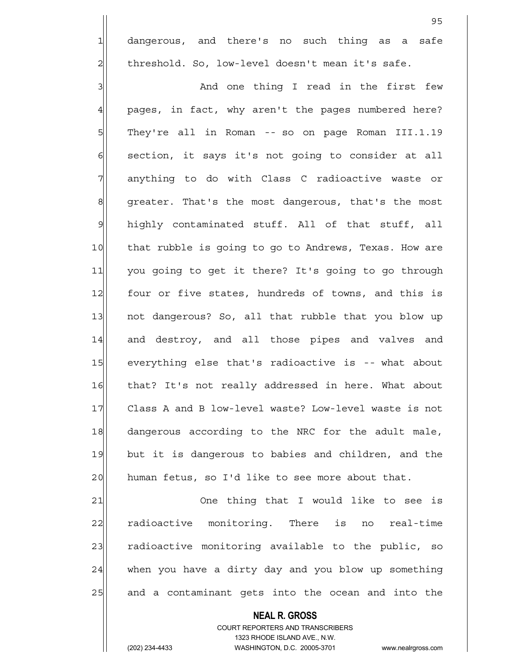1 dangerous, and there's no such thing as a safe  $2$  threshold. So, low-level doesn't mean it's safe.

3 and one thing I read in the first few 4 pages, in fact, why aren't the pages numbered here? 5 | They're all in Roman -- so on page Roman III.1.19  $6$  section, it says it's not going to consider at all 7 anything to do with Class C radioactive waste or 8 greater. That's the most dangerous, that's the most  $9$  highly contaminated stuff. All of that stuff, all 10 that rubble is going to go to Andrews, Texas. How are 11 you going to get it there? It's going to go through 12 four or five states, hundreds of towns, and this is 13 not dangerous? So, all that rubble that you blow up 14 and destroy, and all those pipes and valves and 15 everything else that's radioactive is -- what about 16 that? It's not really addressed in here. What about 17 Class A and B low-level waste? Low-level waste is not 18 dangerous according to the NRC for the adult male, 19 but it is dangerous to babies and children, and the 20 human fetus, so I'd like to see more about that.

21 One thing that I would like to see is 22 radioactive monitoring. There is no real-time 23 radioactive monitoring available to the public, so  $24$  when you have a dirty day and you blow up something 25 and a contaminant gets into the ocean and into the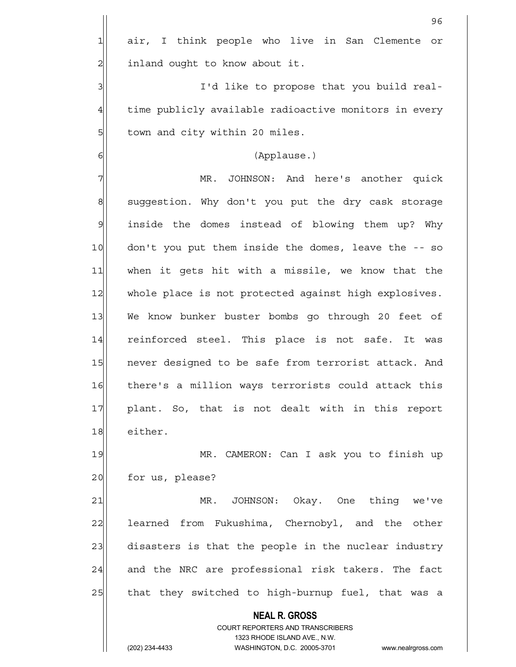**NEAL R. GROSS** COURT REPORTERS AND TRANSCRIBERS 1323 RHODE ISLAND AVE., N.W. <u>96 and 2001 and 2001 and 2001 and 2001 and 2001 and 2001 and 2001 and 2001 and 2001 and 2001 and 2001 and 200</u> 1 air, I think people who live in San Clemente or 2 | inland ought to know about it. 3 3 I'd like to propose that you build real-4 time publicly available radioactive monitors in every 5 5 5 5 town and city within 20 miles. 6 (Applause.) 7 MR. JOHNSON: And here's another quick 8 suggestion. Why don't you put the dry cask storage 9 inside the domes instead of blowing them up? Why 10 don't you put them inside the domes, leave the -- so 11 when it gets hit with a missile, we know that the 12 whole place is not protected against high explosives. 13 We know bunker buster bombs go through 20 feet of 14 reinforced steel. This place is not safe. It was 15 never designed to be safe from terrorist attack. And 16 there's a million ways terrorists could attack this 17 plant. So, that is not dealt with in this report 18 either. 19 MR. CAMERON: Can I ask you to finish up 20 for us, please? 21 MR. JOHNSON: Okay. One thing we've 22 learned from Fukushima, Chernobyl, and the other 23 disasters is that the people in the nuclear industry  $24$  and the NRC are professional risk takers. The fact 25 that they switched to high-burnup fuel, that was a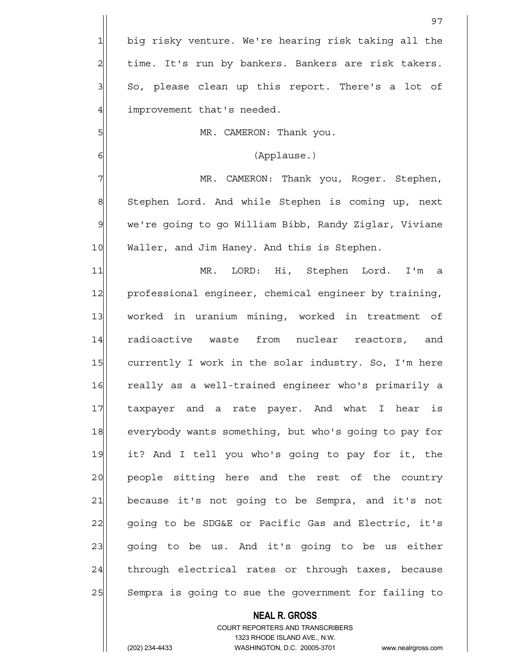97 1 big risky venture. We're hearing risk taking all the 2 | time. It's run by bankers. Bankers are risk takers.  $3$  So, please clean up this report. There's a lot of 4 | improvement that's needed. 5| MR. CAMERON: Thank you. 6 (Applause.) 7 MR. CAMERON: Thank you, Roger. Stephen, 8 Stephen Lord. And while Stephen is coming up, next 9 we're going to go William Bibb, Randy Ziglar, Viviane 10 Waller, and Jim Haney. And this is Stephen. 11 MR. LORD: Hi, Stephen Lord. I'm a 12 professional engineer, chemical engineer by training, 13 worked in uranium mining, worked in treatment of 14 radioactive waste from nuclear reactors, and 15 currently I work in the solar industry. So, I'm here 16 really as a well-trained engineer who's primarily a 17 taxpayer and a rate payer. And what I hear is 18 everybody wants something, but who's going to pay for 19 it? And I tell you who's going to pay for it, the 20 | people sitting here and the rest of the country 21 because it's not going to be Sempra, and it's not 22 going to be SDG&E or Pacific Gas and Electric, it's 23 going to be us. And it's going to be us either 24 through electrical rates or through taxes, because 25 | Sempra is going to sue the government for failing to

> COURT REPORTERS AND TRANSCRIBERS 1323 RHODE ISLAND AVE., N.W. (202) 234-4433 WASHINGTON, D.C. 20005-3701 www.nealrgross.com

 **NEAL R. GROSS**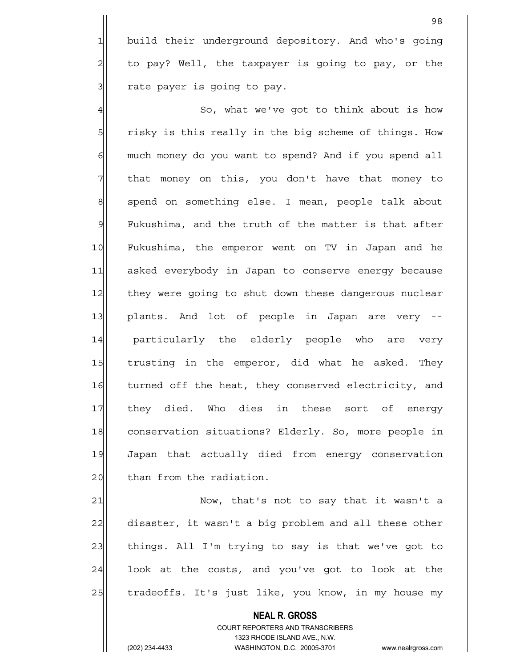1 build their underground depository. And who's going 2 to pay? Well, the taxpayer is going to pay, or the 3 a rate payer is going to pay.

98

4  $\parallel$  So, what we've got to think about is how 5 5 5 5 5 risky is this really in the big scheme of things. How 6 6 much money do you want to spend? And if you spend all 7 The that money on this, you don't have that money to 8 spend on something else. I mean, people talk about  $9$  Fukushima, and the truth of the matter is that after 10 Fukushima, the emperor went on TV in Japan and he 11 asked everybody in Japan to conserve energy because 12 they were going to shut down these dangerous nuclear 13 plants. And lot of people in Japan are very --14 particularly the elderly people who are very 15 trusting in the emperor, did what he asked. They 16 turned off the heat, they conserved electricity, and 17 they died. Who dies in these sort of energy 18 conservation situations? Elderly. So, more people in 19 Japan that actually died from energy conservation 20 than from the radiation.

21 Now, that's not to say that it wasn't a 22 disaster, it wasn't a big problem and all these other 23 things. All I'm trying to say is that we've got to  $24$  look at the costs, and you've got to look at the 25 tradeoffs. It's just like, you know, in my house my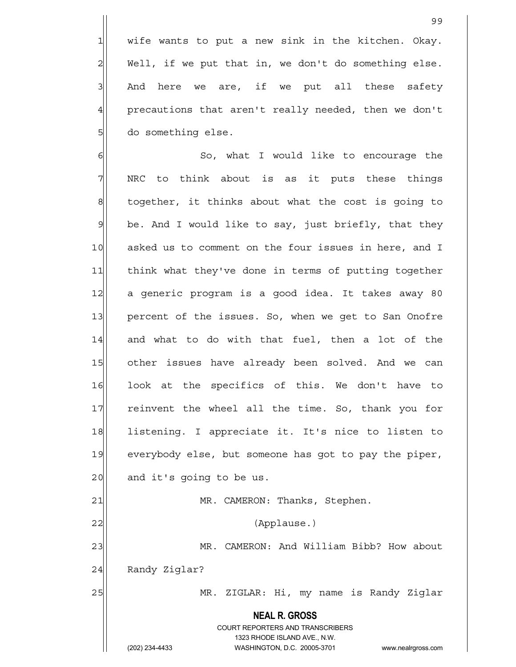<u>99 - Johann Stein, amerikan ing kabupatèn Inggris (</u>

6 6 So, what I would like to encourage the  $7$  NRC to think about is as it puts these things 8 together, it thinks about what the cost is going to  $9$  be. And I would like to say, just briefly, that they 10| asked us to comment on the four issues in here, and I 11 think what they've done in terms of putting together 12 a generic program is a good idea. It takes away 80 13 percent of the issues. So, when we get to San Onofre 14 and what to do with that fuel, then a lot of the 15 other issues have already been solved. And we can 16 look at the specifics of this. We don't have to 17 reinvent the wheel all the time. So, thank you for 18 listening. I appreciate it. It's nice to listen to 19 everybody else, but someone has got to pay the piper,  $20$  and it's going to be us. 21 MR. CAMERON: Thanks, Stephen.

22 | (Applause.)

23 MR. CAMERON: And William Bibb? How about 24 Randy Ziglar?

25 MR. ZIGLAR: Hi, my name is Randy Ziglar

## **NEAL R. GROSS** COURT REPORTERS AND TRANSCRIBERS 1323 RHODE ISLAND AVE., N.W.

5| do something else.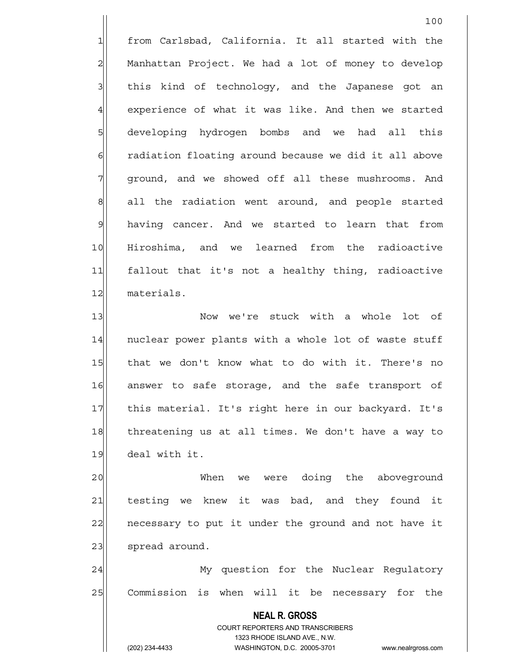1 from Carlsbad, California. It all started with the 2 Manhattan Project. We had a lot of money to develop 3 3 all this kind of technology, and the Japanese got an  $4$  experience of what it was like. And then we started 5| developing hydrogen bombs and we had all this 6 6 6 6 radiation floating around because we did it all above 7 7 ground, and we showed off all these mushrooms. And 8 all the radiation went around, and people started 9 having cancer. And we started to learn that from 10 Hiroshima, and we learned from the radioactive 11 fallout that it's not a healthy thing, radioactive 12 materials.

13 and 13 Now we're stuck with a whole lot of 14 | nuclear power plants with a whole lot of waste stuff 15 that we don't know what to do with it. There's no 16 answer to safe storage, and the safe transport of 17 this material. It's right here in our backyard. It's 18 threatening us at all times. We don't have a way to 19 deal with it.

20 | When we were doing the aboveground 21 testing we knew it was bad, and they found it 22 necessary to put it under the ground and not have it 23 spread around.

24 My question for the Nuclear Regulatory 25 Commission is when will it be necessary for the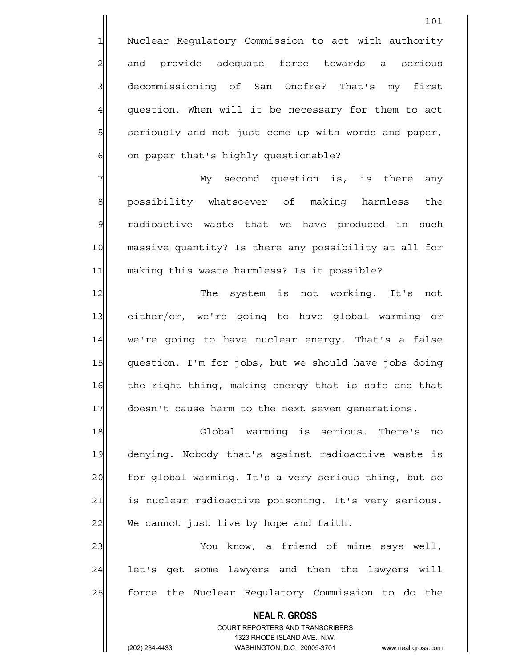1 Nuclear Regulatory Commission to act with authority 2 and provide adequate force towards a serious 3 decommissioning of San Onofre? That's my first 4 question. When will it be necessary for them to act 5 seriously and not just come up with words and paper, 6| on paper that's highly questionable?

7 My second question is, is there any 8 8 8 appropered bandwing harmless the 8 approximation whatsoever of making harmless the 9 radioactive waste that we have produced in such 10 massive quantity? Is there any possibility at all for 11 making this waste harmless? Is it possible?

12 The system is not working. It's not 13 either/or, we're going to have global warming or 14 we're going to have nuclear energy. That's a false 15 question. I'm for jobs, but we should have jobs doing 16 the right thing, making energy that is safe and that 17 doesn't cause harm to the next seven generations.

18 Global warming is serious. There's no 19 denying. Nobody that's against radioactive waste is 20 for global warming. It's a very serious thing, but so 21 is nuclear radioactive poisoning. It's very serious. 22 We cannot just live by hope and faith.

23 You know, a friend of mine says well, 24 let's get some lawyers and then the lawyers will 25 | force the Nuclear Regulatory Commission to do the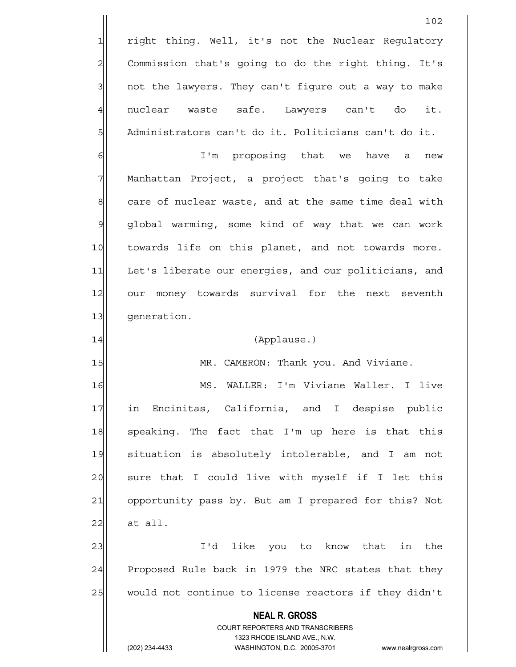1 right thing. Well, it's not the Nuclear Regulatory 2 Commission that's going to do the right thing. It's  $3$  not the lawyers. They can't figure out a way to make 4 nuclear waste safe. Lawyers can't do it. 5 Administrators can't do it. Politicians can't do it.

102

6 | I'm proposing that we have a new 7 Manhattan Project, a project that's going to take 8 care of nuclear waste, and at the same time deal with 9 global warming, some kind of way that we can work 10 towards life on this planet, and not towards more. 11 Let's liberate our energies, and our politicians, and 12 our money towards survival for the next seventh 13 generation.

### 14 (Applause.)

15 MR. CAMERON: Thank you. And Viviane.

16 MS. WALLER: I'm Viviane Waller. I live 17 in Encinitas, California, and I despise public 18 speaking. The fact that I'm up here is that this 19 situation is absolutely intolerable, and I am not 20 sure that I could live with myself if I let this 21 opportunity pass by. But am I prepared for this? Not  $22$  at all.

23 and 23 I'd like you to know that in the 24 Proposed Rule back in 1979 the NRC states that they 25 would not continue to license reactors if they didn't

## **NEAL R. GROSS**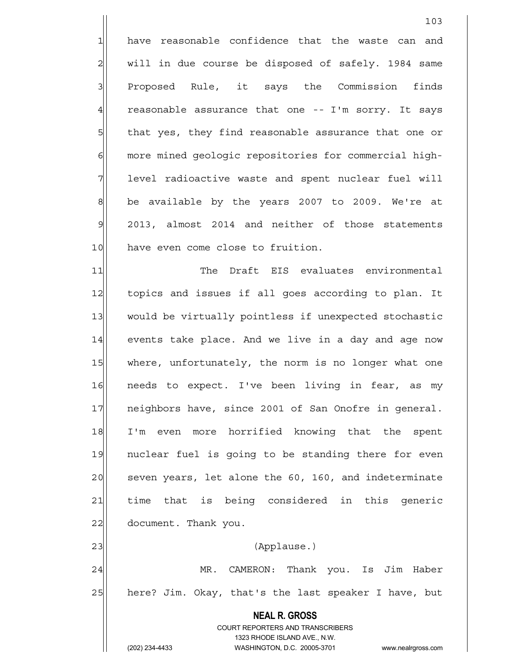$1$  have reasonable confidence that the waste can and 2 will in due course be disposed of safely. 1984 same 3 | Proposed Rule, it says the Commission finds  $4$  reasonable assurance that one -- I'm sorry. It says 5 5 5 5 5 that yes, they find reasonable assurance that one or 6 6 6 more mined geologic repositories for commercial high-7 level radioactive waste and spent nuclear fuel will  $8$  be available by the years 2007 to 2009. We're at  $9$  2013, almost 2014 and neither of those statements 10 have even come close to fruition.

11 The Draft EIS evaluates environmental 12 topics and issues if all goes according to plan. It 13 would be virtually pointless if unexpected stochastic 14 events take place. And we live in a day and age now 15 where, unfortunately, the norm is no longer what one 16 needs to expect. I've been living in fear, as my 17 | neighbors have, since 2001 of San Onofre in general. 18 I'm even more horrified knowing that the spent 19 nuclear fuel is going to be standing there for even 20 seven years, let alone the 60, 160, and indeterminate 21 time that is being considered in this generic 22 document. Thank you. 23 | (Applause.)

24 MR. CAMERON: Thank you. Is Jim Haber 25 here? Jim. Okay, that's the last speaker I have, but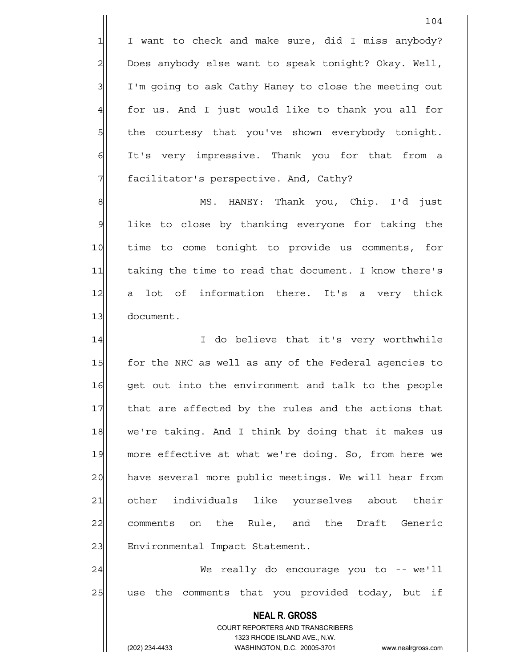$1$  I want to check and make sure, did I miss anybody? 2 Does anybody else want to speak tonight? Okay. Well, 3 I'm going to ask Cathy Haney to close the meeting out  $4$  for us. And I just would like to thank you all for 5 5 5 5 the courtesy that you've shown everybody tonight. 6 It's very impressive. Thank you for that from a 7 Tacilitator's perspective. And, Cathy?

104

8| MS. HANEY: Thank you, Chip. I'd just 9 like to close by thanking everyone for taking the 10 time to come tonight to provide us comments, for 11 taking the time to read that document. I know there's 12 a lot of information there. It's a very thick 13 document.

14 I do believe that it's very worthwhile 15 for the NRC as well as any of the Federal agencies to 16 get out into the environment and talk to the people 17 that are affected by the rules and the actions that 18 we're taking. And I think by doing that it makes us 19 more effective at what we're doing. So, from here we 20 have several more public meetings. We will hear from 21 other individuals like yourselves about their 22 comments on the Rule, and the Draft Generic 23 Environmental Impact Statement.

24 We really do encourage you to -- we'll 25 use the comments that you provided today, but if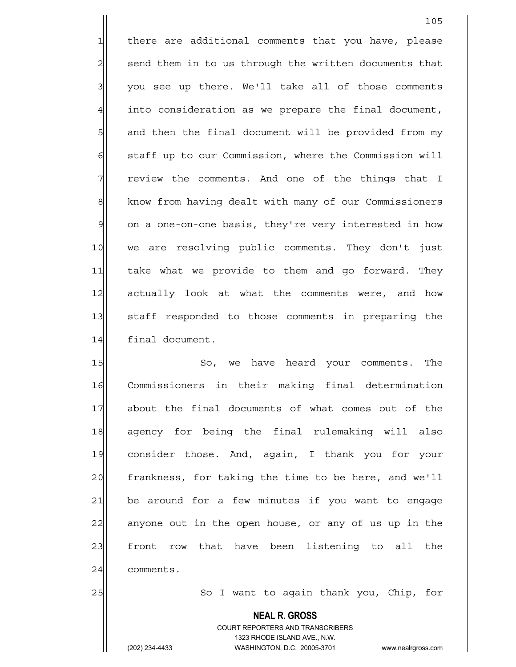1 there are additional comments that you have, please 2 send them in to us through the written documents that 3| you see up there. We'll take all of those comments  $4$  into consideration as we prepare the final document, 5 5 5 5 and then the final document will be provided from my  $6$  staff up to our Commission, where the Commission will 7 7 review the comments. And one of the things that I 8 know from having dealt with many of our Commissioners 9 on a one-on-one basis, they're very interested in how 10 we are resolving public comments. They don't just 11 take what we provide to them and go forward. They 12 actually look at what the comments were, and how 13 staff responded to those comments in preparing the 14 final document.

15 So, we have heard your comments. The 16 Commissioners in their making final determination 17 about the final documents of what comes out of the 18 agency for being the final rulemaking will also 19 consider those. And, again, I thank you for your 20 frankness, for taking the time to be here, and we'll 21 be around for a few minutes if you want to engage 22 anyone out in the open house, or any of us up in the 23 front row that have been listening to all the 24 comments.

25 So I want to again thank you, Chip, for